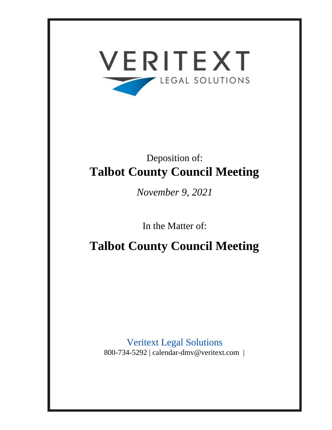

# Deposition of: **Talbot County Council Meeting**

*November 9, 2021*

In the Matter of:

**Talbot County Council Meeting**

Veritext Legal Solutions 800-734-5292 | calendar-dmv@veritext.com |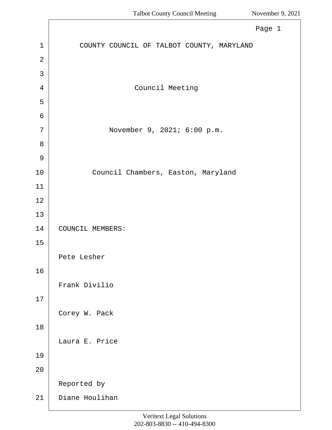|                | Page 1                                    |
|----------------|-------------------------------------------|
| $\mathbf 1$    | COUNTY COUNCIL OF TALBOT COUNTY, MARYLAND |
| $\overline{2}$ |                                           |
| 3              |                                           |
| 4              | Council Meeting                           |
| 5              |                                           |
| 6              |                                           |
| 7              | November 9, 2021; 6:00 p.m.               |
| $8\,$          |                                           |
| $\mathsf 9$    |                                           |
| 10             | Council Chambers, Easton, Maryland        |
| 11             |                                           |
| 12             |                                           |
| 13             |                                           |
| 14             | COUNCIL MEMBERS:                          |
| 15             |                                           |
|                | Pete Lesher                               |
| 16             |                                           |
|                | Frank Divilio                             |
| 17             |                                           |
|                | Corey W. Pack                             |
| 18             |                                           |
|                | Laura E. Price                            |
| 19             |                                           |
| 20             |                                           |
|                | Reported by                               |
| 21             | Diane Houlihan                            |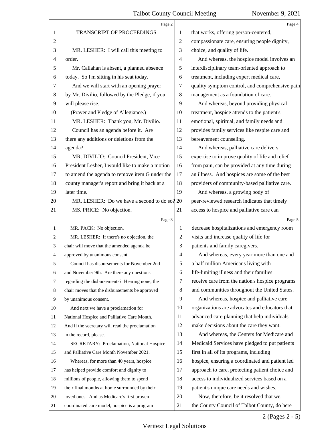|                | Page 2                                          |    | Page 4                                          |
|----------------|-------------------------------------------------|----|-------------------------------------------------|
| 1              | TRANSCRIPT OF PROCEEDINGS                       | 1  | that works, offering person-centered,           |
| $\overline{c}$ |                                                 | 2  | compassionate care, ensuring people dignity,    |
| 3              | MR. LESHER: I will call this meeting to         | 3  | choice, and quality of life.                    |
| 4              | order.                                          | 4  | And whereas, the hospice model involves an      |
| 5              | Mr. Callahan is absent, a planned absence       | 5  | interdisciplinary team-oriented approach to     |
| 6              | today. So I'm sitting in his seat today.        | 6  | treatment, including expert medical care,       |
| 7              | And we will start with an opening prayer        | 7  | quality symptom control, and comprehensive pain |
| 8              | by Mr. Divilio, followed by the Pledge, if you  | 8  | management as a foundation of care.             |
| 9              | will please rise.                               | 9  | And whereas, beyond providing physical          |
| 10             | (Prayer and Pledge of Allegiance.)              | 10 | treatment, hospice attends to the patient's     |
| 11             | MR. LESHER: Thank you, Mr. Divilio.             | 11 | emotional, spiritual, and family needs and      |
| 12             | Council has an agenda before it. Are            | 12 | provides family services like respite care and  |
| 13             | there any additions or deletions from the       | 13 | bereavement counseling.                         |
| 14             | agenda?                                         | 14 | And whereas, palliative care delivers           |
| 15             | MR. DIVILIO: Council President, Vice            | 15 | expertise to improve quality of life and relief |
| 16             | President Lesher, I would like to make a motion | 16 | from pain, can be provided at any time during   |
| 17             | to amend the agenda to remove item G under the  | 17 | an illness. And hospices are some of the best   |
| 18             | county manager's report and bring it back at a  | 18 | providers of community-based palliative care.   |
| 19             | later time.                                     | 19 | And whereas, a growing body of                  |
| 20             | MR. LESHER: Do we have a second to do so? 20    |    | peer-reviewed research indicates that timely    |
| 21             | MS. PRICE: No objection.                        | 21 | access to hospice and palliative care can       |
|                | Page 3                                          |    | Page 5                                          |
| 1              | MR. PACK: No objection.                         | 1  | decrease hospitalizations and emergency room    |
| 2              | MR. LESHER: If there's no objection, the        | 2  | visits and increase quality of life for         |
| 3              | chair will move that the amended agenda be      | 3  | patients and family caregivers.                 |
| 4              | approved by unanimous consent.                  | 4  | And whereas, every year more than one and       |
| 5              | Council has disbursements for November 2nd      | 5  | a half million Americans living with            |
| 6              | and November 9th. Are there any questions       | 6  | life-limiting illness and their families        |
| 7              | regarding the disbursements? Hearing none, the  | 7  | receive care from the nation's hospice programs |
| 8              | chair moves that the disbursements be approved  | 8  | and communities throughout the United States.   |
| 9              | by unanimous consent.                           | 9  | And whereas, hospice and palliative care        |
| 10             | And next we have a proclamation for             | 10 | organizations are advocates and educators that  |
| 11             | National Hospice and Palliative Care Month.     | 11 | advanced care planning that help individuals    |
| 12             | And if the secretary will read the proclamation | 12 | make decisions about the care they want.        |
| 13             | in the record, please.                          | 13 | And whereas, the Centers for Medicare and       |
| 14             | SECRETARY: Proclamation, National Hospice       | 14 | Medicaid Services have pledged to put patients  |
| 15             | and Palliative Care Month November 2021.        | 15 | first in all of its programs, including         |
| 16             | Whereas, for more than 40 years, hospice        | 16 | hospice, ensuring a coordinated and patient led |
| 17             | has helped provide comfort and dignity to       | 17 | approach to care, protecting patient choice and |
| 18             | millions of people, allowing them to spend      | 18 | access to individualized services based on a    |
| 19             | their final months at home surrounded by their  | 19 | patient's unique care needs and wishes.         |
| 20             | loved ones. And as Medicare's first proven      | 20 | Now, therefore, be it resolved that we,         |
| 21             | coordinated care model, hospice is a program    | 21 | the County Council of Talbot County, do here    |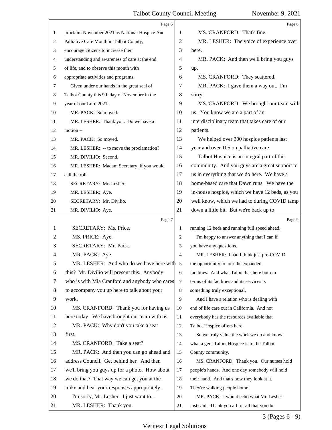|    | Page 6                                         |                | Page 8                                          |
|----|------------------------------------------------|----------------|-------------------------------------------------|
| 1  | proclaim November 2021 as National Hospice And | 1              | MS. CRANFORD: That's fine.                      |
| 2  | Palliative Care Month in Talbot County,        | $\overline{c}$ | MR. LESHER: The voice of experience over        |
| 3  | encourage citizens to increase their           | 3              | here.                                           |
| 4  | understanding and awareness of care at the end | 4              | MR. PACK: And then we'll bring you guys         |
| 5  | of life, and to observe this month with        | 5              | up.                                             |
| 6  | appropriate activities and programs.           | 6              | MS. CRANFORD: They scattered.                   |
| 7  | Given under our hands in the great seal of     | 7              | MR. PACK: I gave them a way out. I'm            |
| 8  | Talbot County this 9th day of November in the  | 8              | sorry.                                          |
| 9  | year of our Lord 2021.                         | 9              | MS. CRANFORD: We brought our team with          |
| 10 | MR. PACK: So moved.                            | 10             | us. You know we are a part of an                |
| 11 | MR. LESHER: Thank you. Do we have a            | 11             | interdisciplinary team that takes care of our   |
| 12 | motion --                                      | 12             | patients.                                       |
| 13 | MR. PACK: So moved.                            | 13             | We helped over 300 hospice patients last        |
| 14 | MR. LESHER: -- to move the proclamation?       | 14             | year and over 105 on palliative care.           |
| 15 | MR. DIVILIO: Second.                           | 15             | Talbot Hospice is an integral part of this      |
| 16 | MR. LESHER: Madam Secretary, if you would      | 16             | community. And you guys are a great support to  |
| 17 | call the roll.                                 | 17             | us in everything that we do here. We have a     |
| 18 | SECRETARY: Mr. Lesher.                         | 18             | home-based care that Dawn runs. We have the     |
| 19 | MR. LESHER: Aye.                               | 19             | in-house hospice, which we have 12 beds, as you |
| 20 | SECRETARY: Mr. Divilio.                        | 20             | well know, which we had to during COVID tamp    |
| 21 | MR. DIVILIO: Aye.                              | 21             | down a little bit. But we're back up to         |
|    | Page 7                                         |                | Page 9                                          |
| 1  | SECRETARY: Ms. Price.                          | 1              | running 12 beds and running full speed ahead.   |
| 2  | MS. PRICE: Aye.                                | 2              | I'm happy to answer anything that I can if      |
| 3  | SECRETARY: Mr. Pack.                           | 3              | you have any questions.                         |
| 4  | MR. PACK: Aye.                                 | 4              | MR. LESHER: I had I think just pre-COVID        |
| 5  | MR. LESHER: And who do we have here with 5     |                | the opportunity to tour the expanded            |
| 6  | this? Mr. Divilio will present this. Anybody   | 6              | facilities. And what Talbot has here both in    |
| 7  | who is with Mia Cranford and anybody who cares | $\tau$         | terms of its facilities and its services is     |
| 8  | to accompany you up here to talk about your    | 8              | something truly exceptional.                    |
| 9  | work.                                          | 9              | And I have a relation who is dealing with       |
| 10 | MS. CRANFORD: Thank you for having us          | 10             | end of life care out in California. And not     |
| 11 | here today. We have brought our team with us.  | 11             | everybody has the resources available that      |
| 12 | MR. PACK: Why don't you take a seat            | 12             | Talbot Hospice offers here.                     |
| 13 | first.                                         | 13             | So we truly value the work we do and know       |
| 14 | MS. CRANFORD: Take a seat?                     | 14             | what a gem Talbot Hospice is to the Talbot      |
| 15 | MR. PACK: And then you can go ahead and        | 15             | County community.                               |
| 16 | address Council. Get behind her. And then      | 16             | MS. CRANFORD: Thank you. Our nurses hold        |
| 17 | we'll bring you guys up for a photo. How about | 17             | people's hands. And one day somebody will hold  |
| 18 | we do that? That way we can get you at the     | 18             | their hand. And that's how they look at it.     |
| 19 | mike and hear your responses appropriately.    | 19             | They're walking people home.                    |
| 20 | I'm sorry, Mr. Lesher. I just want to          | 20             | MR. PACK: I would echo what Mr. Lesher          |
| 21 | MR. LESHER: Thank you.                         | 21             | just said. Thank you all for all that you do    |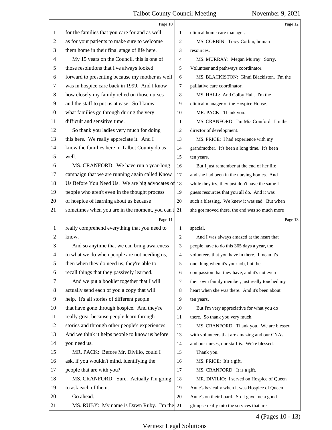|    | Page 10                                             |                | Page 12                                         |
|----|-----------------------------------------------------|----------------|-------------------------------------------------|
| 1  | for the families that you care for and as well      | 1              | clinical home care manager.                     |
| 2  | as for your patients to make sure to welcome        | 2              | MS. CORBIN: Tracy Corbin, human                 |
| 3  | them home in their final stage of life here.        | 3              | resources.                                      |
| 4  | My 15 years on the Council, this is one of          | $\overline{4}$ | MS. MURRAY: Megan Murray. Sorry.                |
| 5  | those resolutions that I've always looked           | 5              | Volunteer and pathways coordinator.             |
| 6  | forward to presenting because my mother as well     | 6              | MS. BLACKISTON: Ginni Blackiston. I'm the       |
| 7  | was in hospice care back in 1999. And I know        | 7              | palliative care coordinator.                    |
| 8  | how closely my family relied on those nurses        | 8              | MS. HALL: And Colby Hall. I'm the               |
| 9  | and the staff to put us at ease. So I know          | 9              | clinical manager of the Hospice House.          |
| 10 | what families go through during the very            | 10             | MR. PACK: Thank you.                            |
| 11 | difficult and sensitive time.                       | 11             | MS. CRANFORD: I'm Mia Cranford. I'm the         |
| 12 | So thank you ladies very much for doing             | 12             | director of development.                        |
| 13 | this here. We really appreciate it. And I           | 13             | MS. PRICE: I had experience with my             |
| 14 | know the families here in Talbot County do as       | 14             | grandmother. It's been a long time. It's been   |
| 15 | well.                                               | 15             | ten years.                                      |
| 16 | MS. CRANFORD: We have run a year-long               | 16             | But I just remember at the end of her life      |
| 17 | campaign that we are running again called Know      | 17             | and she had been in the nursing homes. And      |
| 18 | Us Before You Need Us. We are big advocates of 18   |                | while they try, they just don't have the same I |
| 19 | people who aren't even in the thought process       | 19             | guess resources that you all do. And it was     |
| 20 | of hospice of learning about us because             | 20             | such a blessing. We knew it was sad. But when   |
| 21 | sometimes when you are in the moment, you can't  21 |                | she got moved there, the end was so much more   |
|    |                                                     |                |                                                 |
|    | Page 11                                             |                | Page 13                                         |
| 1  | really comprehend everything that you need to       | 1              | special.                                        |
| 2  | know.                                               | 2              | And I was always amazed at the heart that       |
| 3  | And so anytime that we can bring awareness          | 3              | people have to do this 365 days a year, the     |
| 4  | to what we do when people are not needing us,       | $\overline{4}$ | volunteers that you have in there. I mean it's  |
| 5  | then when they do need us, they're able to          | 5              | one thing when it's your job, but the           |
| 6  | recall things that they passively learned.          | 6              | compassion that they have, and it's not even    |
| 7  | And we put a booklet together that I will           | $\tau$         | their own family member, just really touched my |
| 8  | actually send each of you a copy that will          | 8              | heart when she was there. And it's been about   |
| 9  | help. It's all stories of different people          | 9              | ten years.                                      |
| 10 | that have gone through hospice. And they're         | 10             | But I'm very appreciative for what you do       |
| 11 | really great because people learn through           | 11             | there. So thank you very much.                  |
| 12 | stories and through other people's experiences.     | 12             | MS. CRANFORD: Thank you. We are blessed         |
| 13 | And we think it helps people to know us before      | 13             | with volunteers that are amazing and our CNAs   |
| 14 | you need us.                                        | 14             | and our nurses, our staff is. We're blessed.    |
| 15 | MR. PACK: Before Mr. Divilio, could I               | 15             | Thank you.                                      |
| 16 | ask, if you wouldn't mind, identifying the          | 16             | MS. PRICE: It's a gift.                         |
| 17 | people that are with you?                           | 17             | MS. CRANFORD: It is a gift.                     |
| 18 | MS. CRANFORD: Sure. Actually I'm going              | 18             | MR. DIVILIO: I served on Hospice of Queen       |
| 19 | to ask each of them.                                | 19             | Anne's basically when it was Hospice of Queen   |
| 20 | Go ahead.                                           | 20             | Anne's on their board. So it gave me a good     |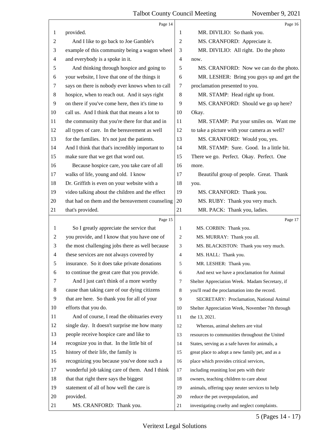|                | Page 14                                         |                | Page 16                                         |
|----------------|-------------------------------------------------|----------------|-------------------------------------------------|
| 1              | provided.                                       | 1              | MR. DIVILIO: So thank you.                      |
| 2              | And I like to go back to Joe Gamble's           | $\mathfrak{2}$ | MS. CRANFORD: Appreciate it.                    |
| 3              | example of this community being a wagon wheel   | 3              | MR. DIVILIO: All right. Do the photo            |
| 4              | and everybody is a spoke in it.                 | $\overline{4}$ | now.                                            |
| 5              | And thinking through hospice and going to       | 5              | MS. CRANFORD: Now we can do the photo.          |
| 6              | your website, I love that one of the things it  | 6              | MR. LESHER: Bring you guys up and get the       |
| 7              | says on there is nobody ever knows when to call | 7              | proclamation presented to you.                  |
| 8              | hospice, when to reach out. And it says right   | 8              | MR. STAMP: Head right up front.                 |
| 9              | on there if you've come here, then it's time to | 9              | MS. CRANFORD: Should we go up here?             |
| 10             | call us. And I think that that means a lot to   | 10             | Okay.                                           |
| 11             | the community that you're there for that and in | 11             | MR. STAMP: Put your smiles on. Want me          |
| 12             | all types of care. In the bereavement as well   | 12             | to take a picture with your camera as well?     |
| 13             | for the families. It's not just the patients.   | 13             | MS. CRANFORD: Would you, yes.                   |
| 14             | And I think that that's incredibly important to | 14             | MR. STAMP: Sure. Good. In a little bit.         |
| 15             | make sure that we get that word out.            | 15             | There we go. Perfect. Okay. Perfect. One        |
| 16             | Because hospice care, you take care of all      | 16             | more.                                           |
| 17             | walks of life, young and old. I know            | 17             | Beautiful group of people. Great. Thank         |
| 18             | Dr. Griffith is even on your website with a     | 18             | you.                                            |
| 19             | video talking about the children and the effect | 19             | MS. CRANFORD: Thank you.                        |
| 20             | that had on them and the bereavement counseling | 20             | MS. RUBY: Thank you very much.                  |
| 21             | that's provided.                                | 21             | MR. PACK: Thank you, ladies.                    |
|                |                                                 |                |                                                 |
|                | Page 15                                         |                | Page 17                                         |
| 1              | So I greatly appreciate the service that        | 1              | MS. CORBIN: Thank you.                          |
| $\overline{2}$ | you provide, and I know that you have one of    | 2              | MS. MURRAY: Thank you all.                      |
| 3              | the most challenging jobs there as well because | 3              | MS. BLACKISTON: Thank you very much.            |
| $\overline{4}$ | these services are not always covered by        | 4              | MS. HALL: Thank you.                            |
| 5              | insurance. So it does take private donations    | 5              | MR. LESHER: Thank you.                          |
| 6              | to continue the great care that you provide.    | 6              | And next we have a proclamation for Animal      |
| 7              | And I just can't think of a more worthy         | 7              | Shelter Appreciation Week. Madam Secretary, if  |
| 8              | cause than taking care of our dying citizens    | 8              | you'll read the proclamation into the record.   |
| 9              | that are here. So thank you for all of your     | 9              | SECRETARY: Proclamation, National Animal        |
| 10             | efforts that you do.                            | 10             | Shelter Appreciation Week, November 7th through |
| 11             | And of course, I read the obituaries every      | 11             | the 13, 2021.                                   |
| 12             | single day. It doesn't surprise me how many     | 12             | Whereas, animal shelters are vital              |
| 13             | people receive hospice care and like to         | 13             | resources to communities throughout the United  |
| 14             | recognize you in that. In the little bit of     | 14             | States, serving as a safe haven for animals, a  |
| 15             | history of their life, the family is            | 15             | great place to adopt a new family pet, and as a |
| 16             | recognizing you because you've done such a      | 16             | place which provides critical services,         |
| 17             | wonderful job taking care of them. And I think  | 17             | including reuniting lost pets with their        |
| 18             | that that right there says the biggest          | 18             | owners, teaching children to care about         |
| 19             | statement of all of how well the care is        | 19             | animals, offering spay neuter services to help  |
| 20             | provided.                                       | 20             | reduce the pet overpopulation, and              |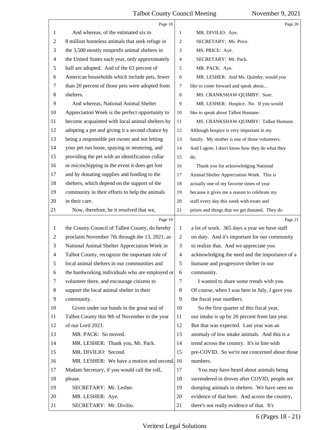|                | Page 18                                         |                | Page 20                                         |
|----------------|-------------------------------------------------|----------------|-------------------------------------------------|
| 1              | And whereas, of the estimated six to            | 1              | MR. DIVILIO: Aye.                               |
| 2              | 8 million homeless animals that seek refuge in  | $\overline{2}$ | SECRETARY: Ms. Price.                           |
| 3              | the 3,500 mostly nonprofit animal shelters in   | 3              | MS. PRICE: Aye.                                 |
| 4              | the United States each year, only approximately | 4              | SECRETARY: Mr. Pack.                            |
| 5              | half are adopted. And of the 63 percent of      | 5              | MR. PACK: Aye.                                  |
| 6              | American households which include pets, fewer   | 6              | MR. LESHER: And Ms. Quimby, would you           |
| 7              | than 20 percent of those pets were adopted from | 7              | like to come forward and speak about            |
| 8              | shelters.                                       | $\,8\,$        | MS. CRANKSHAW-QUIMBY: Sure.                     |
| 9              | And whereas, National Animal Shelter            | 9              | MR. LESHER: Hospice. No. If you would           |
| 10             | Appreciation Week is the perfect opportunity to | 10             | like to speak about Talbot Humane.              |
| 11             | become acquainted with local animal shelters by | 11             | MS. CRANKSHAW-QUIMBY: Talbot Humane.            |
| 12             | adopting a pet and giving it a second chance by | 12             | Although hospice is very important in my        |
| 13             | being a responsible pet owner and not letting   | 13             | family. My mother is one of those volunteers.   |
| 14             | your pet run loose, spaying or neutering, and   | 14             | And I agree, I don't know how they do what they |
| 15             | providing the pet with an identification collar | 15             | do.                                             |
| 16             | or microchipping in the event it does get lost  | 16             | Thank you for acknowledging National            |
| 17             | and by donating supplies and funding to the     | 17             | Animal Shelter Appreciation Week. This is       |
| 18             | shelters, which depend on the support of the    | 18             | actually one of my favorite times of year       |
| 19             | community in their efforts to help the animals  | 19             | because it gives me a reason to celebrate my    |
| 20             | in their care.                                  | 20             | staff every day this week with treats and       |
| 21             | Now, therefore, be it resolved that we,         | 21             | prizes and things that we get donated. They do  |
|                | Page 19                                         |                |                                                 |
|                |                                                 |                | Page 21                                         |
| 1              | the County Council of Talbot County, do hereby  | 1              | a lot of work. 365 days a year we have staff    |
| 2              | proclaim November 7th through the 13, 2021, as  | $\overline{2}$ | on duty. And it's important for our community   |
| 3              | National Animal Shelter Appreciation Week in    | 3              | to realize that. And we appreciate you          |
| $\overline{4}$ | Talbot County, recognize the important role of  | $\overline{4}$ | acknowledging the need and the importance of a  |
| 5              | local animal shelters in our communities and    | 5              | humane and progressive shelter in our           |
| 6              | the hardworking individuals who are employed or | 6              | community.                                      |
| 7              | volunteer there, and encourage citizens to      | 7              | I wanted to share some trends with you.         |
| 8              | support the local animal shelter in their       | $\,8\,$        | Of course, when I was here in July, I gave you  |
| 9              | community.                                      | 9              | the fiscal year numbers.                        |
| 10             | Given under our hands in the great seal of      | 10             | So the first quarter of this fiscal year,       |
| 11             | Talbot County this 9th of November in the year  | 11             | our intake is up by 20 percent from last year.  |
| 12             | of our Lord 2021.                               | 12             | But that was expected. Last year was an         |
| 13             | MR. PACK: So moved.                             | 13             | anomaly of low intake animals. And this is a    |
| 14             | MR. LESHER: Thank you, Mr. Pack.                | 14             | trend across the country. It's in line with     |
| 15             | MR. DIVILIO: Second.                            | 15             | pre-COVID. So we're not concerned about those   |
| 16             | MR. LESHER: We have a motion and second. 16     |                | numbers.                                        |
| 17             | Madam Secretary, if you would call the roll,    | 17             | You may have heard about animals being          |
| 18             | please.                                         | 18             | surrendered in droves after COVID, people are   |
| 19             | SECRETARY: Mr. Lesher.                          | 19             | dumping animals in shelters. We have seen no    |
| 20             | MR. LESHER: Aye.                                | 20             | evidence of that here. And across the country,  |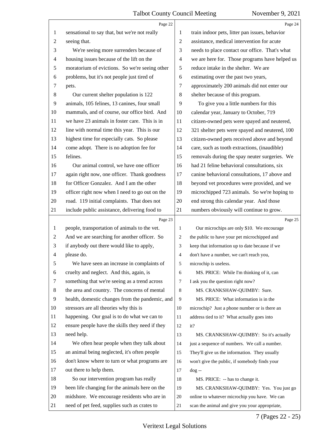|                | Page 22                                         |                | Page 24                                        |
|----------------|-------------------------------------------------|----------------|------------------------------------------------|
| 1              | sensational to say that, but we're not really   | 1              | train indoor pets, litter pan issues, behavior |
| 2              | seeing that.                                    | $\overline{2}$ | assistance, medical intervention for acute     |
| 3              | We're seeing more surrenders because of         | 3              | needs to place contact our office. That's what |
| 4              | housing issues because of the lift on the       | $\overline{4}$ | we are here for. Those programs have helped us |
| 5              | moratorium of evictions. So we're seeing other  | 5              | reduce intake in the shelter. We are           |
| 6              | problems, but it's not people just tired of     | 6              | estimating over the past two years,            |
| 7              | pets.                                           | 7              | approximately 200 animals did not enter our    |
| $8\,$          | Our current shelter population is 122           | 8              | shelter because of this program.               |
| 9              | animals, 105 felines, 13 canines, four small    | 9              | To give you a little numbers for this          |
| 10             | mammals, and of course, our office bird. And    | 10             | calendar year, January to October, 719         |
| 11             | we have 23 animals in foster care. This is in   | 11             | citizen-owned pets were spayed and neutered,   |
| 12             | line with normal time this year. This is our    | 12             | 321 shelter pets were spayed and neutered, 100 |
| 13             | highest time for especially cats. So please     | 13             | citizen-owned pets received above and beyond   |
| 14             | come adopt. There is no adoption fee for        | 14             | care, such as tooth extractions, (inaudible)   |
| 15             | felines.                                        | 15             | removals during the spay neuter surgeries. We  |
| 16             | Our animal control, we have one officer         | 16             | had 21 feline behavioral consultations, six    |
| 17             | again right now, one officer. Thank goodness    | 17             | canine behavioral consultations, 17 above and  |
| 18             | for Officer Gonzalez. And I am the other        | 18             | beyond vet procedures were provided, and we    |
| 19             | officer right now when I need to go out on the  | 19             | microchipped 723 animals. So we're hoping to   |
| 20             | road. 119 initial complaints. That does not     | 20             | end strong this calendar year. And those       |
| 21             | include public assistance, delivering food to   | 21             | numbers obviously will continue to grow.       |
|                | Page 23                                         |                | Page 25                                        |
| $\mathbf{1}$   | people, transportation of animals to the vet.   | 1              | Our microchips are only \$10. We encourage     |
| $\overline{c}$ | And we are searching for another officer. So    | 2              | the public to have your pet microchipped and   |
| 3              | if anybody out there would like to apply,       | 3              | keep that information up to date because if we |
| 4              | please do.                                      | $\overline{4}$ | don't have a number, we can't reach you,       |
| 5              | We have seen an increase in complaints of       | 5              | microchip is useless.                          |
| 6              | cruelty and neglect. And this, again, is        | 6              | MS. PRICE: While I'm thinking of it, can       |
| 7              | something that we're seeing as a trend across   | 7              | I ask you the question right now?              |
| 8              | the area and country. The concerns of mental    | 8              | MS. CRANKSHAW-QUIMBY: Sure.                    |
| 9              | health, domestic changes from the pandemic, and | 9              | MS. PRICE: What information is in the          |
| 10             | stressors are all theories why this is          | 10             | microchip? Just a phone number or is there an  |
| 11             | happening. Our goal is to do what we can to     | 11             | address tied to it? What actually goes into    |
| 12             | ensure people have the skills they need if they | 12             | it?                                            |
| 13             | need help.                                      | 13             | MS. CRANKSHAW-QUIMBY: So it's actually         |
| 14             | We often hear people when they talk about       | 14             | just a sequence of numbers. We call a number.  |
| 15             | an animal being neglected, it's often people    | 15             | They'll give us the information. They usually  |
| 16             | don't know where to turn or what programs are   | 16             | won't give the public, if somebody finds your  |
| 17             | out there to help them.                         | 17             | $\log -$                                       |
| 18             | So our intervention program has really          | 18             | MS. PRICE: -- has to change it.                |
| 19             | been life changing for the animals here on the  | 19             | MS. CRANKSHAW-QUIMBY: Yes. You just go         |
| 20             |                                                 |                | online to whatever microchip you have. We can  |
|                | midshore. We encourage residents who are in     | 20             |                                                |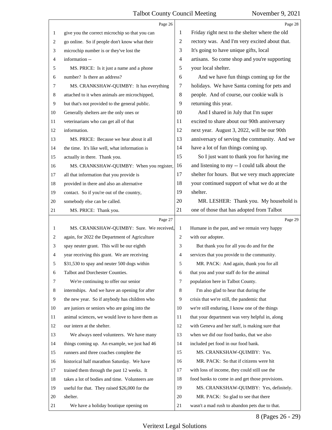|    | Page 26                                        |                | Page 28                                         |
|----|------------------------------------------------|----------------|-------------------------------------------------|
| 1  | give you the correct microchip so that you can | 1              | Friday right next to the shelter where the old  |
| 2  | go online. So if people don't know what their  | 2              | rectory was. And I'm very excited about that.   |
| 3  | microchip number is or they've lost the        | 3              | It's going to have unique gifts, local          |
| 4  | information --                                 | 4              | artisans. So come shop and you're supporting    |
| 5  | MS. PRICE: Is it just a name and a phone       | 5              | your local shelter.                             |
| 6  | number? Is there an address?                   | 6              | And we have fun things coming up for the        |
| 7  | MS. CRANKSHAW-QUIMBY: It has everything        | 7              | holidays. We have Santa coming for pets and     |
| 8  | attached to it when animals are microchipped,  | 8              | people. And of course, our cookie walk is       |
| 9  | but that's not provided to the general public. | 9              | returning this year.                            |
| 10 | Generally shelters are the only ones or        | 10             | And I shared in July that I'm super             |
| 11 | veterinarians who can get all of that          | 11             | excited to share about our 90th anniversary     |
| 12 | information.                                   | 12             | next year. August 3, 2022, will be our 90th     |
| 13 | MS. PRICE: Because we hear about it all        | 13             | anniversary of serving the community. And we    |
| 14 | the time. It's like well, what information is  | 14             | have a lot of fun things coming up.             |
| 15 | actually in there. Thank you.                  | 15             | So I just want to thank you for having me       |
| 16 | MS. CRANKSHAW-QUIMBY: When you register,       | 16             | and listening to my -- I could talk about the   |
| 17 | all that information that you provide is       | 17             | shelter for hours. But we very much appreciate  |
| 18 | provided in there and also an alternative      | 18             | your continued support of what we do at the     |
| 19 | contact. So if you're out of the country,      | 19             | shelter.                                        |
| 20 | somebody else can be called.                   | 20             | MR. LESHER: Thank you. My household is          |
| 21 | MS. PRICE: Thank you.                          | 21             | one of those that has adopted from Talbot       |
|    |                                                |                |                                                 |
|    | Page 27                                        |                | Page 29                                         |
| 1  | MS. CRANKSHAW-QUIMBY: Sure. We received,       | 1              | Humane in the past, and we remain very happy    |
| 2  | again, for 2022 the Department of Agriculture  | $\overline{c}$ | with our adoptee.                               |
| 3  | spay neuter grant. This will be our eighth     | 3              | But thank you for all you do and for the        |
| 4  | year receiving this grant. We are receiving    | $\overline{4}$ | services that you provide to the community.     |
| 5  | \$31,530 to spay and neuter 500 dogs within    | 5              | MR. PACK: And again, thank you for all          |
| 6  | Talbot and Dorchester Counties.                | 6              | that you and your staff do for the animal       |
| 7  | We're continuing to offer our senior           | 7              | population here in Talbot County.               |
| 8  | internships. And we have an opening for after  | 8              | I'm also glad to hear that during the           |
| 9  | the new year. So if anybody has children who   | 9              | crisis that we're still, the pandemic that      |
| 10 | are juniors or seniors who are going into the  | 10             | we're still enduring, I know one of the things  |
| 11 | animal sciences, we would love to have them as | 11             | that your department was very helpful in, along |
| 12 | our intern at the shelter.                     | 12             | with Geneva and her staff, is making sure that  |
| 13 | We always need volunteers. We have many        | 13             | when we did our food banks, that we also        |
| 14 | things coming up. An example, we just had 46   | 14             | included pet food in our food bank.             |
| 15 | runners and three coaches complete the         | 15             | MS. CRANKSHAW-QUIMBY: Yes.                      |
| 16 | historical half marathon Saturday. We have     | 16             | MR. PACK: So that if citizens were hit          |
| 17 | trained them through the past 12 weeks. It     | 17             | with loss of income, they could still use the   |
| 18 | takes a lot of bodies and time. Volunteers are | 18             | food banks to come in and get those provisions. |
| 19 | useful for that. They raised \$26,000 for the  | 19             | MS. CRANKSHAW-QUIMBY: Yes, definitely.          |
| 20 | shelter.                                       | 20             | MR. PACK: So glad to see that there             |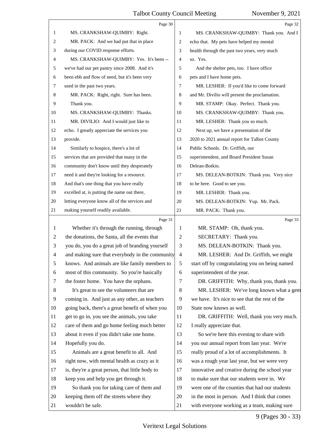|    | Page 30                                         |                          | Page 32                                        |
|----|-------------------------------------------------|--------------------------|------------------------------------------------|
| 1  | MS. CRANKSHAW-QUIMBY: Right.                    | 1                        | MS. CRANKSHAW-QUIMBY: Thank you. And I         |
| 2  | MR. PACK: And we had put that in place          | 2                        | echo that. My pets have helped my mental       |
| 3  | during our COVID response efforts.              | 3                        | health through the past two years, very much   |
| 4  | MS. CRANKSHAW-QUIMBY: Yes. It's been --         | $\overline{4}$           | so. Yes.                                       |
| 5  | we've had our pet pantry since 2008. And it's   | 5                        | And the shelter pets, too. I have office       |
| 6  | been ebb and flow of need, but it's been very   | 6                        | pets and I have home pets.                     |
| 7  | used in the past two years.                     | 7                        | MR. LESHER: If you'd like to come forward      |
| 8  | MR. PACK: Right, right. Sure has been.          | 8                        | and Mr. Divilio will present the proclamation. |
| 9  | Thank you.                                      | 9                        | MR. STAMP: Okay. Perfect. Thank you.           |
| 10 | MS. CRANKSHAW-QUIMBY: Thanks.                   | 10                       | MS. CRANKSHAW-QUIMBY: Thank you.               |
| 11 | MR. DIVILIO: And I would just like to           | 11                       | MR. LESHER: Thank you so much.                 |
| 12 | echo. I greatly appreciate the services you     | 12                       | Next up, we have a presentation of the         |
| 13 | provide.                                        | 13                       | 2020 to 2021 annual report for Talbot County   |
| 14 | Similarly to hospice, there's a lot of          | 14                       | Public Schools. Dr. Griffith, our              |
| 15 | services that are provided that many in the     | 15                       | superintendent, and Board President Susan      |
| 16 | community don't know until they desperately     | 16                       | Delean-Botkin.                                 |
| 17 | need it and they're looking for a resource.     | 17                       | MS. DELEAN-BOTKIN: Thank you. Very nice        |
| 18 | And that's one thing that you have really       | 18                       | to be here. Good to see you.                   |
| 19 | excelled at, is putting the name out there,     | 19                       | MR. LESHER: Thank you.                         |
| 20 | letting everyone know all of the services and   | 20                       | MS. DELEAN-BOTKIN: Yup. Mr. Pack.              |
| 21 | making yourself readily available.              | 21                       | MR. PACK: Thank you.                           |
|    |                                                 |                          |                                                |
|    | Page 31                                         |                          | Page 33                                        |
| 1  | Whether it's through the running, through       | 1                        | MR. STAMP: Oh, thank you.                      |
| 2  | the donations, the Santa, all the events that   | $\overline{c}$           | SECRETARY: Thank you.                          |
| 3  | you do, you do a great job of branding yourself | 3                        | MS. DELEAN-BOTKIN: Thank you.                  |
| 4  | and making sure that everybody in the community | $\overline{\mathcal{A}}$ | MR. LESHER: And Dr. Griffith, we might         |
| 5  | knows. And animals are like family members to   | 5                        | start off by congratulating you on being named |
| 6  | most of this community. So you're basically     | 6                        | superintendent of the year.                    |
| 7  | the foster home. You have the orphans.          | 7                        | DR. GRIFFITH: Why, thank you, thank you.       |
| 8  | It's great to see the volunteers that are       | 8                        | MR. LESHER: We've long known what a gem        |
| 9  | coming in. And just as any other, as teachers   | 9                        | we have. It's nice to see that the rest of the |
| 10 | going back, there's a great benefit of when you | 10                       | State now knows as well.                       |
| 11 | get to go in, you see the animals, you take     | 11                       | DR. GRIFFITH: Well, thank you very much.       |
| 12 | care of them and go home feeling much better    | 12                       | I really appreciate that.                      |
| 13 | about it even if you didn't take one home.      | 13                       | So we're here this evening to share with       |
| 14 | Hopefully you do.                               | 14                       | you our annual report from last year. We're    |
| 15 | Animals are a great benefit to all. And         | 15                       | really proud of a lot of accomplishments. It   |
| 16 | right now, with mental health as crazy as it    | 16                       | was a rough year last year, but we were very   |
| 17 | is, they're a great person, that little body to | 17                       | innovative and creative during the school year |
| 18 | keep you and help you get through it.           | 18                       | to make sure that our students were in. We     |
| 19 | So thank you for taking care of them and        | 19                       | were one of the counties that had our students |
| 20 | keeping them off the streets where they         | 20                       | in the most in person. And I think that comes  |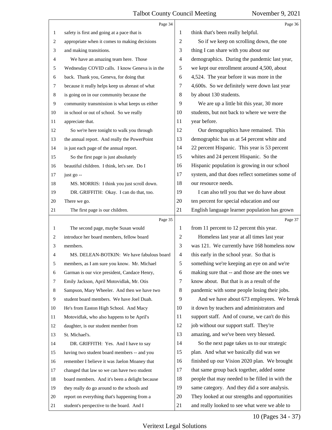|                | Page 34                                         |                | Page 36                                         |
|----------------|-------------------------------------------------|----------------|-------------------------------------------------|
| $\mathbf{1}$   | safety is first and going at a pace that is     | 1              | think that's been really helpful.               |
| $\overline{2}$ | appropriate when it comes to making decisions   | 2              | So if we keep on scrolling down, the one        |
| 3              | and making transitions.                         | 3              | thing I can share with you about our            |
| 4              | We have an amazing team here. Those             | 4              | demographics. During the pandemic last year,    |
| 5              | Wednesday COVID calls. I know Geneva is in the  | 5              | we kept our enrollment around 4,500, about      |
| 6              | back. Thank you, Geneva, for doing that         | 6              | 4,524. The year before it was more in the       |
| 7              | because it really helps keep us abreast of what | 7              | 4,600s. So we definitely were down last year    |
| 8              | is going on in our community because the        | 8              | by about 130 students.                          |
| 9              | community transmission is what keeps us either  | 9              | We are up a little bit this year, 30 more       |
| 10             | in school or out of school. So we really        | 10             | students, but not back to where we were the     |
| 11             | appreciate that.                                | 11             | year before.                                    |
| 12             | So we're here tonight to walk you through       | 12             | Our demographics have remained. This            |
| 13             | the annual report. And really the PowerPoint    | 13             | demographic has us at 54 percent white and      |
| 14             | is just each page of the annual report.         | 14             | 22 percent Hispanic. This year is 53 percent    |
| 15             | So the first page is just absolutely            | 15             | whites and 24 percent Hispanic. So the          |
| 16             | beautiful children. I think, let's see. Do I    | 16             | Hispanic population is growing in our school    |
| 17             | just go --                                      | 17             | system, and that does reflect sometimes some of |
| 18             | MS. MORRIS: I think you just scroll down.       | 18             | our resource needs.                             |
| 19             | DR. GRIFFITH: Okay. I can do that, too.         | 19             | I can also tell you that we do have about       |
| 20             | There we go.                                    | 20             | ten percent for special education and our       |
| 21             | The first page is our children.                 | 21             | English language learner population has grown   |
|                |                                                 |                |                                                 |
|                | Page 35                                         |                | Page 37                                         |
| 1              | The second page, maybe Susan would              | 1              | from 11 percent to 12 percent this year.        |
| 2              | introduce her board members, fellow board       | 2              | Homeless last year at all times last year       |
| 3              | members.                                        | 3              | was 121. We currently have 168 homeless now     |
| 4              | MS. DELEAN-BOTKIN: We have fabulous board       | $\overline{4}$ | this early in the school year. So that is       |
| 5              | members, as I am sure you know. Mr. Michael     | 5              | something we're keeping an eye on and we're     |
| 6              | Garman is our vice president, Candace Henry,    | 6              | making sure that -- and those are the ones we   |
| 7              | Emily Jackson, April Motovidlak, Mr. Otis       | 7              | know about. But that is as a result of the      |
| 8              | Sampson, Mary Wheeler. And then we have two     | 8              | pandemic with some people losing their jobs.    |
| 9              | student board members. We have Joel Duah.       | 9              | And we have about 673 employees. We break       |
| $10\,$         | He's from Easton High School. And Macy          | 10             | it down by teachers and administrators and      |
| 11             | Motovidlak, who also happens to be April's      | 11             | support staff. And of course, we can't do this  |
| 12             | daughter, is our student member from            | 12             | job without our support staff. They're          |
| 13             | St. Michael's.                                  | 13             | amazing, and we've been very blessed.           |
| 14             | DR. GRIFFITH: Yes. And I have to say            | 14             | So the next page takes us to our strategic      |
| 15             | having two student board members -- and you     | 15             | plan. And what we basically did was we          |
| 16             | remember I believe it was Jaelon Moaney that    | 16             | finished up our Vision 2020 plan. We brought    |
| 17             | changed that law so we can have two student     | 17             | that same group back together, added some       |
| 18             | board members. And it's been a delight because  | 18             | people that may needed to be filled in with the |
| 19             | they really do go around to the schools and     | 19             | same category. And they did a sore analysis.    |
| 20             | report on everything that's happening from a    | 20             | They looked at our strengths and opportunities  |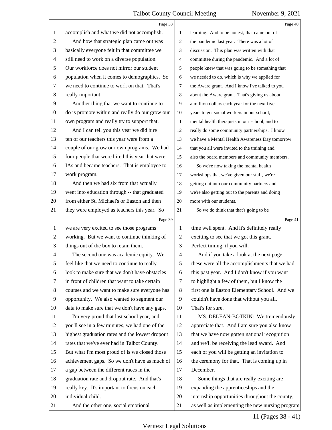|                | Page 38                                                  |                | Page 40                                                                                            |
|----------------|----------------------------------------------------------|----------------|----------------------------------------------------------------------------------------------------|
| 1              | accomplish and what we did not accomplish.               | 1              | learning. And to be honest, that came out of                                                       |
| 2              | And how that strategic plan came out was                 | 2              | the pandemic last year. There was a lot of                                                         |
| 3              | basically everyone felt in that committee we             | 3              | discussion. This plan was written with that                                                        |
| 4              | still need to work on a diverse population.              | 4              | committee during the pandemic. And a lot of                                                        |
| 5              | Our workforce does not mirror our student                | 5              | people knew that was going to be something that                                                    |
| 6              | population when it comes to demographics. So             | 6              | we needed to do, which is why we applied for                                                       |
| 7              | we need to continue to work on that. That's              | 7              | the Aware grant. And I know I've talked to you                                                     |
| 8              | really important.                                        | 8              | about the Aware grant. That's giving us about                                                      |
| 9              | Another thing that we want to continue to                | 9              | a million dollars each year for the next five                                                      |
| 10             | do is promote within and really do our grow our          | 10             | years to get social workers in our school,                                                         |
| 11             | own program and really try to support that.              | 11             | mental health therapists in our school, and to                                                     |
| 12             | And I can tell you this year we did hire                 | 12             | really do some community partnerships. I know                                                      |
| 13             | ten of our teachers this year were from a                | 13             | we have a Mental Health Awareness Day tomorrow                                                     |
| 14             | couple of our grow our own programs. We had              | 14             | that you all were invited to the training and                                                      |
| 15             | four people that were hired this year that were          | 15             | also the board members and community members.                                                      |
| 16             | IAs and became teachers. That is employee to             | 16             | So we're now taking the mental health                                                              |
| 17             | work program.                                            | 17             | workshops that we've given our staff, we're                                                        |
| 18             | And then we had six from that actually                   | $18\,$         | getting out into our community partners and                                                        |
| 19             | went into education through -- that graduated            | 19             | we're also getting out to the parents and doing                                                    |
| 20             | from either St. Michael's or Easton and then             | $20\,$         | more with our students.                                                                            |
| 21             | they were employed as teachers this year. So             | 21             | So we do think that that's going to be                                                             |
|                | Page 39                                                  |                | Page 41                                                                                            |
| $\mathbf{1}$   | we are very excited to see those programs                | 1              | time well spent. And it's definitely really                                                        |
| $\overline{c}$ | working. But we want to continue thinking of             | $\overline{c}$ | exciting to see that we got this grant.                                                            |
| 3              | things out of the box to retain them.                    | 3              | Perfect timing, if you will.                                                                       |
| 4              | The second one was academic equity. We                   | $\overline{4}$ | And if you take a look at the next page,                                                           |
| 5              | feel like that we need to continue to really             | 5              | these were all the accomplishments that we had                                                     |
| 6              | look to make sure that we don't have obstacles           | 6              | this past year. And I don't know if you want                                                       |
| 7              | in front of children that want to take certain           | 7              | to highlight a few of them, but I know the                                                         |
| 8              | courses and we want to make sure everyone has            | 8              | first one is Easton Elementary School. And we                                                      |
| 9              | opportunity. We also wanted to segment our               | 9              | couldn't have done that without you all.                                                           |
| 10             | data to make sure that we don't have any gaps.           | 10             | That's for sure.                                                                                   |
| 11             | I'm very proud that last school year, and                | 11             | MS. DELEAN-BOTKIN: We tremendously                                                                 |
| 12             | you'll see in a few minutes, we had one of the           | 12             | appreciate that. And I am sure you also know                                                       |
| 13             | highest graduation rates and the lowest dropout          | 13             | that we have now gotten national recognition                                                       |
| 14             | rates that we've ever had in Talbot County.              | 14             | and we'll be receiving the lead award. And                                                         |
| 15             | But what I'm most proud of is we closed those            | 15             | each of you will be getting an invitation to                                                       |
| 16             | achievement gaps. So we don't have as much of            | 16             | the ceremony for that. That is coming up in                                                        |
| 17             |                                                          |                |                                                                                                    |
|                | a gap between the different races in the                 | 17             | December.                                                                                          |
| 18             | graduation rate and dropout rate. And that's             | 18             | Some things that are really exciting are                                                           |
| 19             | really key. It's important to focus on each              | 19             | expanding the apprenticeships and the                                                              |
| 20<br>21       | individual child.<br>And the other one, social emotional | 20<br>21       | internship opportunities throughout the county,<br>as well as implementing the new nursing program |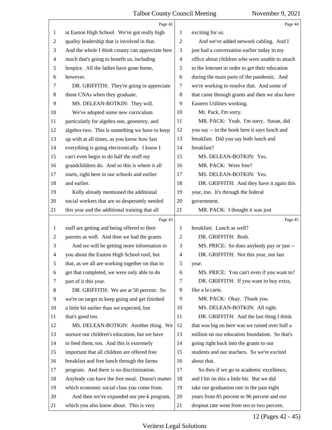|              | Page 42                                         |                | Page 44                                         |
|--------------|-------------------------------------------------|----------------|-------------------------------------------------|
| 1            | at Easton High School. We've got really high    | 1              | exciting for us.                                |
| 2            | quality leadership that is involved in that.    | $\overline{2}$ | And we've added network cabling. And I          |
| 3            | And the whole I think county can appreciate how | 3              | just had a conversation earlier today in my     |
| 4            | much that's going to benefit us, including      | 4              | office about children who were unable to attach |
| 5            | hospice. All the ladies have gone home,         | 5              | to the Internet in order to get their education |
| 6            | however.                                        | 6              | during the main parts of the pandemic. And      |
| 7            | DR. GRIFFITH: They're going to appreciate       | 7              | we're working to resolve that. And some of      |
| 8            | those CNAs when they graduate.                  | 8              | that came through grants and then we also have  |
| 9            | MS. DELEAN-BOTKIN: They will.                   | 9              | Eastern Utilities working.                      |
| 10           | We've adopted some new curriculum               | 10             | Mr. Pack, I'm sorry.                            |
| 11           | particularly for algebra one, geometry, and     | 11             | MR. PACK: Yeah. I'm sorry. Susan, did           |
| 12           | algebra two. This is something we have to keep  | 12             | you say -- in the book here it says lunch and   |
| 13           | up with at all times, as you know how fast      | 13             | breakfast. Did you say both lunch and           |
| 14           | everything is going electronically. I know I    | 14             | breakfast?                                      |
| 15           | can't even begin to do half the stuff my        | 15             | MS. DELEAN-BOTKIN: Yes.                         |
| 16           | grandchildren do. And so this is where it all   | 16             | MR. PACK: Were free?                            |
| 17           | starts, right here in our schools and earlier   | 17             | MS. DELEAN-BOTKIN: Yes.                         |
| 18           | and earlier.                                    | 18             | DR. GRIFFITH: And they have it again this       |
| 19           | Kelly already mentioned the additional          | 19             | year, too. It's through the federal             |
| 20           | social workers that are so desperately needed   | 20             | government.                                     |
| 21           | this year and the additional training that all  | 21             | MR. PACK: I thought it was just                 |
|              |                                                 |                |                                                 |
|              | Page 43                                         |                | Page 45                                         |
| $\mathbf{1}$ | staff are getting and being offered to their    | 1              | breakfast. Lunch as well?                       |
| 2            | parents as well. And then we had the grants.    | 2              | DR. GRIFFITH: Both.                             |
| 3            | And we will be getting more information to      | 3              | MS. PRICE: So does anybody pay or just --       |
| 4            | you about the Easton High School roof, but      | 4              | DR. GRIFFITH: Not this year, nor last           |
| 5            | that, as we all are working together on that to | 5              | year.                                           |
| 6            | get that completed, we were only able to do     | 6              | MS. PRICE: You can't even if you want to?       |
| 7            | part of it this year.                           | 7              | DR. GRIFFITH: If you want to buy extra,         |
| 8            | DR. GRIFFITH: We are at 50 percent. So          | 8              | like a la carte.                                |
| 9            | we're on target to keep going and get finished  | 9              | MR. PACK: Okay. Thank you.                      |
| 10           | a little bit earlier than we expected, but      | 10             | MS. DELEAN-BOTKIN: All right.                   |
| 11           | that's good too.                                | 11             | DR. GRIFFITH: And the last thing I think        |
| 12           | MS. DELEAN-BOTKIN: Another thing. We            | 12             | that was big on here was we raised over half a  |
| 13           | nurture our children's education, but we have   | 13             | million on our education foundation. So that's  |
| 14           | to feed them, too. And this is extremely        | 14             | going right back into the grants to our         |
| 15           | important that all children are offered free    | 15             | students and our teachers. So we're excited     |
| 16           | breakfast and free lunch through the farms      | 16             | about that.                                     |
| 17           | program. And there is no discrimination.        | 17             | So then if we go to academic excellence,        |
| 18           | Anybody can have the free meal. Doesn't matter  | 18             | and I hit on this a little bit. But we did      |
| 19           | which economic social class you come from.      | 19             | take our graduation rate in the past eight      |
| 20           | And then we've expanded our pre-k program,      | 20             | years from 85 percent to 96 percent and our     |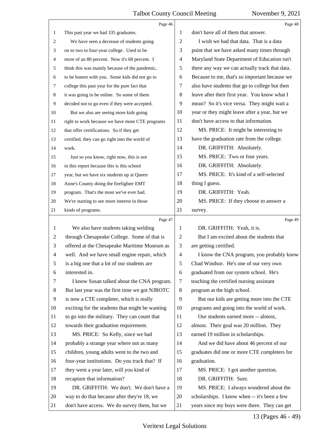|    | Page 46                                         |    | Page 48                                        |
|----|-------------------------------------------------|----|------------------------------------------------|
| 1  | This past year we had 335 graduates.            | 1  | don't have all of them that answer.            |
| 2  | We have seen a decrease of students going       | 2  | I wish we had that data. That is a data        |
| 3  | on to two to four-year college. Used to be      | 3  | point that we have asked many times through    |
| 4  | more of an 80 percent. Now it's 68 percent. I   | 4  | Maryland State Department of Education isn't   |
| 5  | think this was mainly because of the pandemic,  | 5  | there any way we can actually track that data. |
| 6  | to be honest with you. Some kids did not go to  | 6  | Because to me, that's so important because we  |
| 7  | college this past year for the pure fact that   | 7  | also have students that go to college but then |
| 8  | it was going to be online. So some of them      | 8  | leave after their first year. You know what I  |
| 9  | decided not to go even if they were accepted.   | 9  | mean? So it's vice versa. They might wait a    |
| 10 | But we also are seeing more kids going          | 10 | year or they might leave after a year, but we  |
| 11 | right to work because we have more CTE programs | 11 | don't have access to that information.         |
| 12 | that offer certifications. So if they get       | 12 | MS. PRICE: It might be interesting to          |
| 13 | certified, they can go right into the world of  | 13 | have the graduation rate from the college.     |
| 14 | work.                                           | 14 | DR. GRIFFITH: Absolutely.                      |
| 15 | Just so you know, right now, this is not        | 15 | MS. PRICE: Two or four years.                  |
| 16 | in this report because this is this school      | 16 | DR. GRIFFITH: Absolutely.                      |
| 17 | year, but we have six students up at Queen      | 17 | MS. PRICE: It's kind of a self-selected        |
| 18 | Anne's County doing the firefighter EMT         | 18 | thing I guess.                                 |
| 19 | program. That's the most we've ever had.        | 19 | DR. GRIFFITH: Yeah.                            |
| 20 | We're starting to see more interest in those    | 20 | MS. PRICE: If they choose to answer a          |
| 21 | kinds of programs.                              | 21 | survey.                                        |
|    |                                                 |    |                                                |
|    | Page 47                                         |    | Page 49                                        |
| 1  | We also have students taking welding            | 1  | DR. GRIFFITH: Yeah, it is.                     |
| 2  | through Chesapeake College. Some of that is     | 2  | But I am excited about the students that       |
| 3  | offered at the Chesapeake Maritime Museum as    | 3  | are getting certified.                         |
| 4  | well. And we have small engine repair, which    | 4  | I know the CNA program, you probably know      |
|    | is a big one that a lot of our students are     | 5  | Chad Windsor. He's one of our very own         |
| 6  | interested in.                                  | 6  | graduated from our system school. He's         |
| 7  | I know Susan talked about the CNA program.      | 7  | teaching the certified nursing assistant       |
| 8  | But last year was the first time we got NJROTC  | 8  | program at the high school.                    |
| 9  | is now a CTE completer, which is really         | 9  | But our kids are getting more into the CTE     |
| 10 | exciting for the students that might be wanting | 10 | programs and going into the world of work.     |
| 11 | to go into the military. They can count that    | 11 | Our students earned more -- almost,            |
| 12 | towards their graduation requirement.           | 12 | almost. Their goal was 20 million. They        |
| 13 | MS. PRICE: So Kelly, since we had               | 13 | earned 19 million in scholarships.             |
| 14 | probably a strange year where not as many       | 14 | And we did have about 46 percent of our        |
| 15 | children, young adults went to the two and      | 15 | graduates did one or more CTE completers for   |
| 16 | four-year institutions. Do you track that? If   | 16 | graduation.                                    |
| 17 | they went a year later, will you kind of        | 17 | MS. PRICE: I got another question.             |
| 18 | recapture that information?                     | 18 | DR. GRIFFITH: Sure.                            |
| 19 | DR. GRIFFITH: We don't. We don't have a         | 19 | MS. PRICE: I always wondered about the         |
| 20 | way to do that because after they're 18, we     | 20 | scholarships. I know when -- it's been a few   |

# 13 (Pages 46 - 49)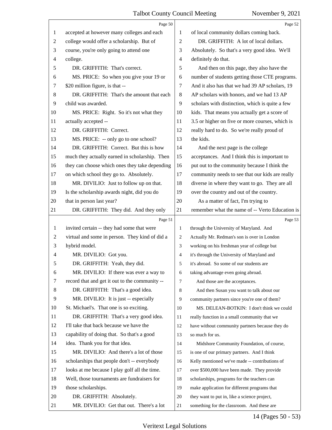|              | Page 50                                        |                | Page 52                                         |
|--------------|------------------------------------------------|----------------|-------------------------------------------------|
| 1            | accepted at however many colleges and each     | 1              | of local community dollars coming back.         |
| 2            | college would offer a scholarship. But of      | $\overline{c}$ | DR. GRIFFITH: A lot of local dollars.           |
| 3            | course, you're only going to attend one        | 3              | Absolutely. So that's a very good idea. We'll   |
| 4            | college.                                       | $\overline{4}$ | definitely do that.                             |
| 5            | DR. GRIFFITH: That's correct.                  | 5              | And then on this page, they also have the       |
| 6            | MS. PRICE: So when you give your 19 or         | 6              | number of students getting those CTE programs.  |
| 7            | \$20 million figure, is that --                | 7              | And it also has that we had 39 AP scholars, 19  |
| 8            | DR. GRIFFITH: That's the amount that each      | 8              | AP scholars with honors, and we had 13 AP       |
| 9            | child was awarded.                             | 9              | scholars with distinction, which is quite a few |
| 10           | MS. PRICE: Right. So it's not what they        | 10             | kids. That means you actually get a score of    |
| 11           | actually accepted --                           | 11             | 3.5 or higher on five or more courses, which is |
| 12           | DR. GRIFFITH: Correct.                         | 12             | really hard to do. So we're really proud of     |
| 13           | MS. PRICE: -- only go to one school?           | 13             | the kids.                                       |
| 14           | DR. GRIFFITH: Correct. But this is how         | 14             | And the next page is the college                |
| 15           | much they actually earned in scholarship. Then | 15             | acceptances. And I think this is important to   |
| 16           | they can choose which ones they take depending | 16             | put out to the community because I think the    |
| 17           | on which school they go to. Absolutely.        | 17             | community needs to see that our kids are really |
| 18           | MR. DIVILIO: Just to follow up on that.        | 18             | diverse in where they want to go. They are all  |
| 19           | Is the scholarship awards night, did you do    | 19             | over the country and out of the country.        |
| 20           | that in person last year?                      | 20             | As a matter of fact, I'm trying to              |
| 21           | DR. GRIFFITH: They did. And they only          | 21             | remember what the name of -- Verto Education is |
|              |                                                |                |                                                 |
|              | Page 51                                        |                | Page 53                                         |
| $\mathbf{1}$ | invited certain -- they had some that were     | 1              | through the University of Maryland. And         |
| 2            | virtual and some in person. They kind of did a | 2              | Actually Mr. Redman's son is over in London     |
| 3            | hybrid model.                                  | 3              | working on his freshman year of college but     |
| 4            | MR. DIVILIO: Got you.                          | 4              | it's through the University of Maryland and     |
| 5            | DR. GRIFFITH: Yeah, they did.                  | 5              | it's abroad. So some of our students are        |
| 6            | MR. DIVILIO: If there was ever a way to        | 6              | taking advantage even going abroad.             |
| 7            | record that and get it out to the community -- | 7              | And those are the acceptances.                  |
| 8            | DR. GRIFFITH: That's a good idea.              | 8              | And then Susan you want to talk about our       |
| 9            | MR. DIVILIO: It is just -- especially          | 9              | community partners since you're one of them?    |
| 10           | St. Michael's. That one is so exciting.        | 10             | MS. DELEAN-BOTKIN: I don't think we could       |
| 11           | DR. GRIFFITH: That's a very good idea.         | 11             | really function in a small community that we    |
| 12           | I'll take that back because we have the        | 12             | have without community partners because they do |
| 13           | capability of doing that. So that's a good     | 13             | so much for us.                                 |
| 14           | idea. Thank you for that idea.                 | 14             | Midshore Community Foundation, of course,       |
| 15           | MR. DIVILIO: And there's a lot of those        | 15             | is one of our primary partners. And I think     |
| 16           | scholarships that people don't -- everybody    | 16             | Kelly mentioned we've made -- contributions of  |
| 17           | looks at me because I play golf all the time.  | 17             | over \$500,000 have been made. They provide     |
| 18           | Well, those tournaments are fundraisers for    | 18             | scholarships, programs for the teachers can     |
| 19           | those scholarships.                            | 19             | make application for different programs that    |
| 20           | DR. GRIFFITH: Absolutely.                      | 20             | they want to put in, like a science project,    |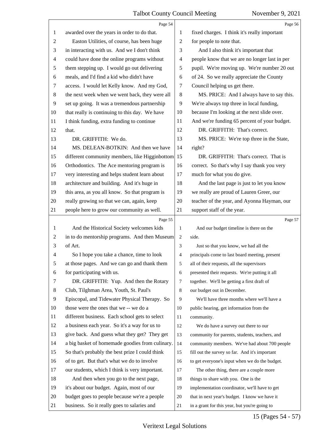|                | Page 54                                         |                | Page 56                                        |
|----------------|-------------------------------------------------|----------------|------------------------------------------------|
| 1              | awarded over the years in order to do that.     | 1              | fixed charges. I think it's really important   |
| $\overline{c}$ | Easton Utilities, of course, has been huge      | 2              | for people to note that.                       |
| 3              | in interacting with us. And we I don't think    | 3              | And I also think it's important that           |
| 4              | could have done the online programs without     | 4              | people know that we are no longer last in per  |
| 5              | them stepping up. I would go out delivering     | 5              | pupil. We're moving up. We're number 20 out    |
| 6              | meals, and I'd find a kid who didn't have       | 6              | of 24. So we really appreciate the County      |
| 7              | access. I would let Kelly know. And my God,     | 7              | Council helping us get there.                  |
| 8              | the next week when we went back, they were all  | 8              | MS. PRICE: And I always have to say this.      |
| $\overline{9}$ | set up going. It was a tremendous partnership   | 9              | We're always top three in local funding,       |
| 10             | that really is continuing to this day. We have  | 10             | because I'm looking at the next slide over.    |
| 11             | I think funding, extra funding to continue      | 11             | And we're funding 65 percent of your budget.   |
| 12             | that.                                           | 12             | DR. GRIFFITH: That's correct.                  |
| 13             | DR. GRIFFITH: We do.                            | 13             | MS. PRICE: We're top three in the State,       |
| 14             | MS. DELEAN-BOTKIN: And then we have             | 14             | right?                                         |
| 15             | different community members, like Higginbottom  | 15             | DR. GRIFFITH: That's correct. That is          |
| 16             | Orthodontics. The Ace mentoring program is      | 16             | correct. So that's why I say thank you very    |
| 17             | very interesting and helps student learn about  | 17             | much for what you do give.                     |
| 18             | architecture and building. And it's huge in     | 18             | And the last page is just to let you know      |
| 19             | this area, as you all know. So that program is  | 19             | we really are proud of Lauren Greer, our       |
| 20             | really growing so that we can, again, keep      | 20             | teacher of the year, and Ayonna Hayman, our    |
| 21             | people here to grow our community as well.      | 21             | support staff of the year.                     |
|                |                                                 |                |                                                |
|                | Page 55                                         |                | Page 57                                        |
| 1              | And the Historical Society welcomes kids        | 1              | And our budget timeline is there on the        |
| 2              | in to do mentorship programs. And then Museum   | 2              | side.                                          |
| 3              | of Art.                                         | 3              | Just so that you know, we had all the          |
| 4              | So I hope you take a chance, time to look       | 4              | principals come to last board meeting, present |
| 5              | at those pages. And we can go and thank them    | 5              | all of their requests, all the supervisors     |
| 6              | for participating with us.                      | 6              | presented their requests. We're putting it all |
| 7              | DR. GRIFFITH: Yup. And then the Rotary          | $\overline{7}$ | together. We'll be getting a first draft of    |
| 8              | Club, Tilghman Area, Youth, St. Paul's          | 8              | our budget out in December.                    |
| $\overline{9}$ | Episcopal, and Tidewater Physical Therapy. So   | 9              | We'll have three months where we'll have a     |
| 10             | those were the ones that we -- we do a          | 10             | public hearing, get information from the       |
| 11             | different business. Each school gets to select  | 11             | community.                                     |
| 12             | a business each year. So it's a way for us to   | 12             | We do have a survey out there to our           |
| 13             | give back. And guess what they get? They get    | 13             | community for parents, students, teachers, and |
| 14             | a big basket of homemade goodies from culinary. | 14             | community members. We've had about 700 people  |
| 15             | So that's probably the best prize I could think | 15             | fill out the survey so far. And it's important |
| 16             | of to get. But that's what we do to involve     | 16             | to get everyone's input when we do the budget. |
| 17             | our students, which I think is very important.  | 17             | The other thing, there are a couple more       |
| 18             | And then when you go to the next page,          | 18             | things to share with you. One is the           |
| 19             | it's about our budget. Again, most of our       | 19             | implementation coordinator, we'll have to get  |
| 20             | budget goes to people because we're a people    | 20             | that in next year's budget. I know we have it  |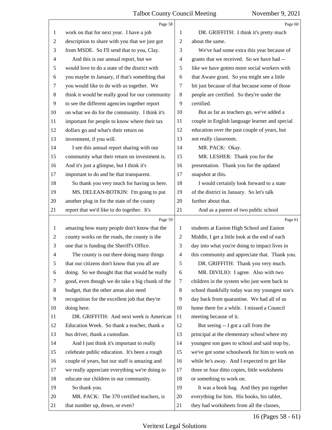|                | Page 58                                         |                | Page 60                                        |
|----------------|-------------------------------------------------|----------------|------------------------------------------------|
| 1              | work on that for next year. I have a job        | 1              | DR. GRIFFITH: I think it's pretty much         |
| $\overline{2}$ | description to share with you that we just got  | 2              | about the same.                                |
| 3              | from MSDE. So I'll send that to you, Clay.      | 3              | We've had some extra this year because of      |
| 4              | And this is our annual report, but we           | 4              | grants that we received. So we have had --     |
| 5              | would love to do a state of the district with   | 5              | like we have gotten more social workers with   |
| 6              | you maybe in January, if that's something that  | 6              | that Aware grant. So you might see a little    |
| 7              | you would like to do with us together. We       | 7              | bit just because of that because some of those |
| $\,8\,$        | think it would be really good for our community | 8              | people are certified. So they're under the     |
| 9              | to see the different agencies together report   | 9              | certified.                                     |
| 10             | on what we do for the community. I think it's   | 10             | But as far as teachers go, we've added a       |
| 11             | important for people to know where their tax    | 11             | couple in English language learner and special |
| 12             | dollars go and what's their return on           | 12             | education over the past couple of years, but   |
| 13             | investment, if you will.                        | 13             | not really classroom.                          |
| 14             | I see this annual report sharing with our       | 14             | MR. PACK: Okay.                                |
| 15             | community what their return on investment is.   | 15             | MR. LESHER: Thank you for the                  |
| 16             | And it's just a glimpse, but I think it's       | 16             | presentation. Thank you for the updated        |
| 17             | important to do and be that transparent.        | 17             | snapshot at this.                              |
| 18             | So thank you very much for having us here.      | 18             | I would certainly look forward to a state      |
| 19             | MS. DELEAN-BOTKIN: I'm going to put             | 19             | of the district in January. So let's talk      |
| 20             | another plug in for the state of the county     | 20             | further about that.                            |
| 21             | report that we'd like to do together. It's      | 21             | And as a parent of two public school           |
|                | Page 59                                         |                | Page 61                                        |
|                |                                                 |                |                                                |
| $\mathbf{1}$   | amazing how many people don't know that the     | 1              | students at Easton High School and Easton      |
| $\overline{c}$ | county works on the roads, the county is the    | 2              | Middle, I get a little look at the end of each |
| 3              | one that is funding the Sheriff's Office.       | 3              | day into what you're doing to impact lives in  |
| 4              | The county is out there doing many things       | $\overline{4}$ | this community and appreciate that. Thank you. |
| 5              | that our citizens don't know that you all are   | 5              | DR. GRIFFITH: Thank you very much.             |
| 6              | doing. So we thought that that would be really  | 6              | MR. DIVILIO: I agree. Also with two            |
| 7              | good, even though we do take a big chunk of the | 7              | children in the system who just went back to   |
| 8              | budget, that the other areas also need          | 8              | school thankfully today was my youngest son's  |
| 9              | recognition for the excellent job that they're  | 9              | day back from quarantine. We had all of us     |
| 10             | doing here.                                     | 10             | home there for a while. I missed a Council     |
| 11             | DR. GRIFFITH: And next week is American         | 11             | meeting because of it.                         |
| 12             | Education Week. So thank a teacher, thank a     | 12             | But seeing -- I got a call from the            |
| 13             | bus driver, thank a custodian.                  | 13             | principal at the elementary school where my    |
| 14             | And I just think it's important to really       | 14             | youngest son goes to school and said stop by,  |
| 15             | celebrate public education. It's been a rough   | 15             | we've got some schoolwork for him to work on   |
| 16             | couple of years, but our staff is amazing and   | 16             | while he's away. And I expected to get like    |
| 17             | we really appreciate everything we're doing to  | 17             | three or four ditto copies, little worksheets  |
| 18             | educate our children in our community.          | 18             | or something to work on.                       |
| 19             | So thank you.                                   | 19             | It was a book bag. And they put together       |
| 20             | MR. PACK: The 370 certified teachers, is        | 20             | everything for him. His books, his tablet,     |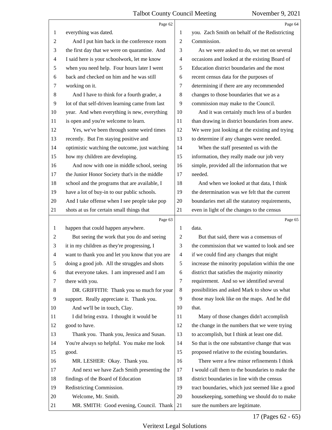|                | Page 62                                         |                          | Page 64                                         |
|----------------|-------------------------------------------------|--------------------------|-------------------------------------------------|
| 1              | everything was dated.                           | 1                        | you. Zach Smith on behalf of the Redistricting  |
| 2              | And I put him back in the conference room       | $\mathbf{2}$             | Commission.                                     |
| 3              | the first day that we were on quarantine. And   | 3                        | As we were asked to do, we met on several       |
| $\overline{4}$ | I said here is your schoolwork, let me know     | $\overline{\mathcal{A}}$ | occasions and looked at the existing Board of   |
| $\sqrt{5}$     | when you need help. Four hours later I went     | 5                        | Education district boundaries and the most      |
| 6              | back and checked on him and he was still        | 6                        | recent census data for the purposes of          |
| 7              | working on it.                                  | 7                        | determining if there are any recommended        |
| 8              | And I have to think for a fourth grader, a      | 8                        | changes to those boundaries that we as a        |
| 9              | lot of that self-driven learning came from last | 9                        | commission may make to the Council.             |
| 10             | year. And when everything is new, everything    | 10                       | And it was certainly much less of a burden      |
| 11             | is open and you're welcome to learn.            | 11                       | than drawing in district boundaries from anew.  |
| 12             | Yes, we've been through some weird times        | 12                       | We were just looking at the existing and trying |
| 13             | recently. But I'm staying positive and          | 13                       | to determine if any changes were needed.        |
| 14             | optimistic watching the outcome, just watching  | 14                       | When the staff presented us with the            |
| 15             | how my children are developing.                 | 15                       | information, they really made our job very      |
| 16             | And now with one in middle school, seeing       | 16                       | simple, provided all the information that we    |
| 17             | the Junior Honor Society that's in the middle   | 17                       | needed.                                         |
| 18             | school and the programs that are available, I   | 18                       | And when we looked at that data, I think        |
| 19             | have a lot of buy-in to our public schools.     | 19                       | the determination was we felt that the current  |
| 20             | And I take offense when I see people take pop   | 20                       | boundaries met all the statutory requirements,  |
| 21             | shots at us for certain small things that       | 21                       | even in light of the changes to the census      |
|                |                                                 |                          |                                                 |
|                | Page 63                                         |                          | Page 65                                         |
| 1              | happen that could happen anywhere.              | 1                        | data.                                           |
| $\overline{c}$ | But seeing the work that you do and seeing      | $\sqrt{2}$               | But that said, there was a consensus of         |
| 3              | it in my children as they're progressing, I     | 3                        | the commission that we wanted to look and see   |
| $\overline{4}$ | want to thank you and let you know that you are | $\overline{4}$           | if we could find any changes that might         |
| 5              | doing a good job. All the struggles and shots   | 5                        | increase the minority population within the one |
| 6              | that everyone takes. I am impressed and I am    | 6                        | district that satisfies the majority minority   |
| 7              | there with you.                                 | 7                        | requirement. And so we identified several       |
| 8              | DR. GRIFFITH: Thank you so much for your        | 8                        | possibilities and asked Mark to show us what    |
| 9              | support. Really appreciate it. Thank you.       | 9                        | those may look like on the maps. And he did     |
| 10             | And we'll be in touch, Clay.                    | 10                       | that.                                           |
| 11             | I did bring extra. I thought it would be        | 11                       | Many of those changes didn't accomplish         |
| 12             | good to have.                                   | 12                       | the change in the numbers that we were trying   |
| 13             | Thank you. Thank you, Jessica and Susan.        | 13                       | to accomplish, but I think at least one did.    |
| 14             | You're always so helpful. You make me look      | 14                       | So that is the one substantive change that was  |
| 15             | good.                                           | 15                       | proposed relative to the existing boundaries.   |
| 16             | MR. LESHER: Okay. Thank you.                    | 16                       | There were a few minor refinements I think      |
| 17             | And next we have Zach Smith presenting the      | 17                       | I would call them to the boundaries to make the |
| 18             | findings of the Board of Education              | 18                       | district boundaries in line with the census     |
| 19             | Redistricting Commission.                       | 19                       | tract boundaries, which just seemed like a good |
| 20             | Welcome, Mr. Smith.                             | 20                       | housekeeping, something we should do to make    |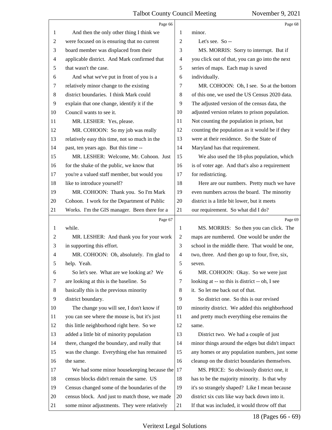|                | Page 66                                        |                | Page 68                                         |
|----------------|------------------------------------------------|----------------|-------------------------------------------------|
| 1              | And then the only other thing I think we       | 1              | minor.                                          |
| $\overline{c}$ | were focused on is ensuring that no current    | $\overline{2}$ | Let's see. So --                                |
| 3              | board member was displaced from their          | 3              | MS. MORRIS: Sorry to interrupt. But if          |
| $\overline{4}$ | applicable district. And Mark confirmed that   | $\overline{4}$ | you click out of that, you can go into the next |
| 5              | that wasn't the case.                          | 5              | series of maps. Each map is saved               |
| 6              | And what we've put in front of you is a        | 6              | individually.                                   |
| 7              | relatively minor change to the existing        | 7              | MR. COHOON: Oh, I see. So at the bottom         |
| 8              | district boundaries. I think Mark could        | 8              | of this one, we used the US Census 2020 data.   |
| 9              | explain that one change, identify it if the    | 9              | The adjusted version of the census data, the    |
| 10             | Council wants to see it.                       | 10             | adjusted version relates to prison population.  |
| 11             | MR. LESHER: Yes, please.                       | 11             | Not counting the population in prison, but      |
| 12             | MR. COHOON: So my job was really               | 12             | counting the population as it would be if they  |
| 13             | relatively easy this time, not so much in the  | 13             | were at their residence. So the State of        |
| 14             | past, ten years ago. But this time --          | 14             | Maryland has that requirement.                  |
| 15             | MR. LESHER: Welcome, Mr. Cohoon. Just          | 15             | We also used the 18-plus population, which      |
| 16             | for the shake of the public, we know that      | 16             | is of voter age. And that's also a requirement  |
| 17             | you're a valued staff member, but would you    | 17             | for redistricting.                              |
| 18             | like to introduce yourself?                    | 18             | Here are our numbers. Pretty much we have       |
| 19             | MR. COHOON: Thank you. So I'm Mark             | 19             | even numbers across the board. The minority     |
| 20             | Cohoon. I work for the Department of Public    | 20             | district is a little bit lower, but it meets    |
| 21             | Works. I'm the GIS manager. Been there for a   | 21             | our requirement. So what did I do?              |
|                |                                                |                |                                                 |
|                | Page 67                                        |                | Page 69                                         |
| $\mathbf{1}$   | while.                                         | 1              | MS. MORRIS: So then you can click. The          |
| $\overline{c}$ | MR. LESHER: And thank you for your work        | $\overline{2}$ | maps are numbered. One would be under the       |
| 3              | in supporting this effort.                     | 3              | school in the middle there. That would be one,  |
| 4              | MR. COHOON: Oh, absolutely. I'm glad to        | $\overline{4}$ | two, three. And then go up to four, five, six,  |
| 5              | help. Yeah.                                    | 5              | seven.                                          |
| 6              | So let's see. What are we looking at? We       | 6              | MR. COHOON: Okay. So we were just               |
| 7              | are looking at this is the baseline. So        | 7              | looking at -- so this is district -- oh, I see  |
| 8              | basically this is the previous minority        | 8              | it. So let me back out of that.                 |
| 9              | district boundary.                             | 9              | So district one. So this is our revised         |
| 10             | The change you will see, I don't know if       | 10             | minority district. We added this neighborhood   |
| 11             | you can see where the mouse is, but it's just  | 11             | and pretty much everything else remains the     |
| 12             | this little neighborhood right here. So we     | 12             | same.                                           |
| 13             | added a little bit of minority population      | 13             | District two. We had a couple of just           |
| 14             | there, changed the boundary, and really that   | 14             | minor things around the edges but didn't impact |
| 15             | was the change. Everything else has remained   | 15             | any homes or any population numbers, just some  |
| 16             | the same.                                      | 16             | cleanup on the district boundaries themselves.  |
| 17             | We had some minor housekeeping because the     | 17             | MS. PRICE: So obviously district one, it        |
| 18             | census blocks didn't remain the same. US       | 18             | has to be the majority minority. Is that why    |
| 19             | Census changed some of the boundaries of the   | 19             | it's so strangely shaped? Like I mean because   |
| 20             | census block. And just to match those, we made | 20             | district six cuts like way back down into it.   |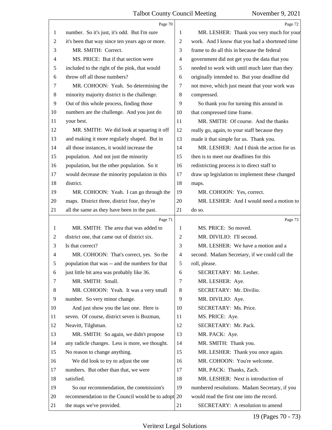|                | Page 70                                            |                | Page 72                                        |
|----------------|----------------------------------------------------|----------------|------------------------------------------------|
| 1              | number. So it's just, it's odd. But I'm sure       | 1              | MR. LESHER: Thank you very much for your       |
| $\mathfrak{2}$ | it's been that way since ten years ago or more.    | 2              | work. And I know that you had a shortened time |
| 3              | MR. SMITH: Correct.                                | 3              | frame to do all this in because the federal    |
| $\overline{4}$ | MS. PRICE: But if that section were                | 4              | government did not get you the data that you   |
| 5              | included to the right of the pink, that would      | 5              | needed to work with until much later than they |
| 6              | throw off all those numbers?                       | 6              | originally intended to. But your deadline did  |
| 7              | MR. COHOON: Yeah. So determining the               | 7              | not move, which just meant that your work was  |
| $\,8\,$        | minority majority district is the challenge.       | 8              | compressed.                                    |
| 9              | Out of this whole process, finding those           | 9              | So thank you for turning this around in        |
| 10             | numbers are the challenge. And you just do         | 10             | that compressed time frame.                    |
| 11             | your best.                                         | 11             | MR. SMITH: Of course. And the thanks           |
| 12             | MR. SMITH: We did look at squaring it off          | 12             | really go, again, to your staff because they   |
| 13             | and making it more regularly shaped. But in        | 13             | made it that simple for us. Thank you.         |
| 14             | all those instances, it would increase the         | 14             | MR. LESHER: And I think the action for us      |
| 15             | population. And not just the minority              | 15             | then is to meet our deadlines for this         |
| 16             | population, but the other population. So it        | 16             | redistricting process is to direct staff to    |
| 17             | would decrease the minority population in this     | 17             | draw up legislation to implement these changed |
| 18             | district.                                          | 18             | maps.                                          |
| 19             | MR. COHOON: Yeah. I can go through the             | 19             | MR. COHOON: Yes, correct.                      |
| 20             | maps. District three, district four, they're       | 20             | MR. LESHER: And I would need a motion to       |
| 21             | all the same as they have been in the past.        | 21             | do so.                                         |
|                | Page 71                                            |                | Page 73                                        |
| 1              | MR. SMITH: The area that was added to              | 1              | MS. PRICE: So moved.                           |
| 2              | district one, that came out of district six.       | 2              | MR. DIVILIO: I'll second.                      |
| 3              | Is that correct?                                   | 3              | MR. LESHER: We have a motion and a             |
| $\overline{4}$ | MR. COHOON: That's correct, yes. So the            | $\overline{4}$ | second. Madam Secretary, if we could call the  |
| 5              | population that was -- and the numbers for that    | 5              | roll, please.                                  |
| 6              | just little bit area was probably like 36.         | 6              | SECRETARY: Mr. Lesher.                         |
| 7              | MR. SMITH: Small.                                  | 7              | MR. LESHER: Aye.                               |
| 8              | MR. COHOON: Yeah. It was a very small              | $\,8\,$        | SECRETARY: Mr. Divilio.                        |
| 9              | number. So very minor change.                      | 9              | MR. DIVILIO: Aye.                              |
| 10             | And just show you the last one. Here is            | 10             | SECRETARY: Ms. Price.                          |
| 11             | seven. Of course, district seven is Bozman,        | 11             | MS. PRICE: Aye.                                |
| 12             | Neavitt, Tilghman.                                 | 12             | SECRETARY: Mr. Pack.                           |
| 13             | MR. SMITH: So again, we didn't propose             | 13             | MR. PACK: Aye.                                 |
| 14             | any radicle changes. Less is more, we thought.     | 14             | MR. SMITH: Thank you.                          |
| 15             | No reason to change anything.                      | 15             | MR. LESHER: Thank you once again.              |
| 16             | We did look to try to adjust the one               | 16             | MR. COHOON: You're welcome.                    |
| 17             | numbers. But other than that, we were              | 17             | MR. PACK: Thanks, Zach.                        |
| 18             | satisfied.                                         | 18             | MR. LESHER: Next is introduction of            |
| 19             |                                                    |                |                                                |
|                | So our recommendation, the commission's            | 19             | numbered resolutions. Madam Secretary, if you  |
| 20             | recommendation to the Council would be to adopt 20 |                | would read the first one into the record.      |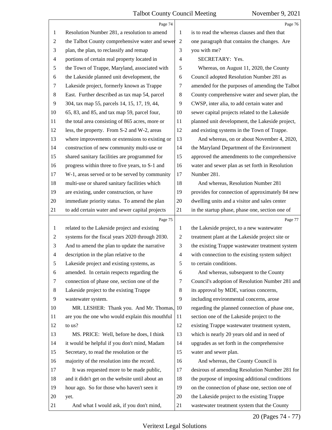|                          | Page 74                                           |                | Page 76                                         |
|--------------------------|---------------------------------------------------|----------------|-------------------------------------------------|
| $\mathbf{1}$             | Resolution Number 281, a resolution to amend      | 1              | is to read the whereas clauses and then that    |
| 2                        | the Talbot County comprehensive water and sewer 2 |                | one paragraph that contains the changes. Are    |
| 3                        | plan, the plan, to reclassify and remap           | 3              | you with me?                                    |
| $\overline{\mathcal{A}}$ | portions of certain real property located in      | 4              | SECRETARY: Yes.                                 |
| 5                        | the Town of Trappe, Maryland, associated with     | 5              | Whereas, on August 11, 2020, the County         |
| 6                        | the Lakeside planned unit development, the        | 6              | Council adopted Resolution Number 281 as        |
| 7                        | Lakeside project, formerly known as Trappe        | 7              | amended for the purposes of amending the Talbot |
| $\,8$                    | East. Further described as tax map 54, parcel     | 8              | County comprehensive water and sewer plan, the  |
| 9                        | 304, tax map 55, parcels 14, 15, 17, 19, 44,      | 9              | CWSP, inter alia, to add certain water and      |
| 10                       | 65, 83, and 85, and tax map 59, parcel four,      | 10             | sewer capital projects related to the Lakeside  |
| 11                       | the total area consisting of 865 acres, more or   | 11             | planned unit development, the Lakeside project, |
| 12                       | less, the property. From S-2 and W-2, areas       | 12             | and existing systems in the Town of Trappe.     |
| 13                       | where improvements or extensions to existing or   | 13             | And whereas, on or about November 4, 2020,      |
| 14                       | construction of new community multi-use or        | 14             | the Maryland Department of the Environment      |
| 15                       | shared sanitary facilities are programmed for     | 15             | approved the amendments to the comprehensive    |
| 16                       | progress within three to five years, to S-1 and   | 16             | water and sewer plan as set forth in Resolution |
| 17                       | W-1, areas served or to be served by community    | 17             | Number 281.                                     |
| 18                       | multi-use or shared sanitary facilities which     | 18             | And whereas, Resolution Number 281              |
| 19                       | are existing, under construction, or have         | 19             | provides for connection of approximately 84 new |
| 20                       | immediate priority status. To amend the plan      | 20             | dwelling units and a visitor and sales center   |
| 21                       | to add certain water and sewer capital projects   | 21             | in the startup phase, phase one, section one of |
|                          | Page 75                                           |                | Page 77                                         |
| $\mathbf{1}$             | related to the Lakeside project and existing      | $\mathbf{1}$   | the Lakeside project, to a new wastewater       |
| $\overline{c}$           | systems for the fiscal years 2020 through 2030.   | $\overline{c}$ | treatment plant at the Lakeside project site or |
| 3                        | And to amend the plan to update the narrative     | 3              | the existing Trappe wastewater treatment system |
| 4                        | description in the plan relative to the           | $\overline{4}$ | with connection to the existing system subject  |
| 5                        | Lakeside project and existing systems, as         | 5              | to certain conditions.                          |
| 6                        | amended. In certain respects regarding the        | 6              | And whereas, subsequent to the County           |
| 7                        | connection of phase one, section one of the       | 7              | Council's adoption of Resolution Number 281 and |
| 8                        | Lakeside project to the existing Trappe           | 8              | its approval by MDE, various concerns,          |
| 9                        | wastewater system.                                | 9              | including environmental concerns, arose         |
| 10                       | MR. LESHER: Thank you. And Mr. Thomas,            | 10             | regarding the planned connection of phase one,  |
| 11                       | are you the one who would explain this mouthful   | 11             | section one of the Lakeside project to the      |
| 12                       | to us?                                            | 12             | existing Trappe wastewater treatment system,    |
| 13                       | MS. PRICE: Well, before he does, I think          | 13             | which is nearly 20 years old and in need of     |
| 14                       | it would be helpful if you don't mind, Madam      | 14             | upgrades as set forth in the comprehensive      |
| 15                       | Secretary, to read the resolution or the          | 15             | water and sewer plan.                           |
| 16                       | majority of the resolution into the record.       | 16             | And whereas, the County Council is              |
| 17                       | It was requested more to be made public,          | 17             | desirous of amending Resolution Number 281 for  |
| 18                       | and it didn't get on the website until about an   | 18             | the purpose of imposing additional conditions   |
| 19                       | hour ago. So for those who haven't seen it        | 19             | on the connection of phase one, section one of  |
|                          |                                                   |                |                                                 |
| 20                       | yet.                                              | 20             | the Lakeside project to the existing Trappe     |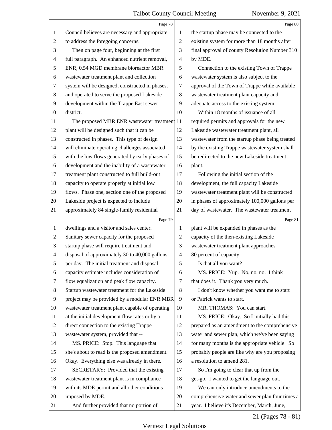|                | Page 78                                         |                | Page 80                                         |
|----------------|-------------------------------------------------|----------------|-------------------------------------------------|
| 1              | Council believes are necessary and appropriate  | 1              | the startup phase may be connected to the       |
| $\overline{c}$ | to address the foregoing concerns.              | $\overline{2}$ | existing system for more than 18 months after   |
| 3              | Then on page four, beginning at the first       | 3              | final approval of county Resolution Number 310  |
| 4              | full paragraph. An enhanced nutrient removal,   | $\overline{4}$ | by MDE.                                         |
| 5              | ENR, 0.54 MGD membrane bioreactor MBR           | 5              | Connection to the existing Town of Trappe       |
| 6              | wastewater treatment plant and collection       | 6              | wastewater system is also subject to the        |
| 7              | system will be designed, constructed in phases, | 7              | approval of the Town of Trappe while available  |
| 8              | and operated to serve the proposed Lakeside     | 8              | wastewater treatment plant capacity and         |
| 9              | development within the Trappe East sewer        | 9              | adequate access to the existing system.         |
| 10             | district.                                       | 10             | Within 18 months of issuance of all             |
| 11             | The proposed MBR ENR wastewater treatment 11    |                | required permits and approvals for the new      |
| 12             | plant will be designed such that it can be      | 12             | Lakeside wastewater treatment plant, all        |
| 13             | constructed in phases. This type of design      | 13             | wastewater from the startup phase being treated |
| 14             | will eliminate operating challenges associated  | 14             | by the existing Trappe wastewater system shall  |
| 15             | with the low flows generated by early phases of | 15             | be redirected to the new Lakeside treatment     |
| 16             | development and the inability of a wastewater   | 16             | plant.                                          |
| 17             | treatment plant constructed to full build-out   | 17             | Following the initial section of the            |
| 18             | capacity to operate properly at initial low     | 18             | development, the full capacity Lakeside         |
| 19             | flows. Phase one, section one of the proposed   | 19             | wastewater treatment plant will be constructed  |
| 20             | Lakeside project is expected to include         | 20             | in phases of approximately 100,000 gallons per  |
| 21             | approximately 84 single-family residential      | 21             | day of wastewater. The wastewater treatment     |
|                | Page 79                                         |                | Page 81                                         |
| $\mathbf{1}$   | dwellings and a visitor and sales center.       | 1              | plant will be expanded in phases as the         |
| 2              | Sanitary sewer capacity for the proposed        |                |                                                 |
|                |                                                 | $\overline{2}$ | capacity of the then-existing Lakeside          |
| 3              | startup phase will require treatment and        | 3              | wastewater treatment plant approaches           |
| 4              | disposal of approximately 30 to 40,000 gallons  | $\overline{4}$ | 80 percent of capacity.                         |
| 5              | per day. The initial treatment and disposal     | 5              | Is that all you want?                           |
| 6              | capacity estimate includes consideration of     | 6              | MS. PRICE: Yup. No, no, no. I think             |
| 7              | flow equalization and peak flow capacity.       | 7              | that does it. Thank you very much.              |
| 8              | Startup wastewater treatment for the Lakeside   | 8              | I don't know whether you want me to start       |
| 9              | project may be provided by a modular ENR MBR    | 9              | or Patrick wants to start.                      |
| 10             | wastewater treatment plant capable of operating | 10             | MR. THOMAS: You can start.                      |
| 11             | at the initial development flow rates or by a   | 11             | MS. PRICE: Okay. So I initially had this        |
| 12             | direct connection to the existing Trappe        | 12             | prepared as an amendment to the comprehensive   |
| 13             | wastewater system, provided that --             | 13             | water and sewer plan, which we've been saying   |
| 14             | MS. PRICE: Stop. This language that             | 14             | for many months is the appropriate vehicle. So  |
| 15             | she's about to read is the proposed amendment.  | 15             | probably people are like why are you proposing  |
| 16             | Okay. Everything else was already in there.     | 16             | a resolution to amend 281.                      |
| 17             | SECRETARY: Provided that the existing           | 17             | So I'm going to clear that up from the          |
| 18             | wastewater treatment plant is in compliance     | 18             | get-go. I wanted to get the language out.       |
| 19             | with its MDE permit and all other conditions    | 19             | We can only introduce amendments to the         |
| 20             | imposed by MDE.                                 | 20             | comprehensive water and sewer plan four times a |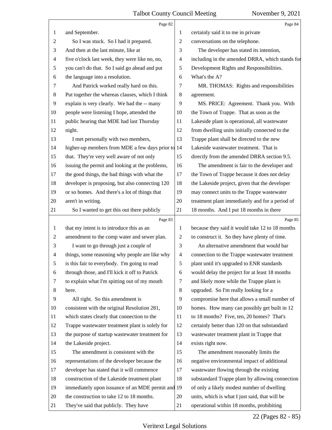|                | Page 82                                           |                          | Page 84                                         |
|----------------|---------------------------------------------------|--------------------------|-------------------------------------------------|
| 1              | and September.                                    | 1                        | certainly said it to me in private              |
| $\overline{c}$ | So I was stuck. So I had it prepared.             | 2                        | conversations on the telephone.                 |
| 3              | And then at the last minute, like at              | 3                        | The developer has stated its intention,         |
| 4              | five o'clock last week, they were like no, no,    | $\overline{\mathcal{A}}$ | including in the amended DRRA, which stands for |
| 5              | you can't do that. So I said go ahead and put     | 5                        | Development Rights and Responsibilities.        |
| 6              | the language into a resolution.                   | 6                        | What's the A?                                   |
| 7              | And Patrick worked really hard on this.           | 7                        | MR. THOMAS: Rights and responsibilities         |
| 8              | Put together the whereas clauses, which I think   | 8                        | agreement.                                      |
| 9              | explain is very clearly. We had the -- many       | 9                        | MS. PRICE: Agreement. Thank you. With           |
| 10             | people were listening I hope, attended the        | 10                       | the Town of Trappe. That as soon as the         |
| 11             | public hearing that MDE had last Thursday         | 11                       | Lakeside plant is operational, all wastewater   |
| 12             | night.                                            | 12                       | from dwelling units initially connected to the  |
| 13             | I met personally with two members,                | 13                       | Trappe plant shall be directed to the new       |
| 14             | higher-up members from MDE a few days prior to 14 |                          | Lakeside wastewater treatment. That is          |
| 15             | that. They're very well aware of not only         | 15                       | directly from the amended DRRA section 9.5.     |
| 16             | issuing the permit and looking at the problems,   | 16                       | The amendment is fair to the developer and      |
| 17             | the good things, the bad things with what the     | 17                       | the Town of Trappe because it does not delay    |
| 18             | developer is proposing, but also connecting 120   | 18                       | the Lakeside project, given that the developer  |
| 19             | or so homes. And there's a lot of things that     | 19                       | may connect units to the Trappe wastewater      |
| 20             | aren't in writing.                                | 20                       | treatment plant immediately and for a period of |
| 21             | So I wanted to get this out there publicly        | 21                       | 18 months. And I put 18 months in there         |
|                |                                                   |                          |                                                 |
|                | Page 83                                           |                          | Page 85                                         |
| 1              | that my intent is to introduce this as an         | 1                        | because they said it would take 12 to 18 months |
| $\overline{c}$ | amendment to the comp water and sewer plan.       | $\mathbf{2}$             | to construct it. So they have plenty of time.   |
| 3              | I want to go through just a couple of             | 3                        | An alternative amendment that would bar         |
| 4              | things, some reasoning why people are like why    | $\overline{\mathcal{A}}$ | connection to the Trappe wastewater treatment   |
| 5              | is this fair to everybody. I'm going to read      | 5                        | plant until it's upgraded to ENR standards      |
| 6              | through those, and I'll kick it off to Patrick    | 6                        | would delay the project for at least 18 months  |
| 7              | to explain what I'm spitting out of my mouth      | 7                        | and likely more while the Trappe plant is       |
| 8              | here.                                             | $\,8\,$                  | upgraded. So I'm really looking for a           |
| 9              | All right. So this amendment is                   | 9                        | compromise here that allows a small number of   |
| 10             | consistent with the original Resolution 281,      | 10                       | homes. How many can possibly get built in 12    |
| 11             | which states clearly that connection to the       | 11                       | to 18 months? Five, ten, 20 homes? That's       |
| 12             | Trappe wastewater treatment plant is solely for   | 12                       | certainly better than 120 on that substandard   |
| 13             | the purpose of startup wastewater treatment for   | 13                       | wastewater treatment plant in Trappe that       |
| 14             | the Lakeside project.                             | 14                       | exists right now.                               |
| 15             | The amendment is consistent with the              | 15                       | The amendment reasonably limits the             |
| 16             | representations of the developer because the      | 16                       | negative environmental impact of additional     |
| 17             | developer has stated that it will commence        | 17                       | wastewater flowing through the existing         |
| 18             | construction of the Lakeside treatment plant      | 18                       | substandard Trappe plant by allowing connection |
| 19             | immediately upon issuance of an MDE permit and 19 |                          | of only a likely modest number of dwelling      |
| 20             | the construction to take 12 to 18 months.         | 20                       | units, which is what I just said, that will be  |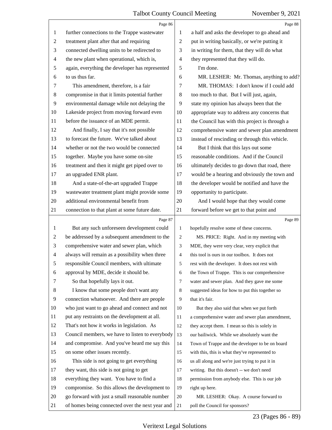|                          | Page 86                                         |                | Page 88                                         |
|--------------------------|-------------------------------------------------|----------------|-------------------------------------------------|
| 1                        | further connections to the Trappe wastewater    | 1              | a half and asks the developer to go ahead and   |
| $\overline{c}$           | treatment plant after that and requiring        | $\overline{2}$ | put in writing basically, or we're putting it   |
| 3                        | connected dwelling units to be redirected to    | 3              | in writing for them, that they will do what     |
| $\overline{\mathcal{A}}$ | the new plant when operational, which is,       | $\overline{4}$ | they represented that they will do.             |
| 5                        | again, everything the developer has represented | 5              | I'm done.                                       |
| 6                        | to us thus far.                                 | 6              | MR. LESHER: Mr. Thomas, anything to add?        |
| 7                        | This amendment, therefore, is a fair            | 7              | MR. THOMAS: I don't know if I could add         |
| 8                        | compromise in that it limits potential further  | 8              | too much to that. But I will just, again,       |
| 9                        | environmental damage while not delaying the     | 9              | state my opinion has always been that the       |
| 10                       | Lakeside project from moving forward even       | 10             | appropriate way to address any concerns that    |
| 11                       | before the issuance of an MDE permit.           | 11             | the Council has with this project is through a  |
| 12                       | And finally, I say that it's not possible       | 12             | comprehensive water and sewer plan amendment    |
| 13                       | to forecast the future. We've talked about      | 13             | instead of rescinding or through this vehicle.  |
| 14                       | whether or not the two would be connected       | 14             | But I think that this lays out some             |
| 15                       | together. Maybe you have some on-site           | 15             | reasonable conditions. And if the Council       |
| 16                       | treatment and then it might get piped over to   | 16             | ultimately decides to go down that road, there  |
| 17                       | an upgraded ENR plant.                          | 17             | would be a hearing and obviously the town and   |
| 18                       | And a state-of-the-art upgraded Trappe          | 18             | the developer would be notified and have the    |
| 19                       | wastewater treatment plant might provide some   | 19             | opportunity to participate.                     |
| 20                       | additional environmental benefit from           | 20             | And I would hope that they would come           |
| 21                       | connection to that plant at some future date.   | 21             | forward before we get to that point and         |
|                          |                                                 |                |                                                 |
|                          | Page 87                                         |                | Page 89                                         |
| 1                        | But any such unforeseen development could       | $\mathbf{1}$   | hopefully resolve some of these concerns.       |
| 2                        | be addressed by a subsequent amendment to the   | 2              | MS. PRICE: Right. And in my meeting with        |
| 3                        | comprehensive water and sewer plan, which       | 3              | MDE, they were very clear, very explicit that   |
| $\overline{4}$           | always will remain as a possibility when three  | $\overline{4}$ | this tool is ours in our toolbox. It does not   |
| 5                        | responsible Council members, with ultimate      | 5              | rest with the developer. It does not rest with  |
| 6                        | approval by MDE, decide it should be.           | 6              | the Town of Trappe. This is our comprehensive   |
| 7                        | So that hopefully lays it out.                  | $\tau$         | water and sewer plan. And they gave me some     |
| 8                        | I know that some people don't want any          | 8              | suggested ideas for how to put this together so |
| 9                        | connection whatsoever. And there are people     | 9              | that it's fair.                                 |
| 10                       | who just want to go ahead and connect and not   | 10             | But they also said that when we put forth       |
| 11                       | put any restraints on the development at all.   | 11             | a comprehensive water and sewer plan amendment, |
| 12                       | That's not how it works in legislation. As      | 12             | they accept them. I mean so this is solely in   |
| 13                       | Council members, we have to listen to everybody | 13             | our bailiwick. While we absolutely want the     |
| 14                       | and compromise. And you've heard me say this    | 14             | Town of Trappe and the developer to be on board |
| 15                       | on some other issues recently.                  | 15             | with this, this is what they've represented to  |
| 16                       | This side is not going to get everything        | 16             | us all along and we're just trying to put it in |
| 17                       | they want, this side is not going to get        | 17             | writing. But this doesn't -- we don't need      |
| 18                       | everything they want. You have to find a        | 18             | permission from anybody else. This is our job   |
| 19                       | compromise. So this allows the development to   | 19             | right up here.                                  |
| 20                       | go forward with just a small reasonable number  | 20             | MR. LESHER: Okay. A course forward to           |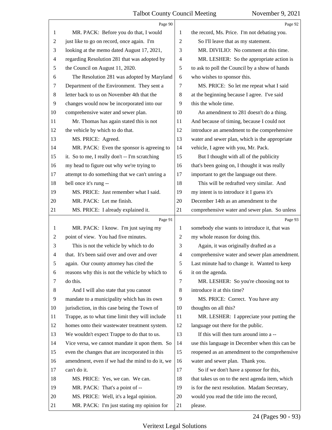|                | Page 90                                         |                | Page 92                                         |
|----------------|-------------------------------------------------|----------------|-------------------------------------------------|
| 1              | MR. PACK: Before you do that, I would           | 1              | the record, Ms. Price. I'm not debating you.    |
| $\overline{c}$ | just like to go on record, once again. I'm      | $\overline{2}$ | So I'll leave that as my statement.             |
| 3              | looking at the memo dated August 17, 2021,      | 3              | MR. DIVILIO: No comment at this time.           |
| 4              | regarding Resolution 281 that was adopted by    | 4              | MR. LESHER: So the appropriate action is        |
| 5              | the Council on August 11, 2020.                 | 5              | to ask to poll the Council by a show of hands   |
| 6              | The Resolution 281 was adopted by Maryland      | 6              | who wishes to sponsor this.                     |
| 7              | Department of the Environment. They sent a      | 7              | MS. PRICE: So let me repeat what I said         |
| 8              | letter back to us on November 4th that the      | 8              | at the beginning because I agree. I've said     |
| $\overline{9}$ | changes would now be incorporated into our      | 9              | this the whole time.                            |
| 10             | comprehensive water and sewer plan.             | 10             | An amendment to 281 doesn't do a thing.         |
| 11             | Mr. Thomas has again stated this is not         | 11             | And because of timing, because I could not      |
| 12             | the vehicle by which to do that.                | 12             | introduce an amendment to the comprehensive     |
| 13             | MS. PRICE: Agreed.                              | 13             | water and sewer plan, which is the appropriate  |
| 14             | MR. PACK: Even the sponsor is agreeing to       | 14             | vehicle, I agree with you, Mr. Pack.            |
| 15             | it. So to me, I really don't -- I'm scratching  | 15             | But I thought with all of the publicity         |
| 16             | my head to figure out why we're trying to       | 16             | that's been going on, I thought it was really   |
| 17             | attempt to do something that we can't unring a  | 17             | important to get the language out there.        |
| 18             | bell once it's rung --                          | 18             | This will be redrafted very similar. And        |
| 19             | MS. PRICE: Just remember what I said.           | 19             | my intent is to introduce it I guess it's       |
| 20             | MR. PACK: Let me finish.                        | 20             | December 14th as an amendment to the            |
| 21             | MS. PRICE: I already explained it.              | 21             | comprehensive water and sewer plan. So unless   |
|                | Page 91                                         |                | Page 93                                         |
|                |                                                 |                |                                                 |
| 1              | MR. PACK: I know. I'm just saying my            | 1              | somebody else wants to introduce it, that was   |
| $\overline{2}$ | point of view. You had five minutes.            | 2              | my whole reason for doing this.                 |
| 3              | This is not the vehicle by which to do          | 3              | Again, it was originally drafted as a           |
| $\overline{4}$ | that. It's been said over and over and over     | $\overline{4}$ | comprehensive water and sewer plan amendment.   |
| 5              | again. Our county attorney has cited the        | 5              | Last minute had to change it. Wanted to keep    |
| 6              | reasons why this is not the vehicle by which to | 6              | it on the agenda.                               |
| 7              | do this.                                        | 7              | MR. LESHER: So you're choosing not to           |
| 8              | And I will also state that you cannot           | 8              | introduce it at this time?                      |
| 9              | mandate to a municipality which has its own     | 9              | MS. PRICE: Correct. You have any                |
| 10             | jurisdiction, in this case being the Town of    | 10             | thoughts on all this?                           |
| 11             | Trappe, as to what time limit they will include | 11             | MR. LESHER: I appreciate your putting the       |
| 12             | homes onto their wastewater treatment system.   | 12             | language out there for the public.              |
| 13             | We wouldn't expect Trappe to do that to us.     | 13             | If this will then turn around into a --         |
| 14             | Vice versa, we cannot mandate it upon them. So  | 14             | use this language in December when this can be  |
| 15             | even the changes that are incorporated in this  | 15             | reopened as an amendment to the comprehensive   |
| 16             | amendment, even if we had the mind to do it, we | 16             | water and sewer plan. Thank you.                |
| 17             | can't do it.                                    | 17             | So if we don't have a sponsor for this,         |
| 18             | MS. PRICE: Yes, we can. We can.                 | 18             | that takes us on to the next agenda item, which |
| 19             | MR. PACK: That's a point of --                  | 19             | is for the next resolution. Madam Secretary,    |
| 20             | MS. PRICE: Well, it's a legal opinion.          | 20             | would you read the title into the record,       |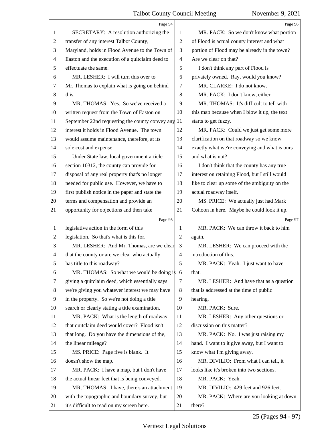|    | Page 94                                              |                | Page 96                                        |
|----|------------------------------------------------------|----------------|------------------------------------------------|
| 1  | SECRETARY: A resolution authorizing the              | 1              | MR. PACK: So we don't know what portion        |
| 2  | transfer of any interest Talbot County,              | $\overline{2}$ | of Flood is actual county interest and what    |
| 3  | Maryland, holds in Flood Avenue to the Town of       | 3              | portion of Flood may be already in the town?   |
| 4  | Easton and the execution of a quitclaim deed to      | 4              | Are we clear on that?                          |
| 5  | effectuate the same.                                 | 5              | I don't think any part of Flood is             |
| 6  | MR. LESHER: I will turn this over to                 | 6              | privately owned. Ray, would you know?          |
| 7  | Mr. Thomas to explain what is going on behind        | 7              | MR. CLARKE: I do not know.                     |
| 8  | this.                                                | 8              | MR. PACK: I don't know, either.                |
| 9  | MR. THOMAS: Yes. So we've received a                 | 9              | MR. THOMAS: It's difficult to tell with        |
| 10 | written request from the Town of Easton on           | 10             | this map because when I blow it up, the text   |
| 11 | September 22nd requesting the county convey any $11$ |                | starts to get fuzzy.                           |
| 12 | interest it holds in Flood Avenue. The town          | 12             | MR. PACK: Could we just get some more          |
| 13 | would assume maintenance, therefore, at its          | 13             | clarification on that roadway so we know       |
| 14 | sole cost and expense.                               | 14             | exactly what we're conveying and what is ours  |
| 15 | Under State law, local government article            | 15             | and what is not?                               |
| 16 | section 10312, the county can provide for            | 16             | I don't think that the county has any true     |
| 17 | disposal of any real property that's no longer       | 17             | interest on retaining Flood, but I still would |
| 18 | needed for public use. However, we have to           | 18             | like to clear up some of the ambiguity on the  |
| 19 | first publish notice in the paper and state the      | 19             | actual roadway itself.                         |
| 20 | terms and compensation and provide an                | 20             | MS. PRICE: We actually just had Mark           |
| 21 | opportunity for objections and then take             | 21             | Cohoon in here. Maybe he could look it up.     |
|    |                                                      |                |                                                |
|    | Page 95                                              |                | Page 97                                        |
| 1  | legislative action in the form of this               | 1              | MR. PACK: We can throw it back to him          |
| 2  | legislation. So that's what is this for.             | 2              | again.                                         |
| 3  | MR. LESHER: And Mr. Thomas, are we clear             | 3              | MR. LESHER: We can proceed with the            |
| 4  | that the county or are we clear who actually         | 4              | introduction of this.                          |
| 5  | has title to this roadway?                           | 5              | MR. PACK: Yeah. I just want to have            |
| 6  | MR. THOMAS: So what we would be doing is 6           |                | that.                                          |
| 7  | giving a quitclaim deed, which essentially says      | 7              | MR. LESHER: And have that as a question        |
| 8  | we're giving you whatever interest we may have       | 8              | that is addressed at the time of public        |
| 9  | in the property. So we're not doing a title          | 9              | hearing.                                       |
| 10 | search or clearly stating a title examination.       | 10             | MR. PACK: Sure.                                |
| 11 | MR. PACK: What is the length of roadway              | 11             | MR. LESHER: Any other questions or             |
| 12 | that quitclaim deed would cover? Flood isn't         | 12             | discussion on this matter?                     |
| 13 | that long. Do you have the dimensions of the,        | 13             | MR. PACK: No. I was just raising my            |
| 14 | the linear mileage?                                  | 14             | hand. I want to it give away, but I want to    |
| 15 | MS. PRICE: Page five is blank. It                    | 15             | know what I'm giving away.                     |
| 16 | doesn't show the map.                                | 16             | MR. DIVILIO: From what I can tell, it          |
| 17 | MR. PACK: I have a map, but I don't have             | 17             | looks like it's broken into two sections.      |
| 18 | the actual linear feet that is being conveyed.       | 18             | MR. PACK: Yeah.                                |
| 19 | MR. THOMAS: I have, there's an attachment            | 19             | MR. DIVILIO: 429 feet and 926 feet.            |
| 20 | with the topographic and boundary survey, but        | 20             | MR. PACK: Where are you looking at down        |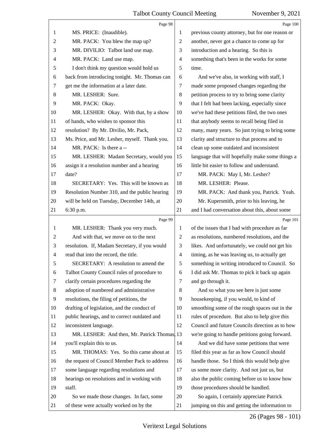|                | Page 98                                       |                | Page 100                                        |
|----------------|-----------------------------------------------|----------------|-------------------------------------------------|
| 1              | MS. PRICE: (Inaudible).                       | 1              | previous county attorney, but for one reason or |
| $\overline{c}$ | MR. PACK: You blew the map up?                | 2              | another, never got a chance to come up for      |
| 3              | MR. DIVILIO: Talbot land use map.             | 3              | introduction and a hearing. So this is          |
| 4              | MR. PACK: Land use map.                       | $\overline{4}$ | something that's been in the works for some     |
| 5              | I don't think my question would hold us       | 5              | time.                                           |
| 6              | back from introducing tonight. Mr. Thomas can | 6              | And we've also, in working with staff, I        |
| 7              | get me the information at a later date.       | 7              | made some proposed changes regarding the        |
| 8              | MR. LESHER: Sure.                             | 8              | petition process to try to bring some clarity   |
| 9              | MR. PACK: Okay.                               | 9              | that I felt had been lacking, especially since  |
| 10             | MR. LESHER: Okay. With that, by a show        | 10             | we've had these petitions filed, the two ones   |
| 11             | of hands, who wishes to sponsor this          | 11             | that anybody seems to recall being filed in     |
| 12             | resolution? By Mr. Divilio, Mr. Pack,         | 12             | many, many years. So just trying to bring some  |
| 13             | Ms. Price, and Mr. Lesher, myself. Thank you. | 13             | clarity and structure to that process and to    |
| 14             | MR. PACK: Is there a --                       | 14             | clean up some outdated and inconsistent         |
| 15             | MR. LESHER: Madam Secretary, would you        | 15             | language that will hopefully make some things a |
| 16             | assign it a resolution number and a hearing   | 16             | little bit easier to follow and understand.     |
| 17             | date?                                         | 17             | MR. PACK: May I, Mr. Lesher?                    |
| 18             | SECRETARY: Yes. This will be known as         | 18             | MR. LESHER: Please.                             |
| 19             | Resolution Number 310, and the public hearing | 19             | MR. PACK: And thank you, Patrick. Yeah.         |
| 20             | will be held on Tuesday, December 14th, at    | 20             | Mr. Kupersmith, prior to his leaving, he        |
| 21             | 6:30 p.m.                                     | 21             | and I had conversation about this, about some   |
|                |                                               |                |                                                 |
|                | Page 99                                       |                | Page 101                                        |
| 1              | MR. LESHER: Thank you very much.              | 1              | of the issues that I had with procedure as far  |
| 2              | And with that, we move on to the next         | $\overline{2}$ | as resolutions, numbered resolutions, and the   |
| 3              | resolution. If, Madam Secretary, if you would | 3              | likes. And unfortunately, we could not get his  |
| $\overline{4}$ | read that into the record, the title.         | $\overline{4}$ | timing, as he was leaving us, to actually get   |
| 5              | SECRETARY: A resolution to amend the          | $\sqrt{5}$     | something in writing introduced to Council. So  |
| 6              | Talbot County Council rules of procedure to   | 6              | I did ask Mr. Thomas to pick it back up again   |
| 7              | clarify certain procedures regarding the      | 7              | and go through it.                              |
| 8              | adoption of numbered and administrative       | 8              | And so what you see here is just some           |
| 9              | resolutions, the filing of petitions, the     | 9              | housekeeping, if you would, to kind of          |
| 10             | drafting of legislation, and the conduct of   | 10             | smoothing some of the rough spaces out in the   |
| 11             | public hearings, and to correct outdated and  | 11             | rules of procedure. But also to help give this  |
| 12             | inconsistent language.                        | 12             | Council and future Councils direction as to how |
| 13             | MR. LESHER: And then, Mr. Patrick Thomas, 13  |                | we're going to handle petitions going forward.  |
| 14             | you'll explain this to us.                    | 14             | And we did have some petitions that were        |
| 15             | MR. THOMAS: Yes. So this came about at        | 15             | filed this year as far as how Council should    |
| 16             | the request of Council Member Pack to address | 16             | handle those. So I think this would help give   |
| 17             | some language regarding resolutions and       | 17             | us some more clarity. And not just us, but      |
| 18             | hearings on resolutions and in working with   | 18             | also the public coming before us to know how    |
| 19             | staff.                                        | 19             | those procedures should be handled.             |
| 20             | So we made those changes. In fact, some       | 20             | So again, I certainly appreciate Patrick        |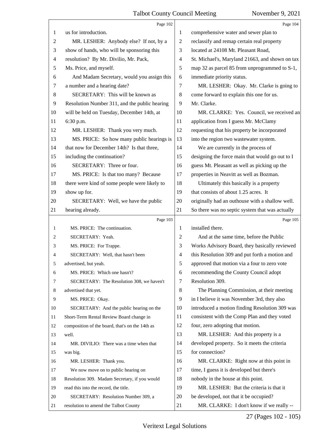|                | Page 102                                        |                          | Page 104                                        |
|----------------|-------------------------------------------------|--------------------------|-------------------------------------------------|
| 1              | us for introduction.                            | 1                        | comprehensive water and sewer plan to           |
| $\overline{c}$ | MR. LESHER: Anybody else? If not, by a          | $\overline{c}$           | reclassify and remap certain real property      |
| 3              | show of hands, who will be sponsoring this      | 3                        | located at 24108 Mt. Pleasant Road,             |
| 4              | resolution? By Mr. Divilio, Mr. Pack,           | $\overline{\mathcal{A}}$ | St. Michael's, Maryland 21663, and shown on tax |
| 5              | Ms. Price, and myself.                          | 5                        | map 32 as parcel 85 from unprogrammed to S-1,   |
| 6              | And Madam Secretary, would you assign this      | 6                        | immediate priority status.                      |
| 7              | a number and a hearing date?                    | 7                        | MR. LESHER: Okay. Mr. Clarke is going to        |
| 8              | SECRETARY: This will be known as                | 8                        | come forward to explain this one for us.        |
| 9              | Resolution Number 311, and the public hearing   | 9                        | Mr. Clarke.                                     |
| 10             | will be held on Tuesday, December 14th, at      | 10                       | MR. CLARKE: Yes. Council, we received an        |
| 11             | 6:30 p.m.                                       | 11                       | application from I guess Mr. McClamy            |
| 12             | MR. LESHER: Thank you very much.                | 12                       | requesting that his property be incorporated    |
| 13             | MS. PRICE: So how many public hearings is       | 13                       | into the region two wastewater system.          |
| 14             | that now for December 14th? Is that three,      | 14                       | We are currently in the process of              |
| 15             | including the continuation?                     | 15                       | designing the force main that would go out to I |
| 16             | SECRETARY: Three or four.                       | 16                       | guess Mt. Pleasant as well as picking up the    |
| 17             | MS. PRICE: Is that too many? Because            | 17                       | properties in Neavitt as well as Bozman.        |
| 18             | there were kind of some people were likely to   | 18                       | Ultimately this basically is a property         |
| 19             | show up for.                                    | 19                       | that consists of about 1.25 acres. It           |
| 20             | SECRETARY: Well, we have the public             | 20                       | originally had an outhouse with a shallow well. |
| 21             | hearing already.                                | 21                       | So there was no septic system that was actually |
|                |                                                 |                          |                                                 |
|                | Page 103                                        |                          | Page 105                                        |
| $\mathbf{1}$   | MS. PRICE: The continuation.                    | 1                        | installed there.                                |
| 2              | SECRETARY: Yeah.                                | $\overline{c}$           | And at the same time, before the Public         |
| 3              | MS. PRICE: For Trappe.                          | 3                        | Works Advisory Board, they basically reviewed   |
| 4              | SECRETARY: Well, that hasn't been               | 4                        | this Resolution 309 and put forth a motion and  |
| 5              | advertised, but yeah.                           | 5                        | approved that motion via a four to zero vote    |
| 6              | MS. PRICE: Which one hasn't?                    | 6                        | recommending the County Council adopt           |
| 7              | SECRETARY: The Resolution 308, we haven't       | 7                        | Resolution 309.                                 |
| 8              | advertised that yet.                            | $\,8\,$                  | The Planning Commission, at their meeting       |
| 9              | MS. PRICE: Okay.                                | 9                        | in I believe it was November 3rd, they also     |
| 10             | SECRETARY: And the public hearing on the        | 10                       | introduced a motion finding Resolution 309 was  |
| 11             | Short-Term Rental Review Board change in        | 11                       | consistent with the Comp Plan and they voted    |
| 12             | composition of the board, that's on the 14th as | 12                       | four, zero adopting that motion.                |
| 13             | well.                                           | 13                       | MR. LESHER: And this property is a              |
| 14             | MR. DIVILIO: There was a time when that         | 14                       | developed property. So it meets the criteria    |
| 15             | was big.                                        | 15                       | for connection?                                 |
| 16             | MR. LESHER: Thank you.                          | 16                       | MR. CLARKE: Right now at this point in          |
| 17             | We now move on to public hearing on             | 17                       | time, I guess it is developed but there's       |
| 18             | Resolution 309. Madam Secretary, if you would   | 18                       | nobody in the house at this point.              |
| 19             | read this into the record, the title.           | 19                       | MR. LESHER: But the criteria is that it         |
| 20             | SECRETARY: Resolution Number 309, a             | 20                       | be developed, not that it be occupied?          |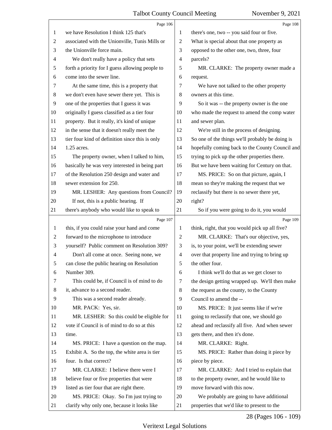|                | Page 106                                        |                          | Page 108                                        |
|----------------|-------------------------------------------------|--------------------------|-------------------------------------------------|
| 1              | we have Resolution I think 125 that's           | 1                        | there's one, two -- you said four or five.      |
| $\overline{c}$ | associated with the Unionville, Tunis Mills or  | 2                        | What is special about that one property as      |
| 3              | the Unionville force main.                      | 3                        | opposed to the other one, two, three, four      |
| 4              | We don't really have a policy that sets         | 4                        | parcels?                                        |
| 5              | forth a priority for I guess allowing people to | 5                        | MR. CLARKE: The property owner made a           |
| 6              | come into the sewer line.                       | 6                        | request.                                        |
| 7              | At the same time, this is a property that       | 7                        | We have not talked to the other property        |
| $\,8$          | we don't even have sewer there yet. This is     | 8                        | owners at this time.                            |
| 9              | one of the properties that I guess it was       | 9                        | So it was -- the property owner is the one      |
| 10             | originally I guess classified as a tier four    | 10                       | who made the request to amend the comp water    |
| 11             | property. But it really, it's kind of unique    | 11                       | and sewer plan.                                 |
| 12             | in the sense that it doesn't really meet the    | 12                       | We're still in the process of designing.        |
| 13             | tier four kind of definition since this is only | 13                       | So one of the things we'll probably be doing is |
| 14             | 1.25 acres.                                     | 14                       | hopefully coming back to the County Council and |
| 15             | The property owner, when I talked to him,       | 15                       | trying to pick up the other properties there.   |
| 16             | basically he was very interested in being part  | 16                       | But we have been waiting for Century on that.   |
| 17             | of the Resolution 250 design and water and      | 17                       | MS. PRICE: So on that picture, again, I         |
| 18             | sewer extension for 250.                        | 18                       | mean so they're making the request that we      |
| 19             | MR. LESHER: Any questions from Council?         | 19                       | reclassify but there is no sewer there yet,     |
| 20             | If not, this is a public hearing. If            | 20                       | right?                                          |
| 21             | there's anybody who would like to speak to      | 21                       | So if you were going to do it, you would        |
|                |                                                 |                          |                                                 |
|                | Page 107                                        |                          | Page 109                                        |
| $\mathbf{1}$   | this, if you could raise your hand and come     | 1                        | think, right, that you would pick up all five?  |
| $\overline{2}$ | forward to the microphone to introduce          | 2                        | MR. CLARKE: That's our objective, yes,          |
| 3              | yourself? Public comment on Resolution 309?     | 3                        | is, to your point, we'll be extending sewer     |
| $\overline{4}$ | Don't all come at once. Seeing none, we         | $\overline{\mathcal{A}}$ | over that property line and trying to bring up  |
| 5              | can close the public hearing on Resolution      | 5                        | the other four.                                 |
| 6              | Number 309.                                     | 6                        | I think we'll do that as we get closer to       |
| 7              | This could be, if Council is of mind to do      | 7                        | the design getting wrapped up. We'll then make  |
| 8              | it, advance to a second reader.                 | 8                        | the request as the county, to the County        |
| 9              | This was a second reader already.               | 9                        | Council to amend the --                         |
| 10             | MR. PACK: Yes, sir.                             | 10                       | MS. PRICE: It just seems like if we're          |
| 11             | MR. LESHER: So this could be eligible for       | 11                       | going to reclassify that one, we should go      |
| 12             | vote if Council is of mind to do so at this     | 12                       | ahead and reclassify all five. And when sewer   |
| 13             | time.                                           | 13                       | gets there, and then it's done.                 |
| 14             | MS. PRICE: I have a question on the map.        | 14                       | MR. CLARKE: Right.                              |
| 15             | Exhibit A. So the top, the white area is tier   | 15                       | MS. PRICE: Rather than doing it piece by        |
| 16             | four. Is that correct?                          | 16                       | piece by piece.                                 |
| 17             | MR. CLARKE: I believe there were I              | 17                       | MR. CLARKE: And I tried to explain that         |
| 18             | believe four or five properties that were       | 18                       | to the property owner, and he would like to     |
| 19             | listed as tier four that are right there.       | 19                       | move forward with this now.                     |
| 20             | MS. PRICE: Okay. So I'm just trying to          | 20                       | We probably are going to have additional        |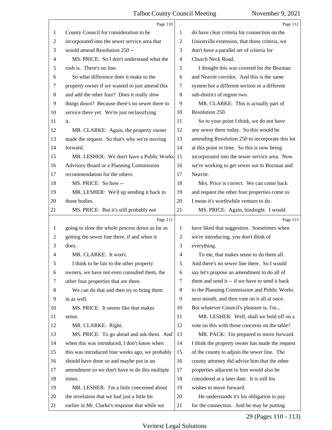|              | Page 110                                        |                | Page 112                                        |
|--------------|-------------------------------------------------|----------------|-------------------------------------------------|
| 1            | County Council for consideration to be          | 1              | do have clear criteria for connection on the    |
| 2            | incorporated into the sewer service area that   | $\mathfrak{2}$ | Unionville extension, that those criteria, we   |
| 3            | would amend Resolution 250 --                   | 3              | don't have a parallel set of criteria for       |
| 4            | MS. PRICE: So I don't understand what the       | $\overline{4}$ | Church Neck Road.                               |
| 5            | rush is. There's no line.                       | 5              | I thought this was covered for the Bozman       |
| 6            | So what difference does it make to the          | 6              | and Neavitt corridor. And this is the same      |
| 7            | property owner if we wanted to just amend this  | 7              | system but a different section or a different   |
| 8            | and add the other four? Does it really slow     | 8              | sub-district of region two.                     |
| 9            | things down? Because there's no sewer there to  | 9              | MR. CLARKE: This is actually part of            |
| 10           | service there yet. We're just reclassifying     | 10             | Resolution 250.                                 |
| 11           | it.                                             | 11             | So to your point I think, we do not have        |
| 12           | MR. CLARKE: Again, the property owner           | 12             | any sewer there today. So this would be         |
| 13           | made the request. So that's why we're moving    | 13             | amending Resolution 250 to incorporate this lot |
| 14           | forward.                                        | 14             | at this point in time. So this is now being     |
| 15           | MR. LESHER: We don't have a Public Works        | 15             | incorporated into the sewer service area. Now   |
| 16           | Advisory Board or a Planning Commission         | 16             | we're working to get sewer out to Bozman and    |
| 17           | recommendation for the others.                  | 17             | Neavitt.                                        |
| 18           | MS. PRICE: So how --                            | 18             | Mrs. Price is correct. We can come back         |
| 19           | MR. LESHER: We'd up sending it back to          | 19             | and request the other four properties come in.  |
| 20           | those bodies.                                   | 20             | I mean it's worthwhile venture to do.           |
| 21           | MS. PRICE: But it's still probably not          | 21             | MS. PRICE: Again, hindsight. I would            |
|              | Page 111                                        |                | Page 113                                        |
| $\mathbf{1}$ | going to slow the whole process down as far as  | 1              | have liked that suggestion. Sometimes when      |
| 2            | getting the sewer line there, if and when it    | $\overline{2}$ | we're introducing, you don't think of           |
| 3            | does.                                           | 3              | everything.                                     |
| 4            | MR. CLARKE: It won't.                           | 4              | To me, that makes sense to do them all.         |
| C            | I think to be fair to the other property        | 5              | And there's no sewer line there. So I would     |
| 6            |                                                 |                |                                                 |
| 7            | owners, we have not even consulted them, the    | 6              | say let's propose an amendment to do all of     |
|              | other four properties that are there.           | 7              | them and send it -- if we have to send it back  |
| 8            | We can do that and then try to bring them       | 8              | to the Planning Commission and Public Works     |
| 9            | in as well.                                     | 9              | next month, and then vote on it all at once.    |
| 10           | MS. PRICE: It seems like that makes             | 10             | But whatever Council's pleasure is, I'm         |
| 11           | sense.                                          | 11             | MR. LESHER: Well, shall we hold off on a        |
| 12           | MR. CLARKE: Right.                              | 12             | vote on this with those concerns on the table?  |
| 13           | MS. PRICE: To go ahead and ask them. And        | 13             | MR. PACK: I'm prepared to move forward.         |
| 14           | when this was introduced, I don't know when     | 14             | I think the property owner has made the request |
| 15           | this was introduced four weeks ago, we probably | 15             | of the county to adjoin the sewer line. The     |
| 16           | should have done so and maybe put in an         | 16             | county attorney did advise him that the other   |
| 17           | amendment so we don't have to do this multiple  | 17             | properties adjacent to him would also be        |
| 18           | times.                                          | 18             | considered at a later date. It is still his     |
| 19           | MR. LESHER: I'm a little concerned about        | 19             | wishes to move forward.                         |
| 20           | the revelation that we had just a little bit    | 20             | He understands it's his obligation to pay       |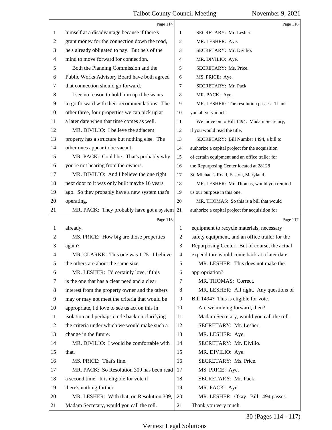|    | Page 114                                        |                          | Page 116                                        |
|----|-------------------------------------------------|--------------------------|-------------------------------------------------|
| 1  | himself at a disadvantage because if there's    | 1                        | SECRETARY: Mr. Lesher.                          |
| 2  | grant money for the connection down the road,   | 2                        | MR. LESHER: Aye.                                |
| 3  | he's already obligated to pay. But he's of the  | 3                        | SECRETARY: Mr. Divilio.                         |
| 4  | mind to move forward for connection.            | 4                        | MR. DIVILIO: Aye.                               |
| 5  | Both the Planning Commission and the            | 5                        | SECRETARY: Ms. Price.                           |
| 6  | Public Works Advisory Board have both agreed    | 6                        | MS. PRICE: Aye.                                 |
| 7  | that connection should go forward.              | 7                        | SECRETARY: Mr. Pack.                            |
| 8  | I see no reason to hold him up if he wants      | 8                        | MR. PACK: Aye.                                  |
| 9  | to go forward with their recommendations. The   | 9                        | MR. LESHER: The resolution passes. Thank        |
| 10 | other three, four properties we can pick up at  | 10                       | you all very much.                              |
| 11 | a later date when that time comes as well.      | 11                       | We move on to Bill 1494. Madam Secretary,       |
| 12 | MR. DIVILIO: I believe the adjacent             | 12                       | if you would read the title.                    |
| 13 | property has a structure but nothing else. The  | 13                       | SECRETARY: Bill Number 1494, a bill to          |
| 14 | other ones appear to be vacant.                 | 14                       | authorize a capital project for the acquisition |
| 15 | MR. PACK: Could be. That's probably why         | 15                       | of certain equipment and an office trailer for  |
| 16 | you're not hearing from the owners.             | 16                       | the Repurposing Center located at 28128         |
| 17 | MR. DIVILIO: And I believe the one right        | 17                       | St. Michael's Road, Easton, Maryland.           |
| 18 | next door to it was only built maybe 16 years   | 18                       | MR. LESHER: Mr. Thomas, would you remind        |
| 19 | ago. So they probably have a new system that's  | 19                       | us our purpose in this one.                     |
| 20 | operating.                                      | 20                       | MR. THOMAS: So this is a bill that would        |
| 21 | MR. PACK: They probably have got a system       | 21                       | authorize a capital project for acquisition for |
|    |                                                 |                          |                                                 |
|    | Page 115                                        |                          | Page 117                                        |
| 1  | already.                                        | 1                        | equipment to recycle materials, necessary       |
| 2  | MS. PRICE: How big are those properties         | 2                        | safety equipment, and an office trailer for the |
| 3  | again?                                          | 3                        | Repurposing Center. But of course, the actual   |
| 4  | MR. CLARKE: This one was 1.25. I believe        | $\overline{\mathcal{A}}$ | expenditure would come back at a later date.    |
|    | the others are about the same size.             | 5                        | MR. LESHER: This does not make the              |
| 6  | MR. LESHER: I'd certainly love, if this         | 6                        | appropriation?                                  |
| 7  | is the one that has a clear need and a clear    | 7                        | MR. THOMAS: Correct.                            |
| 8  | interest from the property owner and the others | 8                        | MR. LESHER: All right. Any questions of         |
| 9  | may or may not meet the criteria that would be  | 9                        | Bill 1494? This is eligible for vote.           |
| 10 | appropriate, I'd love to see us act on this in  | 10                       | Are we moving forward, then?                    |
| 11 | isolation and perhaps circle back on clarifying | 11                       | Madam Secretary, would you call the roll.       |
| 12 | the criteria under which we would make such a   | 12                       | SECRETARY: Mr. Lesher.                          |
| 13 | change in the future.                           | 13                       | MR. LESHER: Aye.                                |
| 14 | MR. DIVILIO: I would be comfortable with        | 14                       | SECRETARY: Mr. Divilio.                         |
| 15 | that.                                           | 15                       | MR. DIVILIO: Aye.                               |
| 16 | MS. PRICE: That's fine.                         | 16                       | SECRETARY: Ms. Price.                           |
| 17 | MR. PACK: So Resolution 309 has been read       | 17                       | MS. PRICE: Aye.                                 |
| 18 | a second time. It is eligible for vote if       | 18                       | SECRETARY: Mr. Pack.                            |
| 19 | there's nothing further.                        | 19                       | MR. PACK: Aye.                                  |
| 20 | MR. LESHER: With that, on Resolution 309,       | 20                       | MR. LESHER: Okay. Bill 1494 passes.             |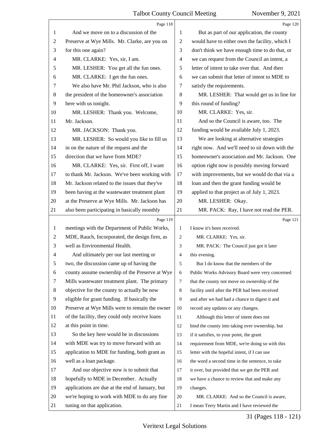|                | Page 118                                        |                | Page 120                                        |
|----------------|-------------------------------------------------|----------------|-------------------------------------------------|
| 1              | And we move on to a discussion of the           | 1              | But as part of our application, the county      |
| $\overline{2}$ | Preserve at Wye Mills. Mr. Clarke, are you on   | $\overline{2}$ | would have to either own the facility, which I  |
| 3              | for this one again?                             | 3              | don't think we have enough time to do that, or  |
| $\overline{4}$ | MR. CLARKE: Yes, sir, I am.                     | 4              | we can request from the Council an intent, a    |
| 5              | MR. LESHER: You get all the fun ones.           | 5              | letter of intent to take over that. And then    |
| 6              | MR. CLARKE: I get the fun ones.                 | 6              | we can submit that letter of intent to MDE to   |
| 7              | We also have Mr. Phil Jackson, who is also      | 7              | satisfy the requirements.                       |
| 8              | the president of the homeowner's association    | 8              | MR. LESHER: That would get us in line for       |
| 9              | here with us tonight.                           | 9              | this round of funding?                          |
| 10             | MR. LESHER: Thank you. Welcome,                 | 10             | MR. CLARKE: Yes, sir.                           |
| 11             | Mr. Jackson.                                    | 11             | And so the Council is aware, too. The           |
| 12             | MR. JACKSON: Thank you.                         | 12             | funding would be available July 1, 2023.        |
| 13             | MR. LESHER: So would you like to fill us        | 13             | We are looking at alternative strategies        |
| 14             | in on the nature of the request and the         | 14             | right now. And we'll need to sit down with the  |
| 15             | direction that we have from MDE?                | 15             | homeowner's association and Mr. Jackson. One    |
| 16             | MR. CLARKE: Yes, sir. First off, I want         | 16             | option right now is possibly moving forward     |
| 17             | to thank Mr. Jackson. We've been working with   | 17             | with improvements, but we would do that via a   |
| 18             | Mr. Jackson related to the issues that they've  | 18             | loan and then the grant funding would be        |
| 19             | been having at the wastewater treatment plant   | 19             | applied to that project as of July 1, 2023.     |
| 20             | at the Preserve at Wye Mills. Mr. Jackson has   | 20             | MR. LESHER: Okay.                               |
| 21             | also been participating in basically monthly    | 21             | MR. PACK: Ray, I have not read the PER.         |
|                |                                                 |                |                                                 |
|                | Page 119                                        |                | Page 121                                        |
| 1              | meetings with the Department of Public Works,   | 1              | I know it's been received.                      |
| 2              | MDE, Rauch, Incorporated, the design firm, as   | 2              | MR. CLARKE: Yes, sir.                           |
| 3              | well as Environmental Health.                   | 3              | MR. PACK: The Council just got it later         |
| 4              | And ultimately per our last meeting or          | 4              | this evening.                                   |
| 5              | two, the discussion came up of having the       | 5              | But I do know that the members of the           |
| 6              | county assume ownership of the Preserve at Wye  | 6              | Public Works Advisory Board were very concerned |
| 7              | Mills wastewater treatment plant. The primary   | 7              | that the county not move on ownership of the    |
| 8              | objective for the county to actually be now     | 8              | facility until after the PER had been received  |
| 9              | eligible for grant funding. If basically the    | 9              | and after we had had a chance to digest it and  |
| 10             | Preserve at Wye Mills were to remain the owner  | 10             | record any updates or any changes.              |
| 11             | of the facility, they could only receive loans  | 11             | Although this letter of intent does not         |
| 12             | at this point in time.                          | 12             | bind the county into taking over ownership, but |
| 13             | So the key here would be in discussions         | 13             | if it satisfies, to your point, the grant       |
| 14             | with MDE was try to move forward with an        | 14             | requirement from MDE, we're doing so with this  |
| 15             | application to MDE for funding, both grant as   | 15             | letter with the hopeful intent, if I can use    |
| 16             | well as a loan package.                         | 16             | the word a second time in the sentence, to take |
| 17             | And our objective now is to submit that         | 17             | it over, but provided that we get the PER and   |
| 18             | hopefully to MDE in December. Actually          | 18             | we have a chance to review that and make any    |
| 19             | applications are due at the end of January, but | 19             | changes.                                        |
| 20             | we're hoping to work with MDE to do any fine    | 20             | MR. CLARKE: And so the Council is aware,        |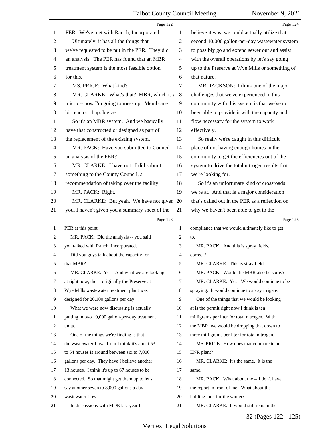|                | Page 122                                        |                | Page 124                                        |
|----------------|-------------------------------------------------|----------------|-------------------------------------------------|
| 1              | PER. We've met with Rauch, Incorporated.        | 1              | believe it was, we could actually utilize that  |
| $\overline{c}$ | Ultimately, it has all the things that          | $\overline{2}$ | second 10,000 gallon-per-day wastewater system  |
| 3              | we've requested to be put in the PER. They did  | 3              | to possibly go and extend sewer out and assist  |
| $\overline{4}$ | an analysis. The PER has found that an MBR      | 4              | with the overall operations by let's say going  |
| 5              | treatment system is the most feasible option    | 5              | up to the Preserve at Wye Mills or something of |
| 6              | for this.                                       | 6              | that nature.                                    |
| 7              | MS. PRICE: What kind?                           | 7              | MR. JACKSON: I think one of the major           |
| 8              | MR. CLARKE: What's that? MBR, which is a        | 8              | challenges that we've experienced in this       |
| 9              | micro -- now I'm going to mess up. Membrane     | 9              | community with this system is that we've not    |
| 10             | bioreactor. I apologize.                        | 10             | been able to provide it with the capacity and   |
| 11             | So it's an MBR system. And we basically         | 11             | flow necessary for the system to work           |
| 12             | have that constructed or designed as part of    | 12             | effectively.                                    |
| 13             | the replacement of the existing system.         | 13             | So really we're caught in this difficult        |
| 14             | MR. PACK: Have you submitted to Council         | 14             | place of not having enough homes in the         |
| 15             | an analysis of the PER?                         | 15             | community to get the efficiencies out of the    |
| 16             | MR. CLARKE: I have not. I did submit            | 16             | system to drive the total nitrogen results that |
| 17             | something to the County Council, a              | 17             | we're looking for.                              |
| 18             | recommendation of taking over the facility.     | 18             | So it's an unfortunate kind of crossroads       |
| 19             | MR. PACK: Right.                                | 19             | we're at. And that is a major consideration     |
| 20             | MR. CLARKE: But yeah. We have not given         | 20             | that's called out in the PER as a reflection on |
| 21             | you, I haven't given you a summary sheet of the | 21             | why we haven't been able to get to the          |
|                |                                                 |                |                                                 |
|                | Page 123                                        |                | Page 125                                        |
| 1              | PER at this point.                              | 1              | compliance that we would ultimately like to get |
| 2              | MR. PACK: Did the analysis -- you said          | 2              | to.                                             |
| 3              | you talked with Rauch, Incorporated.            | 3              | MR. PACK: And this is spray fields,             |
| 4              | Did you guys talk about the capacity for        | 4              | correct?                                        |
| 5              | that MBR?                                       | 5              | MR. CLARKE: This is stray field.                |
| 6              | MR. CLARKE: Yes. And what we are looking        | 6              | MR. PACK: Would the MBR also be spray?          |
| 7              | at right now, the -- originally the Preserve at | 7              | MR. CLARKE: Yes. We would continue to be        |
| 8              | Wye Mills wastewater treatment plant was        | 8              | spraying. It would continue to spray irrigate.  |
| 9              | designed for 20,100 gallons per day.            | 9              | One of the things that we would be looking      |
| 10             | What we were now discussing is actually         | 10             | at is the permit right now I think is ten       |
| 11             | putting in two 10,000 gallon-per-day treatment  | 11             | milligrams per liter for total nitrogen. With   |
| 12             | units.                                          | 12             | the MBR, we would be dropping that down to      |
| 13             | One of the things we're finding is that         | 13             | three milligrams per liter for total nitrogen.  |
| 14             | the wastewater flows from I think it's about 53 | 14             | MS. PRICE: How does that compare to an          |
| 15             | to 54 houses is around between six to 7,000     | 15             | ENR plant?                                      |
| 16             | gallons per day. They have I believe another    | 16             | MR. CLARKE: It's the same. It is the            |
| 17             | 13 houses. I think it's up to 67 houses to be   | 17             | same.                                           |
| 18             | connected. So that might get them up to let's   | 18             | MR. PACK: What about the -- I don't have        |
| 19             | say another seven to 8,000 gallons a day        | 19             | the report in front of me. What about the       |
| 20             | wastewater flow.                                | 20             | holding tank for the winter?                    |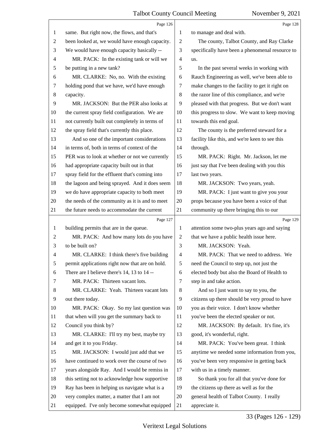|                | Page 126                                        |                | Page 128                                        |
|----------------|-------------------------------------------------|----------------|-------------------------------------------------|
| 1              | same. But right now, the flows, and that's      | 1              | to manage and deal with.                        |
| $\overline{c}$ | been looked at, we would have enough capacity.  | $\overline{2}$ | The county, Talbot County, and Ray Clarke       |
| 3              | We would have enough capacity basically --      | 3              | specifically have been a phenomenal resource to |
| 4              | MR. PACK: In the existing tank or will we       | 4              | us.                                             |
| 5              | be putting in a new tank?                       | 5              | In the past several weeks in working with       |
| 6              | MR. CLARKE: No, no. With the existing           | 6              | Rauch Engineering as well, we've been able to   |
| 7              | holding pond that we have, we'd have enough     | 7              | make changes to the facility to get it right on |
| 8              | capacity.                                       | 8              | the razor line of this compliance, and we're    |
| 9              | MR. JACKSON: But the PER also looks at          | 9              | pleased with that progress. But we don't want   |
| 10             | the current spray field configuration. We are   | 10             | this progress to slow. We want to keep moving   |
| 11             | not currently built out completely in terms of  | 11             | towards this end goal.                          |
| 12             | the spray field that's currently this place.    | 12             | The county is the preferred steward for a       |
| 13             | And so one of the important considerations      | 13             | facility like this, and we're keen to see this  |
| 14             | in terms of, both in terms of context of the    | 14             | through.                                        |
| 15             | PER was to look at whether or not we currently  | 15             | MR. PACK: Right. Mr. Jackson, let me            |
| 16             | had appropriate capacity built out in that      | 16             | just say that I've been dealing with you this   |
| 17             | spray field for the effluent that's coming into | 17             | last two years.                                 |
| 18             | the lagoon and being sprayed. And it does seem  | 18             | MR. JACKSON: Two years, yeah.                   |
| 19             | we do have appropriate capacity to both meet    | 19             | MR. PACK: I just want to give you your          |
| 20             | the needs of the community as it is and to meet | 20             | props because you have been a voice of that     |
| 21             | the future needs to accommodate the current     | 21             | community up there bringing this to our         |
|                |                                                 |                |                                                 |
|                | Page 127                                        |                | Page 129                                        |
| 1              | building permits that are in the queue.         | 1              | attention some two-plus years ago and saying    |
| 2              | MR. PACK: And how many lots do you have         | 2              | that we have a public health issue here.        |
| 3              | to be built on?                                 | 3              | MR. JACKSON: Yeah.                              |
| 4              | MR. CLARKE: I think there's five building       | $\overline{4}$ | MR. PACK: That we need to address. We           |
| 5              | permit applications right now that are on hold. | 5              | need the Council to step up, not just the       |
| 6              | There are I believe there's 14, 13 to 14 --     | 6              | elected body but also the Board of Health to    |
| 7              | MR. PACK: Thirteen vacant lots.                 | 7              | step in and take action.                        |
| 8              | MR. CLARKE: Yeah. Thirteen vacant lots          | 8              | And so I just want to say to you, the           |
| 9              | out there today.                                | 9              | citizens up there should be very proud to have  |
| 10             | MR. PACK: Okay. So my last question was         | 10             | you as their voice. I don't know whether        |
| 11             | that when will you get the summary back to      | 11             | you've been the elected speaker or not.         |
| 12             | Council you think by?                           | 12             | MR. JACKSON: By default. It's fine, it's        |
| 13             | MR. CLARKE: I'll try my best, maybe try         | 13             | good, it's wonderful, right.                    |
| 14             | and get it to you Friday.                       | 14             | MR. PACK: You've been great. I think            |
| 15             | MR. JACKSON: I would just add that we           | 15             | anytime we needed some information from you,    |
| 16             | have continued to work over the course of two   | 16             | you've been very responsive in getting back     |
| 17             | years alongside Ray. And I would be remiss in   | 17             | with us in a timely manner.                     |
| 18             | this setting not to acknowledge how supportive  | 18             | So thank you for all that you've done for       |
| 19             | Ray has been in helping us navigate what is a   | 19             | the citizens up there as well as for the        |
| 20             | very complex matter, a matter that I am not     | 20             | general health of Talbot County. I really       |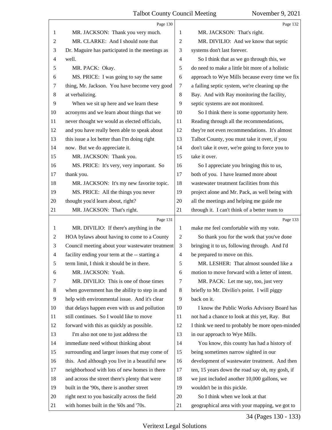|                | Page 130                                        |                          | Page 132                                        |
|----------------|-------------------------------------------------|--------------------------|-------------------------------------------------|
| 1              | MR. JACKSON: Thank you very much.               | 1                        | MR. JACKSON: That's right.                      |
| 2              | MR. CLARKE: And I should note that              | $\mathbf{2}$             | MR. DIVILIO: And we know that septic            |
| 3              | Dr. Maguire has participated in the meetings as | 3                        | systems don't last forever.                     |
| 4              | well.                                           | $\overline{\mathcal{A}}$ | So I think that as we go through this, we       |
| 5              | MR. PACK: Okay.                                 | 5                        | do need to make a little bit more of a holistic |
| 6              | MS. PRICE: I was going to say the same          | 6                        | approach to Wye Mills because every time we fix |
| 7              | thing, Mr. Jackson. You have become very good   | 7                        | a failing septic system, we're cleaning up the  |
| 8              | at verbalizing.                                 | $\,8\,$                  | Bay. And with Ray monitoring the facility,      |
| 9              | When we sit up here and we learn these          | 9                        | septic systems are not monitored.               |
| 10             | acronyms and we learn about things that we      | 10                       | So I think there is some opportunity here.      |
| 11             | never thought we would as elected officials,    | 11                       | Reading through all the recommendations,        |
| 12             | and you have really been able to speak about    | 12                       | they're not even recommendations. It's almost   |
| 13             | this issue a lot better than I'm doing right    | 13                       | Talbot County, you must take it over, if you    |
| 14             | now. But we do appreciate it.                   | 14                       | don't take it over, we're going to force you to |
| 15             | MR. JACKSON: Thank you.                         | 15                       | take it over.                                   |
| 16             | MS. PRICE: It's very, very important. So        | 16                       | So I appreciate you bringing this to us,        |
| 17             | thank you.                                      | 17                       | both of you. I have learned more about          |
| 18             | MR. JACKSON: It's my new favorite topic.        | 18                       | wastewater treatment facilities from this       |
| 19             | MS. PRICE: All the things you never             | 19                       | project alone and Mr. Pack, as well being with  |
| 20             | thought you'd learn about, right?               | 20                       | all the meetings and helping me guide me        |
| 21             | MR. JACKSON: That's right.                      | 21                       | through it. I can't think of a better team to   |
|                |                                                 |                          |                                                 |
|                | Page 131                                        |                          | Page 133                                        |
| 1              | MR. DIVILIO: If there's anything in the         | 1                        | make me feel comfortable with my vote.          |
| 2              | HOA bylaws about having to come to a County     | $\overline{2}$           | So thank you for the work that you've done      |
| 3              | Council meeting about your wastewater treatment | 3                        | bringing it to us, following through. And I'd   |
| $\overline{4}$ | facility ending your term at the -- starting a  | $\overline{4}$           | be prepared to move on this.                    |
| 5              | term limit. I think it should be in there.      | 5                        | MR. LESHER: That almost sounded like a          |
| 6              | MR. JACKSON: Yeah.                              | 6                        | motion to move forward with a letter of intent. |
| 7              | MR. DIVILIO: This is one of those times         | 7                        | MR. PACK: Let me say, too, just very            |
| 8              | when government has the ability to step in and  | 8                        | briefly to Mr. Divilio's point. I will piggy    |
| 9              | help with environmental issue. And it's clear   | 9                        | back on it.                                     |
| 10             | that delays happen even with us and pollution   | 10                       | I know the Public Works Advisory Board has      |
| 11             | still continues. So I would like to move        | 11                       | not had a chance to look at this yet, Ray. But  |
| 12             | forward with this as quickly as possible.       | 12                       | I think we need to probably be more open-minded |
| 13             | I'm also not one to just address the            | 13                       | in our approach to Wye Mills.                   |
| 14             | immediate need without thinking about           | 14                       | You know, this county has had a history of      |
| 15             | surrounding and larger issues that may come of  | 15                       | being sometimes narrow sighted in our           |
| 16             | this. And although you live in a beautiful new  | 16                       | development of wastewater treatment. And then   |
| 17             | neighborhood with lots of new homes in there    | 17                       | ten, 15 years down the road say oh, my gosh, if |
| 18             | and across the street there's plenty that were  | 18                       | we just included another 10,000 gallons, we     |
| 19             | built in the '90s, there is another street      | 19                       | wouldn't be in this pickle.                     |
| 20             | right next to you basically across the field    | 20                       | So I think when we look at that                 |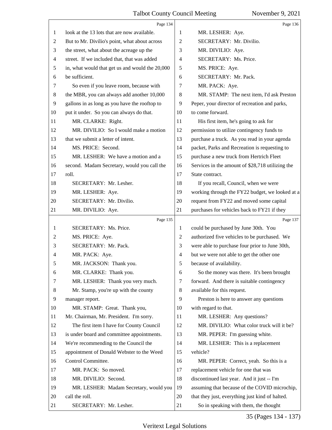|                | Page 134                                        |                | Page 136                                         |
|----------------|-------------------------------------------------|----------------|--------------------------------------------------|
| 1              | look at the 13 lots that are now available.     | 1              | MR. LESHER: Aye.                                 |
| 2              | But to Mr. Divilio's point, what about across   | 2              | SECRETARY: Mr. Divilio.                          |
| 3              | the street, what about the acreage up the       | 3              | MR. DIVILIO: Aye.                                |
| $\overline{4}$ | street. If we included that, that was added     | $\overline{4}$ | SECRETARY: Ms. Price.                            |
| 5              | in, what would that get us and would the 20,000 | 5              | MS. PRICE: Aye.                                  |
| 6              | be sufficient.                                  | 6              | SECRETARY: Mr. Pack.                             |
| 7              | So even if you leave room, because with         | 7              | MR. PACK: Aye.                                   |
| $\,8\,$        | the MBR, you can always add another 10,000      | 8              | MR. STAMP: The next item, I'd ask Preston        |
| 9              | gallons in as long as you have the rooftop to   | 9              | Peper, your director of recreation and parks,    |
| 10             | put it under. So you can always do that.        | 10             | to come forward.                                 |
| 11             | MR. CLARKE: Right.                              | 11             | His first item, he's going to ask for            |
| 12             | MR. DIVILIO: So I would make a motion           | 12             | permission to utilize contingency funds to       |
| 13             | that we submit a letter of intent.              | 13             | purchase a truck. As you read in your agenda     |
| 14             | MS. PRICE: Second.                              | 14             | packet, Parks and Recreation is requesting to    |
| 15             | MR. LESHER: We have a motion and a              | 15             | purchase a new truck from Hertrich Fleet         |
| 16             | second. Madam Secretary, would you call the     | 16             | Services in the amount of \$28,718 utilizing the |
| 17             | roll.                                           | 17             | State contract.                                  |
| 18             | SECRETARY: Mr. Lesher.                          | 18             | If you recall, Council, when we were             |
| 19             | MR. LESHER: Aye.                                | 19             | working through the FY22 budget, we looked at a  |
| 20             | SECRETARY: Mr. Divilio.                         | 20             | request from FY22 and moved some capital         |
| 21             | MR. DIVILIO: Aye.                               | 21             | purchases for vehicles back to FY21 if they      |
|                |                                                 |                |                                                  |
|                | Page 135                                        |                | Page 137                                         |
| 1              | SECRETARY: Ms. Price.                           | 1              | could be purchased by June 30th. You             |
| 2              | MS. PRICE: Aye.                                 | 2              | authorized five vehicles to be purchased. We     |
| 3              | SECRETARY: Mr. Pack.                            | 3              | were able to purchase four prior to June 30th,   |
| 4              | MR. PACK: Aye.                                  | $\overline{4}$ | but we were not able to get the other one        |
| 5              | MR. JACKSON: Thank you.                         | 5              | because of availability.                         |
| 6              | MR. CLARKE: Thank you.                          | 6              | So the money was there. It's been brought        |
| 7              | MR. LESHER: Thank you very much.                | 7              | forward. And there is suitable contingency       |
| 8              | Mr. Stamp, you're up with the county            | 8              | available for this request.                      |
| 9              | manager report.                                 | 9              | Preston is here to answer any questions          |
| 10             | MR. STAMP: Great. Thank you,                    | 10             | with regard to that.                             |
| 11             | Mr. Chairman, Mr. President. I'm sorry.         | 11             | MR. LESHER: Any questions?                       |
| 12             | The first item I have for County Council        | 12             | MR. DIVILIO: What color truck will it be?        |
| 13             | is under board and committee appointments.      | 13             | MR. PEPER: I'm guessing white.                   |
| 14             | We're recommending to the Council the           | 14             | MR. LESHER: This is a replacement                |
| 15             | appointment of Donald Webster to the Weed       | 15             | vehicle?                                         |
| 16             | Control Committee.                              | 16             | MR. PEPER: Correct, yeah. So this is a           |
| 17             | MR. PACK: So moved.                             | 17             | replacement vehicle for one that was             |
| 18             | MR. DIVILIO: Second.                            | 18             | discontinued last year. And it just -- I'm       |
| 19             | MR. LESHER: Madam Secretary, would you          | 19             | assuming that because of the COVID microchip,    |
| 20             | call the roll.                                  | 20             | that they just, everything just kind of halted.  |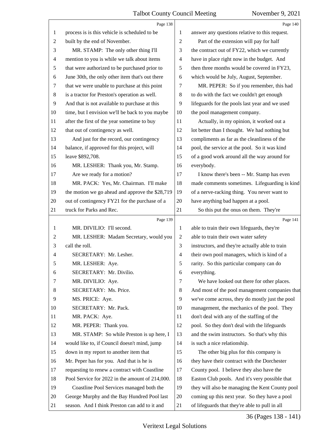<span id="page-36-0"></span>

|                | Page 138                                        |                | Page 140                                        |
|----------------|-------------------------------------------------|----------------|-------------------------------------------------|
| 1              | process is is this vehicle is scheduled to be   | 1              | answer any questions relative to this request.  |
| $\overline{c}$ | built by the end of November.                   | $\overline{2}$ | Part of the extension will pay for half         |
| 3              | MR. STAMP: The only other thing I'll            | 3              | the contract out of FY22, which we currently    |
| 4              | mention to you is while we talk about items     | 4              | have in place right now in the budget. And      |
| 5              | that were authorized to be purchased prior to   | 5              | then three months would be covered in FY23,     |
| 6              | June 30th, the only other item that's out there | 6              | which would be July, August, September.         |
| 7              | that we were unable to purchase at this point   | 7              | MR. PEPER: So if you remember, this had         |
| $\,8$          | is a tractor for Preston's operation as well.   | 8              | to do with the fact we couldn't get enough      |
| 9              | And that is not available to purchase at this   | 9              | lifeguards for the pools last year and we used  |
| 10             | time, but I envision we'll be back to you maybe | 10             | the pool management company.                    |
| 11             | after the first of the year sometime to buy     | 11             | Actually, in my opinion, it worked out a        |
| 12             | that out of contingency as well.                | 12             | lot better than I thought. We had nothing but   |
| 13             | And just for the record, our contingency        | 13             | compliments as far as the cleanliness of the    |
| 14             | balance, if approved for this project, will     | 14             | pool, the service at the pool. So it was kind   |
| 15             | leave \$892,708.                                | 15             | of a good work around all the way around for    |
| 16             | MR. LESHER: Thank you, Mr. Stamp.               | 16             | everybody.                                      |
| 17             | Are we ready for a motion?                      | 17             | I know there's been -- Mr. Stamp has even       |
| 18             | MR. PACK: Yes, Mr. Chairman. I'll make          | 18             | made comments sometimes. Lifeguarding is kind   |
| 19             | the motion we go ahead and approve the \$28,719 | 19             | of a nerve-racking thing. You never want to     |
| 20             | out of contingency FY21 for the purchase of a   | 20             | have anything bad happen at a pool.             |
| 21             | truck for Parks and Rec.                        | 21             | So this put the onus on them. They're           |
|                | Page 139                                        |                |                                                 |
|                |                                                 |                | Page 141                                        |
| $\mathbf{1}$   | MR. DIVILIO: I'll second.                       | $\mathbf{1}$   | able to train their own lifeguards, they're     |
| 2              | MR. LESHER: Madam Secretary, would you          | $\overline{2}$ | able to train their own water safety            |
| 3              | call the roll.                                  | 3              | instructors, and they're actually able to train |
| 4              | SECRETARY: Mr. Lesher.                          | $\overline{4}$ | their own pool managers, which is kind of a     |
| 5              | MR. LESHER: Aye.                                | 5              | rarity. So this particular company can do       |
| 6              | SECRETARY: Mr. Divilio.                         | 6              | everything.                                     |
| 7              | MR. DIVILIO: Aye.                               | 7              | We have looked out there for other places.      |
| 8              | SECRETARY: Ms. Price.                           | 8              | And most of the pool management companies that  |
| 9              | MS. PRICE: Aye.                                 | 9              | we've come across, they do mostly just the pool |
| 10             | SECRETARY: Mr. Pack.                            | 10             | management, the mechanics of the pool. They     |
| 11             | MR. PACK: Aye.                                  | 11             | don't deal with any of the staffing of the      |
| 12             | MR. PEPER: Thank you.                           | 12             | pool. So they don't deal with the lifeguards    |
| 13             | MR. STAMP: So while Preston is up here, I       | 13             | and the swim instructors. So that's why this    |
| 14             | would like to, if Council doesn't mind, jump    | 14             | is such a nice relationship.                    |
| 15             | down in my report to another item that          | 15             | The other big plus for this company is          |
| 16             | Mr. Peper has for you. And that is he is        | 16             | they have their contract with the Dorchester    |
| 17             | requesting to renew a contract with Coastline   | 17             | County pool. I believe they also have the       |
| 18             | Pool Service for 2022 in the amount of 214,000. | 18             | Easton Club pools. And it's very possible that  |
| 19             | Coastline Pool Services managed both the        | 19             | they will also be managing the Kent County pool |
| 20             | George Murphy and the Bay Hundred Pool last     | 20             | coming up this next year. So they have a pool   |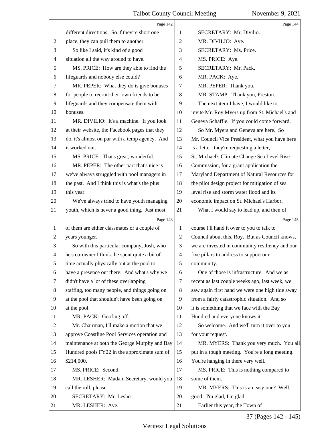<span id="page-37-0"></span>

|    | Page 142                                       |                | Page 144                                        |
|----|------------------------------------------------|----------------|-------------------------------------------------|
| 1  | different directions. So if they're short one  | 1              | SECRETARY: Mr. Divilio.                         |
| 2  | place, they can pull them to another.          | $\overline{2}$ | MR. DIVILIO: Aye.                               |
| 3  | So like I said, it's kind of a good            | 3              | SECRETARY: Ms. Price.                           |
| 4  | situation all the way around to have.          | 4              | MS. PRICE: Aye.                                 |
| 5  | MS. PRICE: How are they able to find the       | 5              | SECRETARY: Mr. Pack.                            |
| 6  | lifeguards and nobody else could?              | 6              | MR. PACK: Aye.                                  |
| 7  | MR. PEPER: What they do is give bonuses        | 7              | MR. PEPER: Thank you.                           |
| 8  | for people to recruit their own friends to be  | 8              | MR. STAMP: Thank you, Preston.                  |
| 9  | lifeguards and they compensate them with       | 9              | The next item I have, I would like to           |
| 10 | bonuses.                                       | 10             | invite Mr. Roy Myers up from St. Michael's and  |
| 11 | MR. DIVILIO: It's a machine. If you look       | 11             | Geneva Schaffle. If you could come forward.     |
| 12 | at their website, the Facebook pages that they | 12             | So Mr. Myers and Geneva are here. So            |
| 13 | do, it's almost on par with a temp agency. And | 13             | Mr. Council Vice President, what you have here  |
| 14 | it worked out.                                 | 14             | is a letter, they're requesting a letter,       |
| 15 | MS. PRICE: That's great, wonderful.            | 15             | St. Michael's Climate Change Sea Level Rise     |
| 16 | MR. PEPER: The other part that's nice is       | 16             | Commission, for a grant application the         |
| 17 | we've always struggled with pool managers in   | 17             | Maryland Department of Natural Resources for    |
| 18 | the past. And I think this is what's the plus  | 18             | the pilot design project for mitigation of sea  |
| 19 | this year.                                     | 19             | level rise and storm water flood and its        |
| 20 | We've always tried to have youth managing      | 20             | economic impact on St. Michael's Harbor.        |
| 21 | youth, which is never a good thing. Just most  | 21             | What I would say to lead up, and then of        |
|    |                                                |                |                                                 |
|    | Page 143                                       |                | Page 145                                        |
| 1  | of them are either classmates or a couple of   | 1              | course I'll hand it over to you to talk to      |
| 2  | years younger.                                 | $\overline{c}$ | Council about this, Roy. But as Council knows,  |
| 3  | So with this particular company, Josh, who     | 3              | we are invested in community resiliency and our |
| 4  | he's co-owner I think, he spent quite a bit of | 4              | five pillars to address to support our          |
|    | time actually physically out at the pool to    | 5              | community.                                      |
| 6  | have a presence out there. And what's why we   | 6              | One of those is infrastructure. And we as       |
| 7  | didn't have a lot of these overlapping         | 7              | recent as last couple weeks ago, last week, we  |
| 8  | staffing, too many people, and things going on | 8              | saw again first hand we were one high tide away |
| 9  | at the pool that shouldn't have been going on  | 9              | from a fairly catastrophic situation. And so    |
| 10 | at the pool.                                   | 10             | it is something that we face with the Bay       |
| 11 | MR. PACK: Goofing off.                         | 11             | Hundred and everyone knows it.                  |
| 12 | Mr. Chairman, I'll make a motion that we       | 12             | So welcome. And we'll turn it over to you       |
| 13 | approve Coastline Pool Services operation and  | 13             | for your request.                               |
| 14 | maintenance at both the George Murphy and Bay  | 14             | MR. MYERS: Thank you very much. You all         |
| 15 | Hundred pools FY22 in the approximate sum of   | 15             | put in a tough meeting. You're a long meeting.  |
| 16 | \$214,000.                                     | 16             | You're hanging in there very well.              |
| 17 | MS. PRICE: Second.                             | 17             | MS. PRICE: This is nothing compared to          |
| 18 | MR. LESHER: Madam Secretary, would you         | 18             | some of them.                                   |
| 19 | call the roll, please.                         | 19             | MR. MYERS: This is an easy one? Well,           |
| 20 | SECRETARY: Mr. Lesher.                         | 20             | good. I'm glad, I'm glad.                       |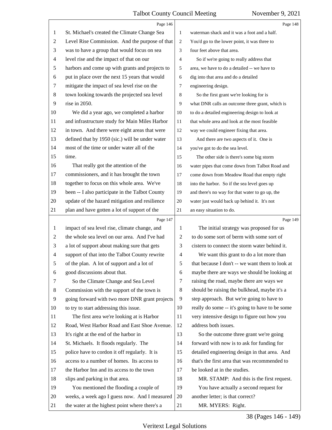<span id="page-38-0"></span>

|                | Page 146                                        |                | Page 148                                        |
|----------------|-------------------------------------------------|----------------|-------------------------------------------------|
| 1              | St. Michael's created the Climate Change Sea    | $\mathbf{1}$   | waterman shack and it was a foot and a half.    |
| $\overline{c}$ | Level Rise Commission. And the purpose of that  | $\overline{2}$ | You'd go to the lower point, it was three to    |
| 3              | was to have a group that would focus on sea     | 3              | four feet above that area.                      |
| 4              | level rise and the impact of that on our        | $\overline{4}$ | So if we're going to really address that        |
| 5              | harbors and come up with grants and projects to | 5              | area, we have to do a detailed -- we have to    |
| 6              | put in place over the next 15 years that would  | 6              | dig into that area and do a detailed            |
| 7              | mitigate the impact of sea level rise on the    | 7              | engineering design.                             |
| $\,8$          | town looking towards the projected sea level    | 8              | So the first grant we're looking for is         |
| 9              | rise in 2050.                                   | 9              | what DNR calls an outcome three grant, which is |
| 10             | We did a year ago, we completed a harbor        | 10             | to do a detailed engineering design to look at  |
| 11             | and infrastructure study for Main Miles Harbor  | 11             | that whole area and look at the most feasible   |
| 12             | in town. And there were eight areas that were   | 12             | way we could engineer fixing that area.         |
| 13             | defined that by 1950 (sic.) will be under water | 13             | And there are two aspects of it. One is         |
| 14             | most of the time or under water all of the      | 14             | you've got to do the sea level.                 |
| 15             | time.                                           | 15             | The other side is there's some big storm        |
| 16             | That really got the attention of the            | 16             | water pipes that come down from Talbot Road and |
| 17             | commissioners, and it has brought the town      | 17             | come down from Meadow Road that empty right     |
| 18             | together to focus on this whole area. We've     | 18             | into the harbor. So if the sea level goes up    |
| 19             | been -- I also participate in the Talbot County | 19             | and there's no way for that water to go up, the |
| 20             | update of the hazard mitigation and resilience  | 20             | water just would back up behind it. It's not    |
| 21             | plan and have gotten a lot of support of the    | 21             | an easy situation to do.                        |
|                | Page 147                                        |                | Page 149                                        |
| 1              | impact of sea level rise, climate change, and   | 1              | The initial strategy was proposed for us        |
| 2              | the whole sea level on our area. And I've had   | 2              | to do some sort of berm with some sort of       |
| 3              | a lot of support about making sure that gets    | 3              | cistern to connect the storm water behind it.   |
| $\overline{4}$ | support of that into the Talbot County rewrite  | 4              | We want this grant to do a lot more than        |
|                | of the plan. A lot of support and a lot of      | 5              | that because I don't -- we want them to look at |
| 6              |                                                 |                |                                                 |
|                | good discussions about that.                    | 6              | maybe there are ways we should be looking at    |
| 7              | So the Climate Change and Sea Level             | 7              | raising the road, maybe there are ways we       |
| 8              | Commission with the support of the town is      | 8              | should be raising the bulkhead, maybe it's a    |
| 9              | going forward with two more DNR grant projects  | 9              | step approach. But we're going to have to       |
| 10             | to try to start addressing this issue.          | 10             | really do some -- it's going to have to be some |
| 11             | The first area we're looking at is Harbor       | 11             | very intensive design to figure out how you     |
| 12             | Road, West Harbor Road and East Shoe Avenue.    | 12             | address both issues.                            |
| 13             | It's right at the end of the harbor in          | 13             | So the outcome three grant we're going          |
| 14             | St. Michaels. It floods regularly. The          | 14             | forward with now is to ask for funding for      |
| 15             | police have to cordon it off regularly. It is   | 15             | detailed engineering design in that area. And   |
| 16             | access to a number of homes. Its access to      | 16             | that's the first area that was recommended to   |
| 17             | the Harbor Inn and its access to the town       | 17             | be looked at in the studies.                    |
| 18             | slips and parking in that area.                 | 18             | MR. STAMP: And this is the first request.       |
| 19             | You mentioned the flooding a couple of          | 19             | You have actually a second request for          |
| 20             | weeks, a week ago I guess now. And I measured   | 20             | another letter; is that correct?                |

38 (Pages 146 - 149)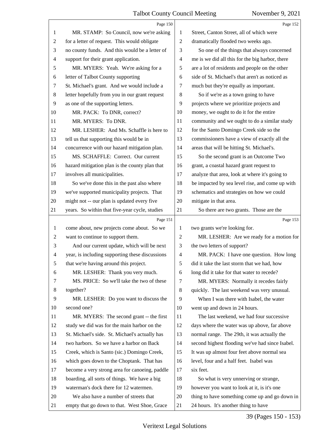<span id="page-39-0"></span>

|                | Page 150                                        |                          | Page 152                                        |
|----------------|-------------------------------------------------|--------------------------|-------------------------------------------------|
| 1              | MR. STAMP: So Council, now we're asking         | 1                        | Street, Canton Street, all of which were        |
| $\overline{c}$ | for a letter of request. This would obligate    | $\overline{2}$           | dramatically flooded two weeks ago.             |
| 3              | no county funds. And this would be a letter of  | 3                        | So one of the things that always concerned      |
| $\overline{4}$ | support for their grant application.            | $\overline{\mathcal{A}}$ | me is we did all this for the big harbor, there |
| 5              | MR. MYERS: Yeah. We're asking for a             | 5                        | are a lot of residents and people on the other  |
| 6              | letter of Talbot County supporting              | 6                        | side of St. Michael's that aren't as noticed as |
| 7              | St. Michael's grant. And we would include a     | 7                        | much but they're equally as important.          |
| $\,8$          | letter hopefully from you in our grant request  | 8                        | So if we're as a town going to have             |
| 9              | as one of the supporting letters.               | 9                        | projects where we prioritize projects and       |
| 10             | MR. PACK: To DNR, correct?                      | 10                       | money, we ought to do it for the entire         |
| 11             | MR. MYERS: To DNR.                              | 11                       | community and we ought to do a similar study    |
| 12             | MR. LESHER: And Ms. Schaffle is here to         | 12                       | for the Santo Domingo Creek side so the         |
| 13             | tell us that supporting this would be in        | 13                       | commissioners have a view of exactly all the    |
| 14             | concurrence with our hazard mitigation plan.    | 14                       | areas that will be hitting St. Michael's.       |
| 15             | MS. SCHAFFLE: Correct. Our current              | 15                       | So the second grant is an Outcome Two           |
| 16             | hazard mitigation plan is the county plan that  | 16                       | grant, a coastal hazard grant request to        |
| 17             | involves all municipalities.                    | 17                       | analyze that area, look at where it's going to  |
| 18             | So we've done this in the past also where       | 18                       | be impacted by sea level rise, and come up with |
| 19             | we've supported municipality projects. That     | 19                       | schematics and strategies on how we could       |
| 20             | might not -- our plan is updated every five     | 20                       | mitigate in that area.                          |
| 21             | years. So within that five-year cycle, studies  | 21                       | So there are two grants. Those are the          |
|                |                                                 |                          |                                                 |
|                | Page 151                                        |                          | Page 153                                        |
| $\mathbf{1}$   | come about, new projects come about. So we      | 1                        | two grants we're looking for.                   |
| $\overline{c}$ | want to continue to support them.               | $\overline{2}$           | MR. LESHER: Are we ready for a motion for       |
| 3              | And our current update, which will be next      | 3                        | the two letters of support?                     |
| 4              | year, is including supporting these discussions | $\overline{4}$           | MR. PACK: I have one question. How long         |
| 5              | that we're having around this project.          | 5                        | did it take the last storm that we had, how     |
| 6              | MR. LESHER: Thank you very much.                | 6                        | long did it take for that water to recede?      |
| 7              | MS. PRICE: So we'll take the two of these       | 7                        | MR. MYERS: Normally it recedes fairly           |
| 8              | together?                                       | 8                        | quickly. The last weekend was very unusual.     |
| 9              | MR. LESHER: Do you want to discuss the          | 9                        | When I was there with Isabel, the water         |
| 10             | second one?                                     | 10                       | went up and down in 24 hours.                   |
| 11             | MR. MYERS: The second grant -- the first        | 11                       | The last weekend, we had four successive        |
| 12             | study we did was for the main harbor on the     | 12                       | days where the water was up above, far above    |
| 13             | St. Michael's side. St. Michael's actually has  | 13                       | normal range. The 29th, it was actually the     |
| 14             | two harbors. So we have a harbor on Back        | 14                       | second highest flooding we've had since Isabel. |
| 15             | Creek, which is Santo (sic.) Domingo Creek,     | 15                       | It was up almost four feet above normal sea     |
| 16             | which goes down to the Choptank. That has       | 16                       | level, four and a half feet. Isabel was         |
| 17             | become a very strong area for canoeing, paddle  | 17                       | six feet.                                       |
| 18             | boarding, all sorts of things. We have a big    | 18                       | So what is very unnerving or strange,           |
| 19             | waterman's dock there for 12 watermen.          | 19                       | however you want to look at it, is it's one     |
| 20             | We also have a number of streets that           | 20                       | thing to have something come up and go down in  |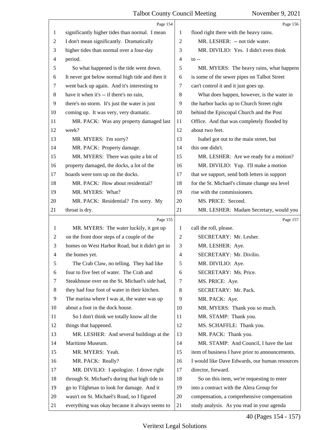<span id="page-40-0"></span>

|              | Page 154                                        |                | Page 156                                        |
|--------------|-------------------------------------------------|----------------|-------------------------------------------------|
| 1            | significantly higher tides than normal. I mean  | 1              | flood right there with the heavy rains.         |
| 2            | I don't mean significantly. Dramatically        | $\mathfrak{2}$ | MR. LESHER: -- not tide water.                  |
| 3            | higher tides than normal over a four-day        | 3              | MR. DIVILIO: Yes. I didn't even think           |
| 4            | period.                                         | 4              | $\mathfrak{g}$ --                               |
| 5            | So what happened is the tide went down.         | 5              | MR. MYERS: The heavy rains, what happens        |
| 6            | It never got below normal high tide and then it | 6              | is some of the sewer pipes on Talbot Street     |
| 7            | went back up again. And it's interesting to     | 7              | can't control it and it just goes up.           |
| $\,8\,$      | have it when it's -- if there's no rain,        | 8              | What does happen, however, is the water in      |
| 9            | there's no storm. It's just the water is just   | 9              | the harbor backs up to Church Street right      |
| 10           | coming up. It was very, very dramatic.          | 10             | behind the Episcopal Church and the Post        |
| 11           | MR. PACK: Was any property damaged last         | 11             | Office. And that was completely flooded by      |
| 12           | week?                                           | 12             | about two feet.                                 |
| 13           | MR. MYERS: I'm sorry?                           | 13             | Isabel got out to the main street, but          |
| 14           | MR. PACK: Property damage.                      | 14             | this one didn't.                                |
| 15           | MR. MYERS: There was quite a bit of             | 15             | MR. LESHER: Are we ready for a motion?          |
| 16           | property damaged, the docks, a lot of the       | 16             | MR. DIVILIO: Yup. I'll make a motion            |
| 17           | boards were torn up on the docks.               | 17             | that we support, send both letters in support   |
| 18           | MR. PACK: How about residential?                | 18             | for the St. Michael's climate change sea level  |
| 19           | MR. MYERS: What?                                | 19             | rise with the commissioners.                    |
| 20           | MR. PACK: Residential? I'm sorry. My            | 20             | MS. PRICE: Second.                              |
| 21           | throat is dry.                                  | 21             | MR. LESHER: Madam Secretary, would you          |
|              | Page 155                                        |                | Page 157                                        |
| $\mathbf{1}$ | MR. MYERS: The water luckily, it got up         | 1              | call the roll, please.                          |
| 2            | on the front door steps of a couple of the      | $\overline{2}$ | SECRETARY: Mr. Lesher.                          |
| 3            | homes on West Harbor Road, but it didn't get in | 3              | MR. LESHER: Aye.                                |
| 4            | the homes yet.                                  | $\overline{4}$ | SECRETARY: Mr. Divilio.                         |
| 5            | The Crab Claw, no telling. They had like        | 5              | MR. DIVILIO: Aye.                               |
| 6            | four to five feet of water. The Crab and        | 6              | SECRETARY: Ms. Price.                           |
| 7            | Steakhouse over on the St. Michael's side had,  | 7              | MS. PRICE: Aye.                                 |
| 8            | they had four foot of water in their kitchen.   | 8              | SECRETARY: Mr. Pack.                            |
| 9            | The marina where I was at, the water was up     | 9              | MR. PACK: Aye.                                  |
| 10           | about a foot in the dock house.                 | 10             | MR. MYERS: Thank you so much.                   |
| 11           | So I don't think we totally know all the        | 11             | MR. STAMP: Thank you.                           |
| 12           | things that happened.                           | 12             | MS. SCHAFFLE: Thank you.                        |
| 13           | MR. LESHER: And several buildings at the        | 13             | MR. PACK: Thank you.                            |
| 14           | Maritime Museum.                                | 14             | MR. STAMP: And Council, I have the last         |
| 15           | MR. MYERS: Yeah.                                | 15             | item of business I have prior to announcements. |
|              | MR. PACK: Really?                               | 16             | I would like Dave Edwards, our human resources  |
| 16           |                                                 |                |                                                 |
| 17           | MR. DIVILIO: I apologize. I drove right         | 17             | director, forward.                              |
| 18           | through St. Michael's during that high tide to  | 18             | So on this item, we're requesting to enter      |
| 19           | go to Tilghman to look for damage. And it       | 19             | into a contract with the Alera Group for        |
| 20           | wasn't on St. Michael's Road, so I figured      | 20             | compensation, a comprehensive compensation      |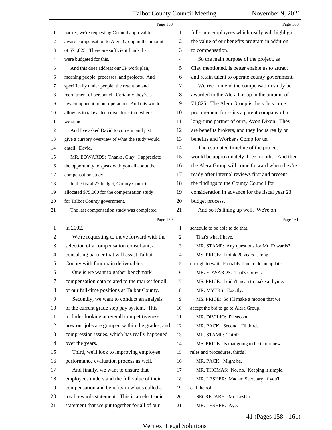<span id="page-41-0"></span>

|                | Page 158                                        |                | Page 160                                        |
|----------------|-------------------------------------------------|----------------|-------------------------------------------------|
| 1              | packet, we're requesting Council approval to    | 1              | full-time employees which really will highlight |
| 2              | award compensation to Alera Group in the amount | $\overline{2}$ | the value of our benefits program in addition   |
| 3              | of \$71,825. There are sufficient funds that    | 3              | to compensation.                                |
| 4              | were budgeted for this.                         | $\overline{4}$ | So the main purpose of the project, as          |
| 5              | And this does address our 3P work plan,         | 5              | Clay mentioned, is better enable us to attract  |
| 6              | meaning people, processes, and projects. And    | 6              | and retain talent to operate county government. |
| $\tau$         | specifically under people, the retention and    | 7              | We recommend the compensation study be          |
| 8              | recruitment of personnel. Certainly they're a   | 8              | awarded to the Alera Group in the amount of     |
| $\overline{9}$ | key component to our operation. And this would  | 9              | 71,825. The Alera Group is the sole source      |
| 10             | allow us to take a deep dive, look into where   | 10             | procurement for -- it's a parent company of a   |
| 11             | we stand.                                       | 11             | long-time partner of ours, Avon Dixon. They     |
| 12             | And I've asked David to come in and just        | 12             | are benefits brokers, and they focus really on  |
| 13             | give a cursory overview of what the study would | 13             | benefits and Worker's Comp for us.              |
| 14             | entail. David.                                  | 14             | The estimated timeline of the project           |
| 15             | MR. EDWARDS: Thanks, Clay. I appreciate         | 15             | would be approximately three months. And then   |
| 16             | the opportunity to speak with you all about the | 16             | the Alera Group will come forward when they're  |
| 17             | compensation study.                             | 17             | ready after internal reviews first and present  |
| 18             | In the fiscal 22 budget, County Council         | 18             | the findings to the County Council for          |
| 19             | allocated \$75,000 for the compensation study   | 19             | consideration in advance for the fiscal year 23 |
| 20             | for Talbot County government.                   | 20             | budget process.                                 |
| 21             | The last compensation study was completed       | 21             | And so it's lining up well. We're on            |
|                |                                                 |                |                                                 |
|                | Page 159                                        |                | Page 161                                        |
| 1              | in 2002.                                        | $\mathbf{1}$   | schedule to be able to do that.                 |
| 2              | We're requesting to move forward with the       | 2              | That's what I have.                             |
| 3              | selection of a compensation consultant, a       | 3              | MR. STAMP: Any questions for Mr. Edwards?       |
| 4              | consulting partner that will assist Talbot      | 4              | MS. PRICE: I think 20 years is long             |
| 5              | County with four main deliverables.             | 5              | enough to wait. Probably time to do an update.  |
| 6              | One is we want to gather benchmark              | 6              | MR. EDWARDS: That's correct.                    |
| 7              | compensation data related to the market for all | 7              | MS. PRICE: I didn't mean to make a rhyme.       |
| 8              | of our full-time positions at Talbot County.    | 8              | MR. MYERS: Exactly.                             |
| $\overline{9}$ | Secondly, we want to conduct an analysis        | 9              | MS. PRICE: So I'll make a motion that we        |
| 10             | of the current grade step pay system. This      | 10             | accept the bid to go to Alera Group.            |
| 11             | includes looking at overall competitiveness,    | 11             | MR. DIVILIO: I'll second.                       |
| 12             | how our jobs are grouped within the grades, and | 12             | MR. PACK: Second. I'll third.                   |
| 13             | compression issues, which has really happened   | 13             | MR. STAMP: Third?                               |
| 14             | over the years.                                 | 14             | MS. PRICE: Is that going to be in our new       |
| 15             | Third, we'll look to improving employee         | 15             | rules and procedures, thirds?                   |
| 16             | performance evaluation process as well.         | 16             | MR. PACK: Might be.                             |
| 17             | And finally, we want to ensure that             | 17             | MR. THOMAS: No, no. Keeping it simple.          |
| 18             | employees understand the full value of their    | 18             | MR. LESHER: Madam Secretary, if you'll          |
| 19             | compensation and benefits in what's called a    | 19             | call the roll.                                  |
| 20             | total rewards statement. This is an electronic  | 20             | SECRETARY: Mr. Lesher.                          |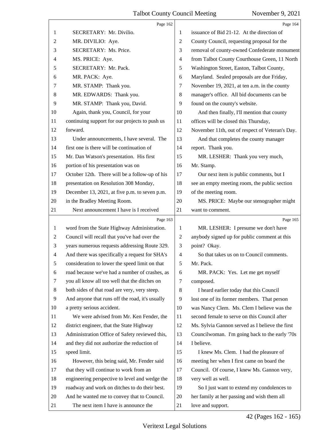<span id="page-42-0"></span>

|                | Page 162                                        |                          | Page 164                                        |
|----------------|-------------------------------------------------|--------------------------|-------------------------------------------------|
| 1              | SECRETARY: Mr. Divilio.                         | 1                        | issuance of Bid 21-12. At the direction of      |
| 2              | MR. DIVILIO: Aye.                               | 2                        | County Council, requesting proposal for the     |
| 3              | SECRETARY: Ms. Price.                           | 3                        | removal of county-owned Confederate monument    |
| 4              | MS. PRICE: Aye.                                 | $\overline{4}$           | from Talbot County Courthouse Green, 11 North   |
| 5              | SECRETARY: Mr. Pack.                            | 5                        | Washington Street, Easton, Talbot County,       |
| 6              | MR. PACK: Aye.                                  | 6                        | Maryland. Sealed proposals are due Friday,      |
| 7              | MR. STAMP: Thank you.                           | 7                        | November 19, 2021, at ten a.m. in the county    |
| 8              | MR. EDWARDS: Thank you.                         | $\,8\,$                  | manager's office. All bid documents can be      |
| 9              | MR. STAMP: Thank you, David.                    | 9                        | found on the county's website.                  |
| 10             | Again, thank you, Council, for your             | 10                       | And then finally, I'll mention that county      |
| 11             | continuing support for our projects to push us  | 11                       | offices will be closed this Thursday,           |
| 12             | forward.                                        | 12                       | November 11th, out of respect of Veteran's Day. |
| 13             | Under announcements, I have several. The        | 13                       | And that completes the county manager           |
| 14             | first one is there will be continuation of      | 14                       | report. Thank you.                              |
| 15             | Mr. Dan Watson's presentation. His first        | 15                       | MR. LESHER: Thank you very much,                |
| 16             | portion of his presentation was on              | 16                       | Mr. Stamp.                                      |
| 17             | October 12th. There will be a follow-up of his  | 17                       | Our next item is public comments, but I         |
| 18             | presentation on Resolution 308 Monday,          | 18                       | see an empty meeting room, the public section   |
| 19             | December 13, 2021, at five p.m. to seven p.m.   | 19                       | of the meeting room.                            |
| 20             | in the Bradley Meeting Room.                    | 20                       | MS. PRICE: Maybe our stenographer might         |
| 21             | Next announcement I have is I received          | 21                       | want to comment.                                |
|                | Page 163                                        |                          | Page 165                                        |
| $\mathbf{1}$   | word from the State Highway Administration.     | 1                        | MR. LESHER: I presume we don't have             |
|                |                                                 |                          |                                                 |
| $\overline{2}$ | Council will recall that you've had over the    | 2                        | anybody signed up for public comment at this    |
| 3              | years numerous requests addressing Route 329.   | 3                        | point? Okay.                                    |
| 4              | And there was specifically a request for SHA's  | $\overline{\mathcal{A}}$ | So that takes us on to Council comments.        |
| 5              | consideration to lower the speed limit on that  | 5                        | Mr. Pack.                                       |
| 6              | road because we've had a number of crashes, as  | 6                        | MR. PACK: Yes. Let me get myself                |
| 7              | you all know all too well that the ditches on   | 7                        | composed.                                       |
| 8              | both sides of that road are very, very steep.   | 8                        | I heard earlier today that this Council         |
| 9              | And anyone that runs off the road, it's usually | 9                        | lost one of its former members. That person     |
| 10             | a pretty serious accident.                      | 10                       | was Nancy Clem. Ms. Clem I believe was the      |
| 11             | We were advised from Mr. Ken Fender, the        | 11                       | second female to serve on this Council after    |
| 12             | district engineer, that the State Highway       | 12                       | Ms. Sylvia Gannon served as I believe the first |
| 13             | Administration Office of Safety reviewed this,  | 13                       | Councilwoman. I'm going back to the early '70s  |
| 14             | and they did not authorize the reduction of     | 14                       | I believe.                                      |
| 15             | speed limit.                                    | 15                       | I knew Ms. Clem. I had the pleasure of          |
| 16             | However, this being said, Mr. Fender said       | 16                       | meeting her when I first came on board the      |
| 17             | that they will continue to work from an         | 17                       | Council. Of course, I knew Ms. Gannon very,     |
| 18             | engineering perspective to level and wedge the  | 18                       | very well as well.                              |
| 19             | roadway and work on ditches to do their best.   | 19                       | So I just want to extend my condolences to      |
| 20             | And he wanted me to convey that to Council.     | 20                       | her family at her passing and wish them all     |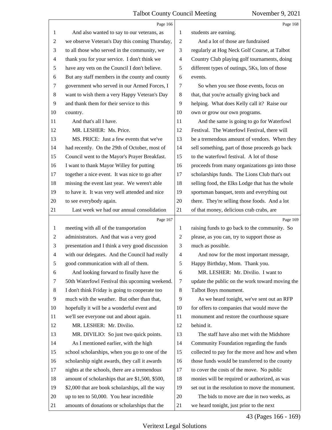<span id="page-43-0"></span>

|                | Page 166                                        |                         | Page 168                                        |
|----------------|-------------------------------------------------|-------------------------|-------------------------------------------------|
| 1              | And also wanted to say to our veterans, as      | 1                       | students are earning.                           |
| 2              | we observe Veteran's Day this coming Thursday,  | 2                       | And a lot of those are fundraised               |
| 3              | to all those who served in the community, we    | 3                       | regularly at Hog Neck Golf Course, at Talbot    |
| 4              | thank you for your service. I don't think we    | $\overline{\mathbf{4}}$ | Country Club playing golf tournaments, doing    |
| 5              | have any vets on the Council I don't believe.   | 5                       | different types of outings, 5Ks, lots of those  |
| 6              | But any staff members in the county and county  | 6                       | events.                                         |
| $\tau$         | government who served in our Armed Forces, I    | 7                       | So when you see those events, focus on          |
| 8              | want to wish them a very Happy Veteran's Day    | 8                       | that, that you're actually giving back and      |
| 9              | and thank them for their service to this        | 9                       | helping. What does Kelly call it? Raise our     |
| 10             | country.                                        | 10                      | own or grow our own programs.                   |
| 11             | And that's all I have.                          | 11                      | And the same is going to go for Waterfowl       |
| 12             | MR. LESHER: Ms. Price.                          | 12                      | Festival. The Waterfowl Festival, there will    |
| 13             | MS. PRICE: Just a few events that we've         | 13                      | be a tremendous amount of vendors. When they    |
| 14             | had recently. On the 29th of October, most of   | 14                      | sell something, part of those proceeds go back  |
| 15             | Council went to the Mayor's Prayer Breakfast.   | 15                      | to the waterfowl festival. A lot of those       |
| 16             | I want to thank Mayor Willey for putting        | 16                      | proceeds from many organizations go into those  |
| 17             | together a nice event. It was nice to go after  | 17                      | scholarships funds. The Lions Club that's out   |
| $18\,$         | missing the event last year. We weren't able    | 18                      | selling food, the Elks Lodge that has the whole |
| 19             | to have it. It was very well attended and nice  | 19                      | sportsman banquet, tents and everything out     |
| 20             | to see everybody again.                         | 20                      | there. They're selling those foods. And a lot   |
| 21             | Last week we had our annual consolidation       | 21                      | of that money, delicious crab crabs, are        |
|                |                                                 |                         |                                                 |
|                | Page 167                                        |                         | Page 169                                        |
| $\mathbf{1}$   | meeting with all of the transportation          | 1                       | raising funds to go back to the community. So   |
| $\overline{c}$ | administrators. And that was a very good        | 2                       | please, as you can, try to support those as     |
| 3              | presentation and I think a very good discussion | 3                       | much as possible.                               |
| $\overline{4}$ | with our delegates. And the Council had really  | 4                       | And now for the most important message,         |
| 5              | good communication with all of them.            | 5                       | Happy Birthday, Mom. Thank you.                 |
| 6              | And looking forward to finally have the         | 6                       | MR. LESHER: Mr. Divilio. I want to              |
| 7              | 50th Waterfowl Festival this upcoming weekend.  | 7                       | update the public on the work toward moving the |
| 8              | I don't think Friday is going to cooperate too  | 8                       | Talbot Boys monument.                           |
| $\overline{9}$ | much with the weather. But other than that,     | 9                       | As we heard tonight, we've sent out an RFP      |
| 10             | hopefully it will be a wonderful event and      | 10                      | for offers to companies that would move the     |
| 11             | we'll see everyone out and about again.         | 11                      | monument and restore the courthouse square      |
| 12             | MR. LESHER: Mr. Divilio.                        | 12                      | behind it.                                      |
| 13             | MR. DIVILIO: So just two quick points.          | 13                      | The staff have also met with the Midshore       |
| 14             | As I mentioned earlier, with the high           | 14                      | Community Foundation regarding the funds        |
| 15             | school scholarships, when you go to one of the  | 15                      | collected to pay for the move and how and when  |
| 16             | scholarship night awards, they call it awards   | 16                      | those funds would be transferred to the county  |
| 17             | nights at the schools, there are a tremendous   | 17                      | to cover the costs of the move. No public       |
| 18             | amount of scholarships that are \$1,500, \$500, | 18                      | monies will be required or authorized, as was   |
| 19             | \$2,000 that are book scholarships, all the way | 19                      | set out in the resolution to move the monument. |
| 20             | up to ten to 50,000. You hear incredible        | 20                      | The bids to move are due in two weeks, as       |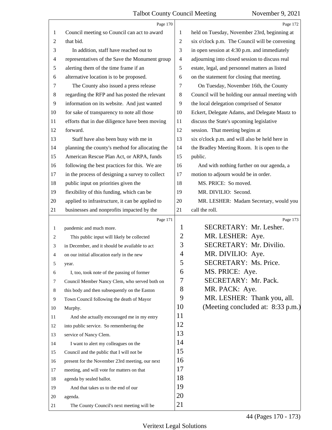<span id="page-44-0"></span>

|                | Page 170                                        |                | Page 172                                        |
|----------------|-------------------------------------------------|----------------|-------------------------------------------------|
| 1              | Council meeting so Council can act to award     | 1              | held on Tuesday, November 23rd, beginning at    |
| $\overline{c}$ | that bid.                                       | 2              | six o'clock p.m. The Council will be convening  |
| 3              | In addition, staff have reached out to          | 3              | in open session at 4:30 p.m. and immediately    |
| 4              | representatives of the Save the Monument group  | 4              | adjourning into closed session to discuss real  |
| 5              | alerting them of the time frame if an           | 5              | estate, legal, and personnel matters as listed  |
| 6              | alternative location is to be proposed.         | 6              | on the statement for closing that meeting.      |
| 7              | The County also issued a press release          | 7              | On Tuesday, November 16th, the County           |
| 8              | regarding the RFP and has posted the relevant   | 8              | Council will be holding our annual meeting with |
| $\overline{9}$ | information on its website. And just wanted     | 9              | the local delegation comprised of Senator       |
| 10             | for sake of transparency to note all those      | 10             | Eckert, Delegate Adams, and Delegate Mautz to   |
| 11             | efforts that in due diligence have been moving  | 11             | discuss the State's upcoming legislative        |
| 12             | forward.                                        | 12             | session. That meeting begins at                 |
| 13             | Staff have also been busy with me in            | 13             | six o'clock p.m. and will also be held here in  |
| 14             | planning the county's method for allocating the | 14             | the Bradley Meeting Room. It is open to the     |
| 15             | American Rescue Plan Act, or ARPA, funds        | 15             | public.                                         |
| 16             | following the best practices for this. We are   | 16             | And with nothing further on our agenda, a       |
| 17             | in the process of designing a survey to collect | 17             | motion to adjourn would be in order.            |
| 18             | public input on priorities given the            | 18             | MS. PRICE: So moved.                            |
| 19             | flexibility of this funding, which can be       | 19             | MR. DIVILIO: Second.                            |
| 20             | applied to infrastructure, it can be applied to | 20             | MR. LESHER: Madam Secretary, would you          |
| 21             | businesses and nonprofits impacted by the       | 21             | call the roll.                                  |
|                | Page 171                                        |                | Page 173                                        |
| $\mathbf{1}$   | pandemic and much more.                         | $\mathbf{1}$   | SECRETARY: Mr. Lesher.                          |
| 2              | This public input will likely be collected      | $\overline{2}$ | MR. LESHER: Aye.                                |
| 3              | in December, and it should be available to act  | 3              | SECRETARY: Mr. Divilio.                         |
| 4              | on our initial allocation early in the new      | $\overline{4}$ | MR. DIVILIO: Aye.                               |
| 5              | year.                                           | 5              | SECRETARY: Ms. Price.                           |
| 6              | I, too, took note of the passing of former      | 6              | MS. PRICE: Aye.                                 |
| 7              | Council Member Nancy Clem, who served both on   | 7              | SECRETARY: Mr. Pack.                            |
| 8              | this body and then subsequently on the Easton   | 8              | MR. PACK: Aye.                                  |
| 9              | Town Council following the death of Mayor       | 9              | MR. LESHER: Thank you, all.                     |
| 10             | Murphy.                                         | 10             | (Meeting concluded at: 8:33 p.m.)               |
| 11             | And she actually encouraged me in my entry      | 11             |                                                 |
| 12             | into public service. So remembering the         | 12             |                                                 |
| 13             | service of Nancy Clem.                          | 13             |                                                 |
| 14             | I want to alert my colleagues on the            | 14             |                                                 |
| 15             | Council and the public that I will not be       | 15             |                                                 |
| 16             | present for the November 23rd meeting, our next | 16             |                                                 |
| 17             |                                                 |                |                                                 |
|                | meeting, and will vote for matters on that      | 17             |                                                 |
| 18             | agenda by sealed ballot.                        | 18             |                                                 |
| 19             | And that takes us to the end of our             | 19             |                                                 |
| 20             | agenda.                                         | 20             |                                                 |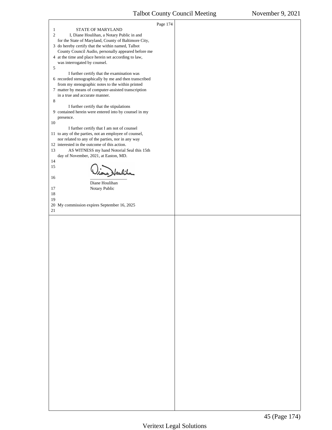<span id="page-45-0"></span>

| $\mathbf{1}$<br>STATE OF MARYLAND                                                                         | Page 174 |  |
|-----------------------------------------------------------------------------------------------------------|----------|--|
| $\overline{2}$<br>I, Diane Houlihan, a Notary Public in and                                               |          |  |
| for the State of Maryland, County of Baltimore City,<br>3 do hereby certify that the within named, Talbot |          |  |
| County Council Audio, personally appeared before me                                                       |          |  |
| 4 at the time and place herein set according to law,<br>was interrogated by counsel.                      |          |  |
| 5<br>I further certify that the examination was                                                           |          |  |
| 6 recorded stenographically by me and then transcribed                                                    |          |  |
| from my stenographic notes to the within printed<br>7 matter by means of computer-assisted transcription  |          |  |
| in a true and accurate manner.                                                                            |          |  |
| 8<br>I further certify that the stipulations                                                              |          |  |
| 9 contained herein were entered into by counsel in my<br>presence.                                        |          |  |
| 10                                                                                                        |          |  |
| I further certify that I am not of counsel<br>11 to any of the parties, not an employee of counsel,       |          |  |
| nor related to any of the parties, nor in any way<br>12 interested in the outcome of this action.         |          |  |
| AS WITNESS my hand Notorial Seal this 15th<br>13                                                          |          |  |
| day of November, 2021, at Easton, MD.<br>14                                                               |          |  |
| 15<br>ne Heubiha                                                                                          |          |  |
| 16                                                                                                        |          |  |
| Diane Houlihan<br>17<br>Notary Public                                                                     |          |  |
| 18                                                                                                        |          |  |
| 19<br>20 My commission expires September 16, 2025                                                         |          |  |
| 21                                                                                                        |          |  |
|                                                                                                           |          |  |
|                                                                                                           |          |  |
|                                                                                                           |          |  |
|                                                                                                           |          |  |
|                                                                                                           |          |  |
|                                                                                                           |          |  |
|                                                                                                           |          |  |
|                                                                                                           |          |  |
|                                                                                                           |          |  |
|                                                                                                           |          |  |
|                                                                                                           |          |  |
|                                                                                                           |          |  |
|                                                                                                           |          |  |
|                                                                                                           |          |  |
|                                                                                                           |          |  |
|                                                                                                           |          |  |
|                                                                                                           |          |  |
|                                                                                                           |          |  |
|                                                                                                           |          |  |
|                                                                                                           |          |  |
|                                                                                                           |          |  |
|                                                                                                           |          |  |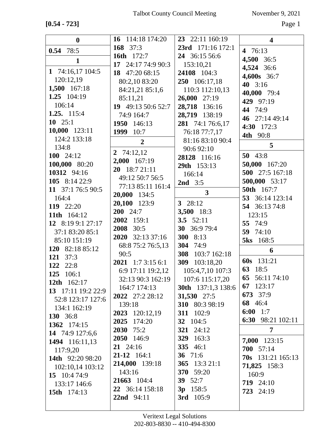**[0.54 - 723]** Page 1

| $\boldsymbol{0}$   | 16 114:18 174:20         | 23 22:11 160:19    | $\overline{\mathbf{4}}$  |
|--------------------|--------------------------|--------------------|--------------------------|
| $0.54$ 78:5        | 168 37:3                 | 23rd 171:16 172:1  | 4 76:13                  |
|                    | <b>16th</b> 172:7        | 24 36:15 56:6      | 4,500 36:5               |
| $\mathbf{1}$       | 17 24:17 74:9 90:3       | 153:10,21          | 4,524 36:6               |
| 1 74:16,17 104:5   | 18 47:20 68:15           | 24108 104:3        | 4,600s 36:7              |
| 120:12,19          | 80:2,10 83:20            | 250 106:17,18      |                          |
| 1,500 167:18       | 84:21,21 85:1,6          | 110:3 112:10,13    | 40 $3:16$                |
| 1.25 104:19        | 85:11,21                 | 26,000 27:19       | 40,000 79:4              |
| 106:14             | 19 49:13 50:6 52:7       | 28,718 136:16      | 429 97:19                |
| 1.25. 115:4        | 74:9 164:7               | 28,719 138:19      | 44 74:9                  |
| 10 $25:1$          | 1950 146:13              | 281 74:1 76:6,17   | 46 27:14 49:14           |
| 10,000 123:11      | 1999 10:7                | 76:18 77:7,17      | 4:30 172:3               |
| 124:2 133:18       |                          | 81:16 83:10 90:4   | <b>4th</b> 90:8          |
| 134:8              | $\overline{2}$           | 90:6 92:10         | 5                        |
| 100 $24:12$        | 2 74:12,12               |                    | 50 43:8                  |
| 100,000 80:20      | 2,000 167:19             | 28128 116:16       | 50,000 167:20            |
| 10312 94:16        | 20 18:7 21:11            | 29th 153:13        | 500 27:5 167:18          |
| 105 8:14 22:9      | 49:12 50:7 56:5          | 166:14             | 500,000 53:17            |
| 11 37:1 76:5 90:5  | 77:13 85:11 161:4        | <b>2nd</b> $3:5$   | <b>50th</b> 167:7        |
| 164:4              | 20,000 134:5             | $\overline{3}$     | 53 36:14 123:14          |
| 119 22:20          | 20,100 123:9             | 3 $28:12$          | 54 36:13 74:8            |
| 11th 164:12        | $200 \quad 24:7$         | 3,500 18:3         | 123:15                   |
| 12 8:19 9:1 27:17  | 2002 159:1               | 3.5 $52:11$        |                          |
|                    | 2008 30:5                | 30 36:9 79:4       | 55 74:9                  |
| 37:1 83:20 85:1    | 2020 32:13 37:16         | 300 8:13           | 59 74:10                 |
| 85:10 151:19       | 68:8 75:2 76:5,13        | 304 74:9           | <b>5ks</b> 168:5         |
| 120 82:18 85:12    | 90:5                     | 308 103:7 162:18   | 6                        |
| 121 37:3           | <b>2021</b> 1:7 3:15 6:1 | 309 103:18,20      | 60s 131:21               |
| 122 22:8           | 6:9 17:11 19:2,12        | 105:4,7,10 107:3   | 63 18:5                  |
| 125<br>106:1       | 32:13 90:3 162:19        | 107:6 115:17,20    | 65 56:11 74:10           |
| 12th 162:17        | 164:7 174:13             | 30th 137:1,3 138:6 | 67 123:17                |
| 13 17:11 19:2 22:9 | 2022 27:2 28:12          | 31,530 27:5        | 673 37:9                 |
| 52:8 123:17 127:6  | 139:18                   | 310 80:3 98:19     | 68 46:4                  |
| 134:1 162:19       | 2023 120:12,19           | 311 102:9          | 6:00 1:7                 |
| 130 36:8           | 2025 174:20              | <b>32</b> 104:5    | 6:30 98:21 102:11        |
| 1362 174:15        | 2030 75:2                | 321 24:12          | 7                        |
| 14 74:9 127:6,6    | 2050 146:9               | <b>329</b> 163:3   | 7,000 123:15             |
| 1494 116:11,13     | $21 \t24:16$             | <b>335</b> 46:1    | 700 57:14                |
| 117:9,20           | $21-12$ 164:1            | 36 71:6            | <b>70s</b> 131:21 165:13 |
| 14th 92:20 98:20   | 214,000 139:18           | 365 13:3 21:1      |                          |
| 102:10,14 103:12   | 143:16                   | <b>370</b> 59:20   | 71,825 158:3<br>160:9    |
| 15 10:4 74:9       | 21663 104:4              | 39 $52:7$          | 719 24:10                |
| 133:17 146:6       | 22 36:14 158:18          | $3p$ 158:5         | 723 24:19                |
| 15th 174:13        | 22nd 94:11               | 3rd 105:9          |                          |
|                    |                          |                    |                          |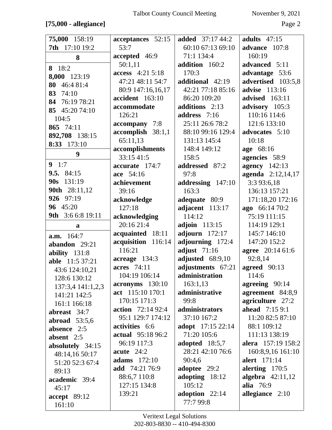## $[75,000$  - allegiance]

November 9, 2021

| 75,000 158:19                    | acceptances 52:15        | <b>added</b> 37:17 44:2       | adults $47:15$        |
|----------------------------------|--------------------------|-------------------------------|-----------------------|
| 7th 17:10 19:2                   | 53:7                     | 60:10 67:13 69:10             | advance 107:8         |
| 8                                | accepted 46:9            | 71:1 134:4                    | 160:19                |
| 8 18:2                           | 50:1,11                  | addition 160:2                | advanced 5:11         |
| 8,000 123:19                     | access 4:21 5:18         | 170:3                         | advantage 53:6        |
| 46:4 81:4<br>80                  | 47:21 48:11 54:7         | additional 42:19              | advertised 103:5,8    |
| 83<br>74:10                      | 80:9 147:16,16,17        | 42:21 77:18 85:16             | <b>advise</b> 113:16  |
| 84 76:19 78:21                   | accident 163:10          | 86:20 109:20                  | <b>advised</b> 163:11 |
| 85 45:20 74:10                   | accommodate              | additions 2:13                | advisory 105:3        |
| 104:5                            | 126:21                   | address $7:16$                | 110:16 114:6          |
| 865 74:11                        | accompany 7:8            | 25:11 26:6 78:2               | 121:6 133:10          |
| 892,708 138:15                   | $accomplish 38:1,1$      | 88:10 99:16 129:4             | advocates 5:10        |
| 8:33 173:10                      | 65:11,13                 | 131:13 145:4                  | 10:18                 |
|                                  | accomplishments          | 148:4 149:12                  | age 68:16             |
| 9                                | 33:15 41:5               | 158:5                         | agencies 58:9         |
| 9 1:7                            | accurate 174:7           | addressed 87:2                | <b>agency</b> 142:13  |
| 9.5. $84:15$                     | ace 54:16                | 97:8                          | agenda 2:12,14,17     |
| 131:19<br>90s                    | achievement              | addressing 147:10             | 3:3 93:6,18           |
| 90th 28:11,12                    | 39:16                    | 163:3                         | 136:13 157:21         |
| 926 97:19                        | acknowledge              | adequate 80:9                 | 171:18,20 172:16      |
| 96 45:20                         | 127:18                   | adjacent 113:17               | ago 66:14 70:2        |
| 3:6 6:8 19:11<br>9th             | acknowledging            | 114:12                        | 75:19 111:15          |
| a                                | 20:16 21:4               | <b>adjoin</b> 113:15          | 114:19 129:1          |
|                                  |                          |                               |                       |
| a.m. 164:7                       | acquainted 18:11         | adjourn $172:17$              | 145:7 146:10          |
|                                  | acquisition 116:14       | adjourning 172:4              | 147:20 152:2          |
| abandon 29:21                    | 116:21                   | adjust $71:16$                | agree 20:14 61:6      |
| ability 131:8<br>able 11:5 37:21 | acreage 134:3            | adjusted 68:9,10              | 92:8,14               |
|                                  | acres 74:11              | adjustments 67:21             | agreed 90:13          |
| 43:6 124:10,21<br>128:6 130:12   | 104:19 106:14            | administration                | 114:6                 |
| 137:3,4 141:1,2,3                | acronyms 130:10          | 163:1,13                      | agreeing 90:14        |
| 141:21 142:5                     | act 115:10 170:1         | administrative                | agreement 84:8,9      |
| 161:1 166:18                     | 170:15 171:3             | 99:8                          | agriculture 27:2      |
| abreast 34:7                     | <b>action</b> 72:14 92:4 | administrators                | <b>ahead</b> 7:15 9:1 |
| abroad $53:5,6$                  | 95:1 129:7 174:12        | 37:10 167:2                   | 11:20 82:5 87:10      |
| absence 2:5                      | activities 6:6           | <b>adopt</b> 17:15 22:14      | 88:1 109:12           |
| absent $2:5$                     | <b>actual</b> 95:18 96:2 | 71:20 105:6                   | 111:13 138:19         |
| absolutely 34:15                 | 96:19 117:3              | adopted 18:5,7                | alera 157:19 158:2    |
| 48:14,16 50:17                   | acute $24:2$             | 28:21 42:10 76:6              | 160:8,9,16 161:10     |
| 51:20 52:3 67:4                  | adams $172:10$           | 90:4,6                        | alert 171:14          |
| 89:13                            | add 74:21 76:9           | adoptee 29:2                  | alerting $170:5$      |
| academic 39:4                    | 88:6,7 110:8             | adopting $18:12$              | algebra $42:11,12$    |
| 45:17                            | 127:15 134:8             | 105:12                        | alia 76:9             |
| accept 89:12                     | 139:21                   | adoption $22:14$<br>77:7 99:8 | allegiance 2:10       |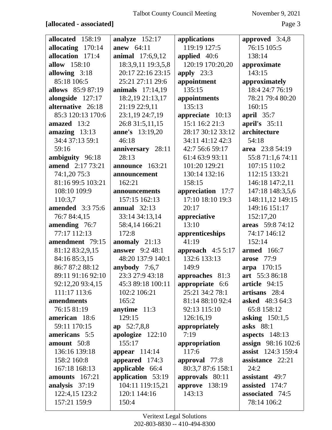## $[\textbf{allocated - associated}]$

Page 3

| allocated 158:19              | analyze $152:17$                      | applications                        | approved $3:4,8$                                       |
|-------------------------------|---------------------------------------|-------------------------------------|--------------------------------------------------------|
| allocating 170:14             | anew 64:11                            | 119:19 127:5                        | 76:15 105:5                                            |
| allocation 171:4              | <b>animal</b> 17:6,9,12               | applied 40:6                        | 138:14                                                 |
| allow 158:10                  | 18:3,9,11 19:3,5,8                    | 120:19 170:20,20                    | approximate                                            |
| allowing 3:18                 | 20:17 22:16 23:15                     | apply $23:3$                        | 143:15                                                 |
| 85:18 106:5                   | 25:21 27:11 29:6                      | appointment                         | approximately                                          |
| allows 85:9 87:19             | <b>animals</b> 17:14,19               | 135:15                              | 18:4 24:7 76:19                                        |
| alongside 127:17              | 18:2,19 21:13,17                      | appointments                        | 78:21 79:4 80:20                                       |
| alternative 26:18             | 21:19 22:9,11                         | 135:13                              | 160:15                                                 |
| 85:3 120:13 170:6             | 23:1,19 24:7,19                       | appreciate 10:13                    | april 35:7                                             |
| amazed 13:2                   | 26:8 31:5,11,15                       | 15:1 16:2 21:3                      | april's $35:11$                                        |
| amazing $13:13$               | <b>anne's</b> 13:19,20                | 28:17 30:12 33:12                   | architecture                                           |
| 34:4 37:13 59:1               | 46:18                                 | 34:11 41:12 42:3                    | 54:18                                                  |
| 59:16                         | anniversary 28:11                     | 42:7 56:6 59:17                     | area 23:8 54:19                                        |
| ambiguity 96:18               | 28:13                                 | 61:4 63:9 93:11                     | 55:8 71:1,6 74:11                                      |
| <b>amend</b> 2:17 73:21       | announce 163:21                       | 101:20 129:21                       | 107:15 110:2                                           |
| 74:1,20 75:3                  | announcement                          | 130:14 132:16                       | 112:15 133:21                                          |
| 81:16 99:5 103:21             | 162:21                                | 158:15                              | 146:18 147:2,11                                        |
| 108:10 109:9                  | announcements                         | appreciation 17:7                   | 147:18 148:3,5,6                                       |
| 110:3,7                       | 157:15 162:13                         | 17:10 18:10 19:3                    | 148:11,12 149:15                                       |
| <b>amended</b> 3:3 75:6       | annual $32:13$                        | 20:17                               | 149:16 151:17                                          |
| 76:7 84:4,15                  | 33:14 34:13,14                        | appreciative                        | 152:17,20                                              |
| amending 76:7                 | 58:4,14 166:21                        | 13:10                               | areas 59:8 74:12                                       |
| 77:17 112:13                  | 172:8                                 | apprenticeships                     | 74:17 146:12                                           |
| amendment 79:15               | anomaly $21:13$                       | 41:19                               | 152:14                                                 |
| 81:12 83:2,9,15               | <b>answer</b> 9:2 48:1                | approach $4:55:17$                  | <b>armed</b> 166:7                                     |
| 84:16 85:3,15                 | 48:20 137:9 140:1                     | 132:6 133:13                        | <b>arose</b> 77:9                                      |
| 86:7 87:2 88:12               | anybody 7:6,7                         | 149:9                               | arpa 170:15                                            |
| 89:11 91:16 92:10             | 23:3 27:9 43:18                       | approaches 81:3                     | art 55:3 86:18                                         |
| 92:12,20 93:4,15              | 45:3 89:18 100:11                     | appropriate 6:6                     | article 94:15                                          |
| 111:17 113:6                  | 102:2 106:21                          | 25:21 34:2 78:1                     | artisans 28:4                                          |
| amendments                    | 165:2                                 | 81:14 88:10 92:4                    | <b>asked</b> 48:3 64:3                                 |
| 76:15 81:19<br>american 18:6  | anytime $11:3$<br>129:15              | 92:13 115:10                        | 65:8 158:12                                            |
|                               |                                       | 126:16,19                           | asking $150:1,5$<br>asks 88:1                          |
| 59:11 170:15<br>americans 5:5 | ap 52:7,8,8                           | appropriately<br>7:19               |                                                        |
| amount 50:8                   | apologize $122:10$<br>155:17          |                                     | aspects 148:13                                         |
| 136:16 139:18                 | appear $114:14$                       | appropriation<br>117:6              | <b>assign</b> 98:16 102:6<br><b>assist</b> 124:3 159:4 |
| 158:2 160:8                   |                                       |                                     | assistance 22:21                                       |
| 167:18 168:13                 | appeared $174:3$                      | approval 77:8<br>80:3,7 87:6 158:1  | 24:2                                                   |
| amounts $167:21$              | applicable 66:4                       |                                     | assistant $49:7$                                       |
| analysis 37:19                | application 53:19<br>104:11 119:15,21 | approvals 80:11<br>approve $138:19$ | assisted 174:7                                         |
| 122:4,15 123:2                | 120:1 144:16                          | 143:13                              | associated 74:5                                        |
| 157:21 159:9                  | 150:4                                 |                                     | 78:14 106:2                                            |
|                               |                                       |                                     |                                                        |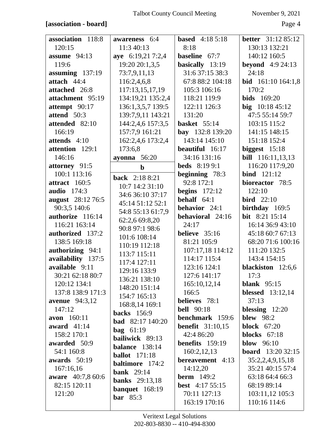## [association - board]

November 9, 2021

Page 4

| association 118:8        | awareness 6:4           | <b>based</b> 4:18 5:18  | <b>better</b> 31:12 85:12  |
|--------------------------|-------------------------|-------------------------|----------------------------|
| 120:15                   | 11:3 40:13              | 8:18                    | 130:13 132:21              |
| assume 94:13             | aye 6:19,21 7:2,4       | baseline 67:7           | 140:12 160:5               |
| 119:6                    | 19:20 20:1,3,5          | basically 13:19         | <b>beyond</b> 4:9 24:13    |
| assuming $137:19$        | 73:7,9,11,13            | 31:6 37:15 38:3         | 24:18                      |
| attach 44:4              | 116:2,4,6,8             | 67:8 88:2 104:18        | <b>bid</b> $161:10164:1,8$ |
| attached 26:8            | 117:13,15,17,19         | 105:3 106:16            | 170:2                      |
| attachment 95:19         | 134:19,21 135:2,4       | 118:21 119:9            | <b>bids</b> 169:20         |
| attempt 90:17            | 136:1,3,5,7 139:5       | 122:11 126:3            | big $10:1845:12$           |
| attend 50:3              | 139:7,9,11 143:21       | 131:20                  | 47:5 55:14 59:7            |
| attended 82:10           | 144:2,4,6 157:3,5       | basket $55:14$          | 103:15 115:2               |
| 166:19                   | 157:7,9 161:21          | bay 132:8 139:20        | 141:15 148:15              |
| attends 4:10             | 162:2,4,6 173:2,4       | 143:14 145:10           | 151:18 152:4               |
| attention 129:1          | 173:6,8                 | beautiful 16:17         | biggest $15:18$            |
| 146:16                   | ayonna $56:20$          | 34:16 131:16            | <b>bill</b> 116:11,13,13   |
| attorney 91:5            | $\mathbf b$             | <b>beds</b> 8:19 9:1    | 116:20 117:9,20            |
| 100:1 113:16             | <b>back</b> 2:18 8:21   | beginning 78:3          | <b>bind</b> 121:12         |
| attract 160:5            | 10:7 14:2 31:10         | 92:8 172:1              | bioreactor 78:5            |
| <b>audio</b> 174:3       | 34:6 36:10 37:17        | begins $172:12$         | 122:10                     |
| <b>august</b> 28:12 76:5 | 45:14 51:12 52:1        | behalf $64:1$           | $\text{bird}$ 22:10        |
| 90:3,5 140:6             | 54:8 55:13 61:7,9       | behavior 24:1           | birthday 169:5             |
| authorize 116:14         | 62:2,6 69:8,20          | behavioral 24:16        | bit 8:21 15:14             |
| 116:21 163:14            | 90:8 97:1 98:6          | 24:17                   | 16:14 36:9 43:10           |
| authorized 137:2         | 101:6 108:14            | believe $35:16$         | 45:18 60:7 67:13           |
| 138:5 169:18             | 110:19 112:18           | 81:21 105:9             | 68:20 71:6 100:16          |
| authorizing 94:1         | 113:7 115:11            | 107:17,18 114:12        | 111:20 132:5               |
| availability 137:5       | 117:4 127:11            | 114:17 115:4            | 143:4 154:15               |
| available 9:11           | 129:16 133:9            | 123:16 124:1            | blackiston 12:6,6          |
| 30:21 62:18 80:7         | 136:21 138:10           | 127:6 141:17            | 17:3                       |
| 120:12 134:1             | 148:20 151:14           | 165:10,12,14            | blank $95:15$              |
| 137:8 138:9 171:3        | 154:7 165:13            | 166:5                   | blessed $13:12,14$         |
| <b>avenue</b> 94:3,12    | 168:8,14 169:1          | believes 78:1           | 37:13                      |
| 147:12                   | <b>backs</b> 156:9      | <b>bell</b> 90:18       | blessing $12:20$           |
| <b>avon</b> 160:11       | <b>bad</b> 82:17 140:20 | benchmark 159:6         | <b>blew</b> 98:2           |
| award $41:14$            | bag $61:19$             | <b>benefit</b> 31:10,15 | block $67:20$              |
| 158:2 170:1              | bailiwick 89:13         | 42:4 86:20              | blocks $67:18$             |
| awarded 50:9             | <b>balance</b> 138:14   | benefits 159:19         | blow $96:10$               |
| 54:1 160:8               | <b>ballot</b> 171:18    | 160:2,12,13             | <b>board</b> 13:20 32:15   |
| awards $50:19$           | <b>baltimore</b> 174:2  | bereavement 4:13        | 35:2,2,4,9,15,18           |
| 167:16,16                | <b>bank</b> 29:14       | 14:12,20                | 35:21 40:15 57:4           |
| aware 40:7,8 60:6        | <b>banks</b> 29:13,18   | <b>berm</b> $149:2$     | 63:18 64:4 66:3            |
| 82:15 120:11             | banquet 168:19          | <b>best</b> 4:17 55:15  | 68:19 89:14                |
| 121:20                   | bar $85:3$              | 70:11 127:13            | 103:11,12 105:3            |
|                          |                         | 163:19 170:16           | 110:16 114:6               |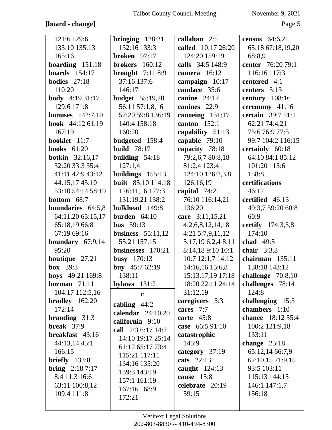# **[board - change]** Page 5

| 121:6 129:6             | bringing $128:21$         | callahan 2:5        | census 64:6,21           |
|-------------------------|---------------------------|---------------------|--------------------------|
| 133:10 135:13           | 132:16 133:3              | called 10:17 26:20  | 65:18 67:18,19,20        |
| 165:16                  | <b>broken</b> 97:17       | 124:20 159:19       | 68:8,9                   |
| boarding $151:18$       | brokers $160:12$          | calls 34:5 148:9    | center 76:20 79:1        |
| boards $154:17$         | brought $7:118:9$         | camera 16:12        | 116:16 117:3             |
| <b>bodies</b> $27:18$   | 37:16 137:6               | campaign 10:17      | centered 4:1             |
| 110:20                  | 146:17                    | candace 35:6        | centers $5:13$           |
| <b>body</b> $4:1931:17$ | <b>budget</b> 55:19,20    | canine $24:17$      | century $108:16$         |
| 129:6 171:8             | 56:11 57:1,8,16           | canines 22:9        | ceremony 41:16           |
| <b>bonuses</b> 142:7,10 | 57:20 59:8 136:19         | canoeing 151:17     | certain 39:7 51:1        |
| book 44:12 61:19        | 140:4 158:18              | canton $152:1$      | 62:21 74:4,21            |
| 167:19                  | 160:20                    | capability 51:13    | 75:676:977:5             |
| booklet 11:7            | budgeted 158:4            | capable 79:10       | 99:7 104:2 116:15        |
| books $61:20$           | <b>build</b> 78:17        | capacity 78:18      | certainly 60:18          |
| <b>botkin</b> 32:16,17  | building $54:18$          | 79:2,6,7 80:8,18    | 64:10 84:1 85:12         |
| 32:20 33:3 35:4         | 127:1,4                   | 81:2,4 123:4        | 101:20 115:6             |
| 41:11 42:9 43:12        | buildings 155:13          | 124:10 126:2,3,8    | 158:8                    |
| 44:15,17 45:10          | <b>built</b> 85:10 114:18 | 126:16,19           | certifications           |
| 53:10 54:14 58:19       | 126:11,16 127:3           | capital $74:21$     | 46:12                    |
| bottom 68:7             | 131:19,21 138:2           | 76:10 116:14,21     | certified 46:13          |
| boundaries 64:5,8       | bulkhead 149:8            | 136:20              | 49:3,7 59:20 60:8        |
| 64:11,20 65:15,17       | burden $64:10$            | care 3:11,15,21     | 60:9                     |
| 65:18,19 66:8           | <b>bus</b> $59:13$        | 4:2,6,8,12,14,18    | certify 174:3,5,8        |
| 67:19 69:16             | business $55:11,12$       | $4:21\,5:7,9,11,12$ | 174:10                   |
| boundary 67:9,14        | 55:21 157:15              | 5:17,19 6:2,4 8:11  | chad $49:5$              |
| 95:20                   | businesses 170:21         | 8:14,18 9:10 10:1   | chair $3:3,8$            |
| boutique 27:21          | <b>busy</b> 170:13        | 10:7 12:1,7 14:12   | chairman $135:11$        |
| <b>box</b> 39:3         | buy 45:7 62:19            | 14:16,16 15:6,8     | 138:18 143:12            |
| boys 49:21 169:8        | 138:11                    | 15:13,17,19 17:18   | challenge $70:8,10$      |
| bozman $71:11$          | bylaws $131:2$            | 18:20 22:11 24:14   | challenges 78:14         |
| 104:17 112:5,16         | $\mathbf{c}$              | 31:12,19            | 124:8                    |
| bradley 162:20          | cabling $44:2$            | caregivers 5:3      | challenging 15:3         |
| 172:14                  | calendar $24:10,20$       | cares 7:7           | chambers 1:10            |
| branding $31:3$         | california 9:10           | carte $45:8$        | <b>chance</b> 18:12 55:4 |
| break $37:9$            | call 2:3 6:17 14:7        | case 66:5 91:10     | 100:2 121:9,18           |
| breakfast 43:16         | 14:10 19:17 25:14         | catastrophic        | 133:11                   |
| 44:13,14 45:1           | 61:12 65:17 73:4          | 145:9               | change $25:18$           |
| 166:15                  | 115:21 117:11             | category 37:19      | 65:12,14 66:7,9          |
| $briefly$ 133:8         | 134:16 135:20             | cats 22:13          | 67:10,15 71:9,15         |
| <b>bring</b> $2:187:17$ | 139:3 143:19              | caught $124:13$     | 93:5 103:11              |
| 8:4 11:3 16:6           | 157:1 161:19              | cause 15:8          | 115:13 144:15            |
| 63:11 100:8,12          | 167:16 168:9              | celebrate 20:19     | 146:1 147:1,7            |
| 109:4 111:8             | 172:21                    | 59:15               | 156:18                   |
|                         |                           |                     |                          |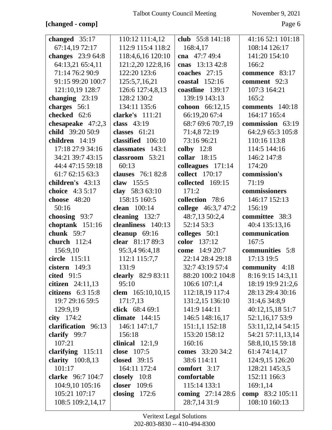## **[changed - comp]** Page 6

| changed $35:17$                    | 110:12 111:4,12          | club 55:8 141:18                     | 41:16 52:1 101:18                 |
|------------------------------------|--------------------------|--------------------------------------|-----------------------------------|
| 67:14,19 72:17                     | 112:9 115:4 118:2        | 168:4,17                             | 108:14 126:17                     |
| changes 23:9 64:8                  | 118:4,6,16 120:10        | cna $47:749:4$                       | 141:20 154:10                     |
| 64:13,21 65:4,11                   | 121:2,20 122:8,16        | cnas 13:13 42:8                      | 166:2                             |
| 71:14 76:2 90:9                    | 122:20 123:6             | coaches $27:15$                      | commence 83:17                    |
| 91:15 99:20 100:7                  | 125:5,7,16,21            | coastal $152:16$                     | comment 92:3                      |
| 121:10,19 128:7                    | 126:6 127:4,8,13         | coastline 139:17                     | 107:3 164:21                      |
| changing $23:19$                   | 128:2 130:2              | 139:19 143:13                        | 165:2                             |
| charges 56:1                       | 134:11 135:6             | <b>cohoon</b> 66:12,15               | comments 140:18                   |
| checked 62:6                       | clarke's 111:21          | 66:19,20 67:4                        | 164:17 165:4                      |
| chesapeake $47:2,3$                | class 43:19              | 68:7 69:6 70:7,19                    | commission 63:19                  |
| child 39:20 50:9                   | classes $61:21$          | 71:4,8 72:19                         | 64:2,9 65:3 105:8                 |
| children 14:19                     | classified 106:10        | 73:16 96:21                          | 110:16 113:8                      |
| 17:18 27:9 34:16                   | classmates 143:1         | colby $12:8$                         | 114:5 144:16                      |
| 34:21 39:7 43:15                   | classroom 53:21          | collar $18:15$                       | 146:2 147:8                       |
| 44:4 47:15 59:18                   | 60:13                    | colleagues 171:14                    | 174:20                            |
| 61:7 62:15 63:3                    | <b>clauses</b> 76:1 82:8 | collect 170:17                       | commission's                      |
| children's 43:13                   | claw 155:5               | collected 169:15                     | 71:19                             |
| choice 4:3 5:17                    | clay 58:3 63:10          | 171:2                                | commissioners                     |
| choose 48:20                       | 158:15 160:5             | collection 78:6                      | 146:17 152:13                     |
| 50:16                              | clean 100:14             | college 46:3,7 47:2                  | 156:19                            |
| choosing $93:7$                    | cleaning $132:7$         | 48:7,13 50:2,4                       | committee 38:3                    |
| choptank 151:16                    | cleanliness 140:13       | 52:14 53:3                           | 40:4 135:13,16                    |
|                                    |                          |                                      |                                   |
| chunk 59:7                         | cleanup $69:16$          | colleges $50:1$                      | communication                     |
| church 112:4                       | clear 81:17 89:3         | color 137:12                         | 167:5                             |
| 156:9,10                           | 95:3,4 96:4,18           | <b>come</b> 14:9 20:7                | communities 5:8                   |
| circle 115:11                      | 112:1 115:7,7            | 22:14 28:4 29:18                     | 17:13 19:5                        |
| cistern $149:3$                    | 131:9                    | 32:7 43:19 57:4                      | community 4:18                    |
| cited $91:5$                       | clearly 82:9 83:11       | 88:20 100:2 104:8                    | 8:16 9:15 14:3,11                 |
| citizen 24:11,13                   | 95:10                    | 106:6 107:1,4                        | 18:19 19:9 21:2,6                 |
| citizens $6:3$ 15:8                | clem 165:10,10,15        | 112:18,19 117:4                      | 28:13 29:4 30:16                  |
| 19:7 29:16 59:5                    | 171:7,13                 | 131:2,15 136:10                      | 31:4,6 34:8,9                     |
| 129:9,19                           | click 68:4 69:1          | 141:9 144:11                         | 40:12,15,18 51:7                  |
| city $174:2$                       | climate $144:15$         | 146:5 148:16,17                      | 52:1,16,17 53:9                   |
| clarification 96:13                | 146:1 147:1,7            | 151:1,1 152:18                       | 53:11,12,14 54:15                 |
| clarify 99:7                       | 156:18                   | 153:20 158:12                        | 54:21 57:11,13,14                 |
| 107:21                             | clinical $12:1,9$        | 160:16                               | 58:8,10,15 59:18                  |
| clarifying $115:11$                | close 107:5              | <b>comes</b> 33:20 34:2              | 61:4 74:14,17                     |
| clarity 100:8,13                   | <b>closed</b> 39:15      | 38:6 114:11                          | 124:9,15 126:20                   |
| 101:17                             | 164:11 172:4             | comfort 3:17                         | 128:21 145:3,5                    |
| clarke 96:7 104:7                  | closely 10:8             | comfortable                          | 152:11 166:3                      |
| 104:9,10 105:16                    | closer 109:6             | 115:14 133:1                         | 169:1,14                          |
| 105:21 107:17<br>108:5 109:2,14,17 | closing $172:6$          | coming $27:14\,28:6$<br>28:7,14 31:9 | comp 83:2 105:11<br>108:10 160:13 |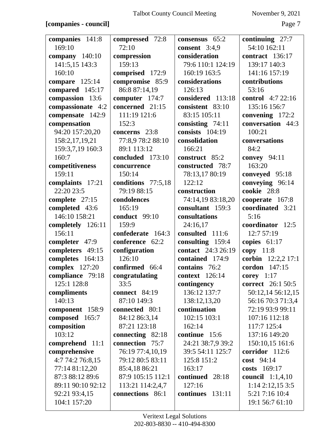## **[companies - council]** Page 7

| companies 141:8   | compressed 72:8      | consensus 65:2        | continuing $27:7$        |
|-------------------|----------------------|-----------------------|--------------------------|
| 169:10            | 72:10                | consent $3:4,9$       | 54:10 162:11             |
| company 140:10    | compression          | consideration         | contract 136:17          |
| 141:5,15 143:3    | 159:13               | 79:6 110:1 124:19     | 139:17 140:3             |
| 160:10            | comprised 172:9      | 160:19 163:5          | 141:16 157:19            |
| compare $125:14$  | compromise 85:9      | considerations        | contributions            |
| compared 145:17   | 86:8 87:14,19        | 126:13                | 53:16                    |
| compassion 13:6   | computer 174:7       | considered 113:18     | <b>control</b> 4:7 22:16 |
| compassionate 4:2 | concerned 21:15      | consistent 83:10      | 135:16 156:7             |
| compensate 142:9  | 111:19 121:6         | 83:15 105:11          | convening $172:2$        |
| compensation      | 152:3                | consisting 74:11      | conversation 44:3        |
| 94:20 157:20,20   | concerns 23:8        | consists $104:19$     | 100:21                   |
| 158:2,17,19,21    | 77:8,9 78:2 88:10    | consolidation         | conversations            |
| 159:3,7,19 160:3  | 89:1 113:12          | 166:21                | 84:2                     |
| 160:7             | concluded 173:10     | construct 85:2        | convey 94:11             |
| competitiveness   | concurrence          | constructed 78:7      | 163:20                   |
| 159:11            | 150:14               | 78:13,17 80:19        | conveyed 95:18           |
| complaints 17:21  | conditions 77:5,18   | 122:12                | conveying 96:14          |
| 22:20 23:5        | 79:19 88:15          | construction          | cookie 28:8              |
| complete 27:15    | condolences          | 74:14,19 83:18,20     | cooperate 167:8          |
| completed 43:6    | 165:19               | consultant 159:3      | coordinated 3:21         |
| 146:10 158:21     | conduct 99:10        | consultations         | 5:16                     |
| completely 126:11 | 159:9                | 24:16,17              | coordinator 12:5         |
| 156:11            | confederate 164:3    | consulted 111:6       | 12:7 57:19               |
| completer 47:9    | conference 62:2      | consulting 159:4      | copies $61:17$           |
| completers 49:15  | configuration        | contact 24:3 26:19    | copy $11:8$              |
| completes 164:13  | 126:10               | contained 174:9       | corbin 12:2,2 17:1       |
| complex 127:20    | confirmed 66:4       | contains 76:2         | cordon 147:15            |
| compliance 79:18  | congratulating       | <b>context</b> 126:14 | corey $1:17$             |
| 125:1 128:8       | 33:5                 | contingency           | <b>correct</b> 26:1 50:5 |
| compliments       | <b>connect</b> 84:19 | 136:12 137:7          | 50:12,14 56:12,15        |
| 140:13            | 87:10 149:3          | 138:12,13,20          | 56:16 70:3 71:3,4        |
| component 158:9   | connected 80:1       | continuation          | 72:19 93:9 99:11         |
| composed 165:7    | 84:12 86:3,14        | 102:15 103:1          | 107:16 112:18            |
| composition       | 87:21 123:18         | 162:14                | 117:7 125:4              |
| 103:12            | connecting 82:18     | continue 15:6         | 137:16 149:20            |
| comprehend 11:1   | connection 75:7      | 24:21 38:7,9 39:2     | 150:10,15 161:6          |
| comprehensive     | 76:19 77:4,10,19     | 39:5 54:11 125:7      | corridor 112:6           |
| 4:7 74:2 76:8,15  | 79:12 80:5 83:11     | 125:8 151:2           | cost 94:14               |
| 77:14 81:12,20    | 85:4,18 86:21        | 163:17                | costs 169:17             |
| 87:3 88:12 89:6   | 87:9 105:15 112:1    | continued 28:18       | council 1:1,4,10         |
| 89:11 90:10 92:12 | 113:21 114:2,4,7     | 127:16                | 1:142:12,153:5           |
| 92:21 93:4,15     | connections 86:1     | continues 131:11      | 5:21 7:16 10:4           |
| 104:1 157:20      |                      |                       | 19:1 56:7 61:10          |
|                   |                      |                       |                          |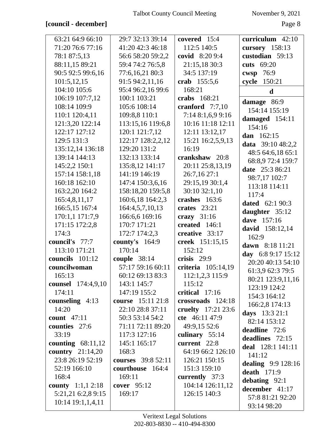## **[council - december]** Page 8

| 63:21 64:9 66:10           | 29:7 32:13 39:14   | covered 15:4       | curriculum 42:10       |
|----------------------------|--------------------|--------------------|------------------------|
| 71:20 76:6 77:16           | 41:20 42:3 46:18   | 112:5 140:5        | cursory $158:13$       |
| 78:1 87:5,13               | 56:6 58:20 59:2,2  | covid 8:20 9:4     | custodian 59:13        |
| 88:11,15 89:21             | 59:4 74:2 76:5,8   | 21:15,18 30:3      | cuts 69:20             |
| 90:5 92:5 99:6,16          | 77:6,16,21 80:3    | 34:5 137:19        | cwsp 76:9              |
| 101:5,12,15                | 91:5 94:2,11,16    | crab 155:5,6       | cycle 150:21           |
| 104:10 105:6               | 95:4 96:2,16 99:6  | 168:21             | $\mathbf d$            |
| 106:19 107:7,12            | 100:1 103:21       | crabs 168:21       | damage 86:9            |
| 108:14 109:9               | 105:6 108:14       | cranford $7:7,10$  | 154:14 155:19          |
| 110:1 120:4,11             | 109:8,8 110:1      | 7:148:1,699:16     | damaged 154:11         |
| 121:3,20 122:14            | 113:15,16 119:6,8  | 10:16 11:18 12:11  | 154:16                 |
| 122:17 127:12              | 120:1 121:7,12     | 12:11 13:12,17     | dan 162:15             |
| 129:5 131:3                | 122:17 128:2,2,12  | 15:21 16:2,5,9,13  | data 39:10 48:2,2      |
| 135:12,14 136:18           | 129:20 131:2       | 16:19              | 48:5 64:6,18 65:1      |
| 139:14 144:13              | 132:13 133:14      | crankshaw 20:8     | 68:8,9 72:4 159:7      |
| 145:2,2 150:1              | 135:8,12 141:17    | 20:11 25:8,13,19   | date 25:3 86:21        |
| 157:14 158:1,18            | 141:19 146:19      | 26:7,16 27:1       | 98:7,17 102:7          |
| 160:18 162:10              | 147:4 150:3,6,16   | 29:15,19 30:1,4    | 113:18 114:11          |
| 163:2,20 164:2             | 158:18,20 159:5,8  | 30:10 32:1,10      | 117:4                  |
| 165:4,8,11,17              | 160:6,18 164:2,3   | crashes 163:6      | <b>dated</b> 62:1 90:3 |
| 166:5,15 167:4             | 164:4,5,7,10,13    | crates $23:21$     | daughter 35:12         |
| 170:1,1 171:7,9            | 166:6,6 169:16     | crazy $31:16$      | dave 157:16            |
| 171:15 172:2,8             | 170:7 171:21       | created 146:1      | david 158:12,14        |
| 174:3                      | 172:7 174:2,3      | creative 33:17     | 162:9                  |
| council's 77:7             | county's $164:9$   | creek 151:15,15    | dawn 8:18 11:21        |
| 113:10 171:21              | 170:14             | 152:12             | day 6:8 9:17 15:12     |
| councils 101:12            | couple $38:14$     | crisis $29:9$      | 20:20 40:13 54:10      |
| councilwoman               | 57:17 59:16 60:11  | criteria 105:14,19 | 61:3,9 62:3 79:5       |
| 165:13                     | 60:12 69:13 83:3   | 112:1,2,3 115:9    | 80:21 123:9,11,16      |
| counsel 174:4,9,10         | 143:1 145:7        | 115:12             | 123:19 124:2           |
| 174:11                     | 147:19 155:2       | critical 17:16     | 154:3 164:12           |
| counseling 4:13            | course 15:11 21:8  | crossroads 124:18  | 166:2,8 174:13         |
| 14:20                      | 22:10 28:8 37:11   | cruelty 17:21 23:6 | days $13:321:1$        |
| count $47:11$              | 50:3 53:14 54:2    | cte 46:11 47:9     | 82:14 153:12           |
| counties 27:6              | 71:11 72:11 89:20  | 49:9,15 52:6       | deadline 72:6          |
| 33:19                      | 117:3 127:16       | culinary 55:14     | deadlines 72:15        |
| counting $68:11,12$        | 145:1 165:17       | current 22:8       | deal 128:1 141:11      |
| country $21:14,20$         | 168:3              | 64:19 66:2 126:10  | 141:12                 |
| 23:8 26:19 52:19           | courses 39:8 52:11 | 126:21 150:15      | dealing $9:9128:16$    |
| 52:19 166:10               | courthouse 164:4   | 151:3 159:10       | death $171:9$          |
| 168:4                      | 169:11             | currently 37:3     | debating $92:1$        |
| <b>county</b> $1:1,1,2:18$ | cover $95:12$      | 104:14 126:11,12   | december 41:17         |
| 5:21,21 6:2,8 9:15         | 169:17             | 126:15 140:3       | 57:8 81:21 92:20       |
| $10:14$ $19:1,1,4,11$      |                    |                    | 93:14 98:20            |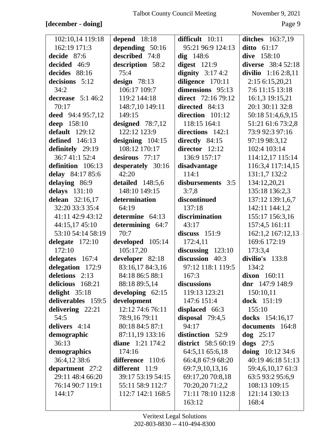# **[december - doing]** Page 9

| 102:10,14 119:18   | depend $18:18$     | difficult 10:11            | <b>ditches</b> 163:7,19   |
|--------------------|--------------------|----------------------------|---------------------------|
| 162:19 171:3       | depending 50:16    | 95:21 96:9 124:13          | ditto $61:17$             |
| decide 87:6        | described 74:8     | $dig$ 148:6                | dive 158:10               |
| decided 46:9       | description 58:2   | digest $121:9$             | <b>diverse</b> 38:4 52:18 |
| decides 88:16      | 75:4               | dignity $3:174:2$          | divilio $1:162:8,11$      |
| decisions 5:12     | design $78:13$     | diligence 170:11           | 2:15 6:15,20,21           |
| 34:2               | 106:17 109:7       | dimensions 95:13           | 7:6 11:15 13:18           |
| decrease $5:146:2$ | 119:2 144:18       | direct 72:16 79:12         | 16:1,3 19:15,21           |
| 70:17              | 148:7,10 149:11    | directed 84:13             | 20:1 30:11 32:8           |
| deed 94:4 95:7,12  | 149:15             | direction 101:12           | 50:18 51:4,6,9,15         |
| deep 158:10        | designed $78:7,12$ | 118:15 164:1               | 51:21 61:6 73:2,8         |
| default $129:12$   | 122:12 123:9       | directions 142:1           | 73:9 92:3 97:16           |
| defined $146:13$   | designing $104:15$ | directly $84:15$           | 97:19 98:3,12             |
| definitely 29:19   | 108:12 170:17      | director 12:12             | 102:4 103:14              |
| 36:7 41:1 52:4     | desirous 77:17     | 136:9 157:17               | 114:12,17 115:14          |
| definition 106:13  | desperately 30:16  | disadvantage               | 116:3,4 117:14,15         |
| delay 84:17 85:6   | 42:20              | 114:1                      | 131:1,7 132:2             |
| delaying 86:9      | detailed 148:5,6   | disbursements 3:5          | 134:12,20,21              |
| delays 131:10      | 148:10 149:15      | 3:7,8                      | 135:18 136:2,3            |
| delean 32:16,17    | determination      | discontinued               | 137:12 139:1,6,7          |
| 32:20 33:3 35:4    | 64:19              | 137:18                     | 142:11 144:1,2            |
| 41:11 42:9 43:12   | determine 64:13    | discrimination             | 155:17 156:3,16           |
| 44:15,17 45:10     | determining 64:7   | 43:17                      | 157:4,5 161:11            |
| 53:10 54:14 58:19  | 70:7               | discuss $151:9$            | 162:1,2 167:12,13         |
| delegate $172:10$  | developed 105:14   | 172:4,11                   | 169:6 172:19              |
| 172:10             | 105:17,20          | discussing $123:10$        | 173:3,4                   |
| delegates 167:4    | developer 82:18    | discussion 40:3            | divilio's 133:8           |
| delegation 172:9   | 83:16,17 84:3,16   | 97:12 118:1 119:5          | 134:2                     |
| deletions 2:13     | 84:18 86:5 88:1    | 167:3                      | dixon $160:11$            |
| delicious 168:21   | 88:18 89:5,14      | discussions                | dnr $147:9$ 148:9         |
| delight 35:18      | developing $62:15$ | 119:13 123:21              | 150:10,11                 |
| deliverables 159:5 | development        | 147:6 151:4                | dock 151:19               |
| delivering 22:21   | 12:12 74:6 76:11   | displaced 66:3             | 155:10                    |
| 54:5               | 78:9,16 79:11      | disposal $79:4,5$          | docks 154:16,17           |
| delivers 4:14      | 80:18 84:5 87:1    | 94:17                      | documents 164:8           |
| demographic        | 87:11,19 133:16    | distinction 52:9           | $\log$ 25:17              |
| 36:13              | diane $1:21$ 174:2 | <b>district</b> 58:5 60:19 | dogs $27:5$               |
| demographics       | 174:16             | 64:5,11 65:6,18            | doing $10:12\,34:6$       |
| 36:4,12 38:6       | difference 110:6   | 66:4,8 67:9 68:20          | 40:19 46:18 51:13         |
| department 27:2    | different 11:9     | 69:7,9,10,13,16            | 59:4,6,10,17 61:3         |
| 29:11 48:4 66:20   | 39:17 53:19 54:15  | 69:17,20 70:8,18           | 63:5 93:2 95:6,9          |
| 76:14 90:7 119:1   | 55:11 58:9 112:7   | 70:20,20 71:2,2            | 108:13 109:15             |
| 144:17             | 112:7 142:1 168:5  | 71:11 78:10 112:8          | 121:14 130:13             |
|                    |                    | 163:12                     | 168:4                     |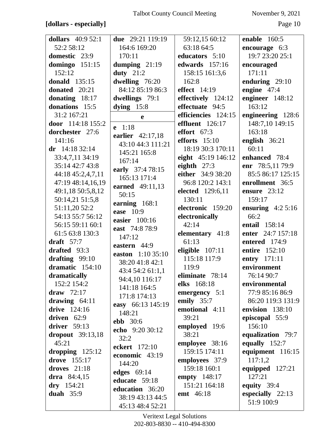## **[dollars - especially]** Page 10

| dollars $40:952:1$        | due $29:21$ 119:19 | 59:12,15 60:12          | enable $160:5$     |
|---------------------------|--------------------|-------------------------|--------------------|
| 52:2 58:12                | 164:6 169:20       | 63:18 64:5              | encourage 6:3      |
| domestic 23:9             | 170:11             | educators 5:10          | 19:7 23:20 25:1    |
| domingo $151:15$          | dumping $21:19$    | edwards $157:16$        | encouraged         |
| 152:12                    | duty $21:2$        | 158:15 161:3,6          | 171:11             |
| donald $135:15$           | dwelling 76:20     | 162:8                   | enduring 29:10     |
| donated 20:21             | 84:12 85:19 86:3   | effect $14:19$          | engine 47:4        |
| donating 18:17            | dwellings 79:1     | effectively $124:12$    | engineer 148:12    |
| donations 15:5            | dying $15:8$       | effectuate 94:5         | 163:12             |
| 31:2 167:21               | e                  | efficiencies 124:15     | engineering 128:6  |
| door 114:18 155:2         |                    | effluent 126:17         | 148:7,10 149:15    |
| dorchester 27:6           | $e$ 1:18           | effort $67:3$           | 163:18             |
| 141:16                    | earlier 42:17,18   | efforts $15:10$         | english $36:21$    |
| dr $14:1832:14$           | 43:10 44:3 111:21  | 18:19 30:3 170:11       | 60:11              |
| 33:4,7,11 34:19           | 145:21 165:8       | eight 45:19 146:12      | enhanced 78:4      |
| 35:14 42:7 43:8           | 167:14             | eighth $27:3$           | enr 78:5,11 79:9   |
|                           | early 37:4 78:15   | either 34:9 38:20       | 85:5 86:17 125:15  |
| 44:18 45:2,4,7,11         | 165:13 171:4       |                         |                    |
| 47:19 48:14,16,19         | earned 49:11,13    | 96:8 120:2 143:1        | enrollment 36:5    |
| 49:1,18 50:5,8,12         | 50:15              | <b>elected</b> 129:6,11 | ensure $23:12$     |
| 50:14,21 51:5,8           | earning 168:1      | 130:11                  | 159:17             |
| 51:11,20 52:2             | ease 10:9          | electronic 159:20       | ensuring $4:25:16$ |
| 54:13 55:7 56:12          | easier 100:16      | electronically          | 66:2               |
| 56:15 59:11 60:1          | east 74:8 78:9     | 42:14                   | entail 158:14      |
| 61:5 63:8 130:3           | 147:12             | elementary 41:8         | enter 24:7 157:18  |
| draft $57:7$              | eastern 44:9       | 61:13                   | entered 174:9      |
| drafted 93:3              | easton 1:10 35:10  | eligible $107:11$       | entire 152:10      |
| drafting $99:10$          | 38:20 41:8 42:1    | 115:18 117:9            | entry 171:11       |
| dramatic 154:10           | 43:4 54:2 61:1,1   | 119:9                   | environment        |
| dramatically              | 94:4,10 116:17     | eliminate 78:14         | 76:14 90:7         |
| 152:2 154:2               | 141:18 164:5       | elks 168:18             | environmental      |
| draw $72:17$              | 171:8 174:13       | emergency $5:1$         | 77:9 85:16 86:9    |
| drawing $64:11$           |                    | emily $35:7$            | 86:20 119:3 131:9  |
| drive 124:16              | easy 66:13 145:19  | emotional 4:11          | envision 138:10    |
| driven 62:9               | 148:21             | 39:21                   | episcopal 55:9     |
| driver $59:13$            | <b>ebb</b> 30:6    | employed 19:6           | 156:10             |
| $\bold{dropout}$ 39:13,18 | echo 9:20 30:12    | 38:21                   | equalization 79:7  |
| 45:21                     | 32:2               | employee 38:16          | equally 152:7      |
| dropping $125:12$         | eckert 172:10      | 159:15 174:11           | equipment 116:15   |
| drove 155:17              | economic 43:19     | employees 37:9          | 117:1,2            |
| droves $21:18$            | 144:20             | 159:18 160:1            | equipped $127:21$  |
| drra $84:4,15$            | edges $69:14$      | empty 148:17            | 127:21             |
| $dry$ 154:21              | educate 59:18      | 151:21 164:18           | equity $39:4$      |
| duah $35:9$               | education 36:20    | emt 46:18               | especially $22:13$ |
|                           | 38:19 43:13 44:5   |                         | 51:9 100:9         |
|                           | 45:13 48:4 52:21   |                         |                    |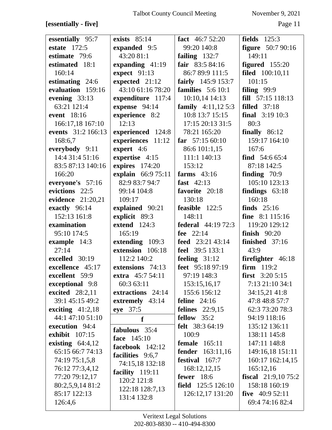# **[essentially - five]** Page 11

| essentially 95:7      | exists $85:14$      | fact $46:752:20$            | fields $125:3$              |
|-----------------------|---------------------|-----------------------------|-----------------------------|
| estate $172:5$        | expanded 9:5        | 99:20 140:8                 | <b>figure</b> 50:7 90:16    |
| estimate 79:6         | 43:20 81:1          | failing $132:7$             | 149:11                      |
| estimated 18:1        | expanding 41:19     | fair $83:584:16$            | figured $155:20$            |
| 160:14                | expect 91:13        | 86:7 89:9 111:5             | filed 100:10,11             |
| estimating 24:6       | expected 21:12      | fairly 145:9 153:7          | 101:15                      |
| evaluation 159:16     | 43:10 61:16 78:20   | families $5:610:1$          | filing $99:9$               |
| evening 33:13         | expenditure 117:4   | 10:10,14 14:13              | fill 57:15 118:13           |
| 63:21 121:4           | expense 94:14       | <b>family</b> $4:11,125:3$  | <b>filled</b> 37:18         |
| event 18:16           | experience 8:2      | 10:8 13:7 15:15             | <b>final</b> $3:19\ 10:3$   |
| 166:17,18 167:10      | 12:13               | 17:15 20:13 31:5            | 80:3                        |
| events 31:2 166:13    | experienced 124:8   | 78:21 165:20                | finally $86:12$             |
| 168:6,7               | experiences 11:12   | far $57:1560:10$            | 159:17 164:10               |
| everybody 9:11        | expert 4:6          | 86:6 101:1,15               | 167:6                       |
| 14:4 31:4 51:16       | expertise 4:15      | 111:1 140:13                | find $54:665:4$             |
| 83:5 87:13 140:16     | expires 174:20      | 153:12                      | 87:18 142:5                 |
| 166:20                | explain 66:9 75:11  | farms $43:16$               | finding $70:9$              |
| everyone's 57:16      | 82:9 83:7 94:7      | fast $42:13$                | 105:10 123:13               |
| evictions 22:5        | 99:14 104:8         | favorite 20:18              | findings $63:18$            |
| evidence 21:20,21     | 109:17              | 130:18                      | 160:18                      |
| exactly 96:14         | explained 90:21     | feasible 122:5              | finds $25:16$               |
| 152:13 161:8          | explicit 89:3       | 148:11                      | fine 8:1 115:16             |
| examination           | <b>extend</b> 124:3 | <b>federal</b> 44:19 72:3   | 119:20 129:12               |
| 95:10 174:5           | 165:19              | fee $22:14$                 | finish $90:20$              |
| example 14:3          | extending 109:3     | feed 23:21 43:14            | finished $37:16$            |
| 27:14                 | extension 106:18    | feel 39:5 133:1             | 43:9                        |
| excelled 30:19        | 112:2 140:2         | feeling $31:12$             | firefighter 46:18           |
| excellence 45:17      | extensions 74:13    | feet 95:18 97:19            | firm 119:2                  |
| excellent 59:9        | extra 45:7 54:11    | 97:19 148:3                 | <b>first</b> $3:205:15$     |
| exceptional 9:8       | 60:3 63:11          | 153:15,16,17                | 7:13 21:10 34:1             |
| excited 28:2,11       | extractions 24:14   | 155:6 156:12                | 34:15,21 41:8               |
| 39:1 45:15 49:2       | extremely 43:14     | feline $24:16$              | 47:8 48:8 57:7              |
| exciting $41:2,18$    | eye 37:5            | <b>felines</b> 22:9,15      | 62:3 73:20 78:3             |
| 44:1 47:10 51:10      | f                   | fellow $35:2$               | 94:19 118:16                |
| execution 94:4        | fabulous 35:4       | <b>felt</b> 38:3 64:19      | 135:12 136:11               |
| <b>exhibit</b> 107:15 | face 145:10         | 100:9                       | 138:11 145:8                |
| existing $64:4,12$    | facebook $142:12$   | female<br>165:11            | 147:11 148:8                |
| 65:15 66:7 74:13      | facilities 9:6,7    | <b>fender</b> 163:11,16     | 149:16,18 151:11            |
| 74:19 75:1,5,8        | 74:15,18 132:18     | festival 167:7              | 160:17 162:14,15            |
| 76:12 77:3,4,12       | facility 119:11     | 168:12,12,15                | 165:12,16                   |
| 77:20 79:12,17        | 120:2 121:8         | fewer $18:6$                | <b>fiscal</b> $21:9,1075:2$ |
| 80:2,5,9,14 81:2      | 122:18 128:7,13     | <b>field</b> $125:5 126:10$ | 158:18 160:19               |
| 85:17 122:13          | 131:4 132:8         | 126:12,17 131:20            | five $40:952:11$            |
| 126:4,6               |                     |                             | 69:4 74:16 82:4             |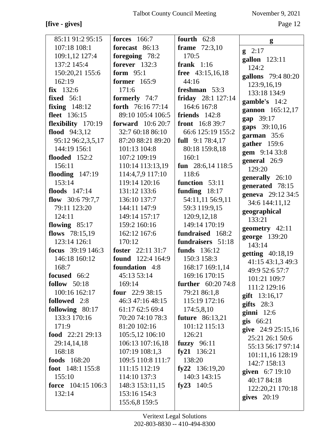## [five - gives]

November 9, 2021

Page 12

| 85:11 91:2 95:15            | <b>forces</b> 166:7      | fourth $62:8$             | g                  |
|-----------------------------|--------------------------|---------------------------|--------------------|
| 107:18 108:1                | forecast 86:13           | <b>frame</b> 72:3,10      | $g \quad 2:17$     |
| 109:1,12 127:4              | foregoing 78:2           | 170:5                     | gallon 123:11      |
| 137:2 145:4                 | <b>forever</b> 132:3     | frank $1:16$              | 124:2              |
| 150:20,21 155:6             | form $95:1$              | free 43:15,16,18          | gallons 79:4 80:20 |
| 162:19                      | former 165:9             | 44:16                     | 123:9,16,19        |
| $fix$ 132:6                 | 171:6                    | freshman $53:3$           | 133:18 134:9       |
| <b>fixed</b> 56:1           | formerly 74:7            | friday 28:1 127:14        | gamble's 14:2      |
| fixing $148:12$             | forth 76:16 77:14        | 164:6 167:8               | gannon 165:12,17   |
| fleet 136:15                | 89:10 105:4 106:5        | friends $142:8$           | gap 39:17          |
| flexibility 170:19          | <b>forward</b> 10:6 20:7 | <b>front</b> $16:839:7$   | gaps 39:10,16      |
| flood $94:3,12$             | 32:7 60:18 86:10         | 66:6 125:19 155:2         | garman 35:6        |
| 95:12 96:2,3,5,17           | 87:20 88:21 89:20        | <b>full</b> $9:178:4,17$  | gather 159:6       |
| 144:19 156:1                | 101:13 104:8             | 80:18 159:8,18            | gem 9:14 33:8      |
| flooded $152:2$             | 107:2 109:19             | 160:1                     | general 26:9       |
| 156:11                      | 110:14 113:13,19         | fun $28:6,14118:5$        | 129:20             |
| flooding $147:19$           | 114:4,7,9 117:10         | 118:6                     | generally 26:10    |
| 153:14                      | 119:14 120:16            | function 53:11            | generated 78:15    |
| floods 147:14               | 131:12 133:6             | funding $18:17$           | geneva 29:12 34:5  |
| flow $30:679:7,7$           | 136:10 137:7             | 54:11,11 56:9,11          | 34:6 144:11,12     |
| 79:11 123:20                | 144:11 147:9             | 59:3 119:9,15             | geographical       |
| 124:11                      | 149:14 157:17            | 120:9,12,18               | 133:21             |
| flowing $85:17$             | 159:2 160:16             | 149:14 170:19             | geometry 42:11     |
| flows $78:15,19$            | 162:12 167:6             | fundraised 168:2          | george 139:20      |
| 123:14 126:1                | 170:12                   | fundraisers 51:18         | 143:14             |
| focus 39:19 146:3           | foster 22:11 31:7        | funds 136:12              | getting 40:18,19   |
| 146:18 160:12               | <b>found</b> 122:4 164:9 | 150:3 158:3               | 41:15 43:1,3 49:3  |
| 168:7                       | foundation 4:8           | 168:17 169:1,14           | 49:9 52:6 57:7     |
| focused 66:2                | 45:13 53:14              | 169:16 170:15             | 101:21 109:7       |
| follow $50:18$              | 169:14                   | <b>further</b> 60:20 74:8 | 111:2 129:16       |
| 100:16 162:17               | four $22:938:15$         | 79:21 86:1,8              | gift 13:16,17      |
| followed 2:8                | 46:3 47:16 48:15         | 115:19 172:16             | gifts $28:3$       |
| following 80:17             | 61:17 62:5 69:4          | 174:5,8,10                | $ginni$ 12:6       |
| 133:3 170:16                | 70:20 74:10 78:3         | <b>future</b> 86:13,21    | $g$ is 66:21       |
| 171:9                       | 81:20 102:16             | 101:12 115:13             | give 24:9 25:15,16 |
| food $22:21\,29:13$         | 105:5,12 106:10          | 126:21                    | 25:21 26:1 50:6    |
| 29:14,14,18                 | 106:13 107:16,18         | fuzzy 96:11               | 55:13 56:17 97:14  |
| 168:18                      | 107:19 108:1,3           | fy21 $136:21$             | 101:11,16 128:19   |
| <b>foods</b> 168:20         | 109:5 110:8 111:7        | 138:20                    | 142:7 158:13       |
| foot $148:1 155:8$          | 111:15 112:19            | fy22 $136:19,20$          | given 6:7 19:10    |
| 155:10                      | 114:10 137:3             | 140:3 143:15              | 40:17 84:18        |
| <b>force</b> $104:15 106:3$ | 148:3 153:11,15          | fy23 $140:5$              | 122:20,21 170:18   |
| 132:14                      | 153:16 154:3             |                           | gives $20:19$      |
|                             | 155:6,8 159:5            |                           |                    |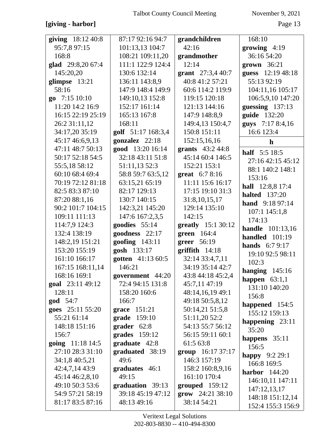## [giving - harbor]

November 9, 2021

| giving 18:12 40:8                    | 87:17 92:16 94:7                 | grandchildren                          | 168:10                         |
|--------------------------------------|----------------------------------|----------------------------------------|--------------------------------|
| 95:7,8 97:15                         | 101:13,13 104:7                  | 42:16                                  | growing $4:19$                 |
| 168:8                                | 108:21 109:11,20                 | grandmother                            | 36:16 54:20                    |
| glad 29:8,20 67:4                    | 111:1 122:9 124:4                | 12:14                                  | grown 36:21                    |
| 145:20,20                            | 130:6 132:14                     | grant 27:3,4 40:7                      | guess 12:19 48:18              |
| glimpse 13:21                        | 136:11 143:8,9                   | 40:8 41:2 57:21                        | 55:13 92:19                    |
| 58:16                                | 147:9 148:4 149:9                | 60:6 114:2 119:9                       | 104:11,16 105:17               |
| go 7:15 10:10                        | 149:10,13 152:8                  | 119:15 120:18                          | 106:5,9,10 147:20              |
| 11:20 14:2 16:9                      | 152:17 161:14                    | 121:13 144:16                          | guessing $137:13$              |
| 16:15 22:19 25:19                    | 165:13 167:8                     | 147:9 148:8,9                          | guide 132:20                   |
| 26:2 31:11,12                        | 168:11                           | 149:4,13 150:4,7                       | guys 7:17 8:4,16               |
| 34:17,20 35:19                       | golf 51:17 168:3,4               | 150:8 151:11                           | 16:6 123:4                     |
| 45:17 46:6,9,13                      | gonzalez 22:18                   | 152:15,16,16                           | $\mathbf h$                    |
| 47:11 48:7 50:13                     | good 13:20 16:14                 | grants $43:244:8$                      | half 5:5 18:5                  |
| 50:17 52:18 54:5                     | 32:18 43:11 51:8                 | 45:14 60:4 146:5                       | 27:16 42:15 45:12              |
| 55:5,18 58:12                        | 51:11,13 52:3                    | 152:21 153:1                           | 88:1 140:2 148:1               |
| 60:10 68:4 69:4                      | 58:8 59:7 63:5,12                | great 6:7 8:16                         | 153:16                         |
| 70:19 72:12 81:18                    | 63:15,21 65:19                   | 11:11 15:6 16:17                       | hall 12:8,8 17:4               |
| 82:5 83:3 87:10                      | 82:17 129:13                     | 17:15 19:10 31:3                       | <b>halted</b> 137:20           |
| 87:20 88:1,16                        | 130:7 140:15                     | 31:8,10,15,17                          | hand 9:18 97:14                |
| 90:2 101:7 104:15                    | 142:3,21 145:20                  | 129:14 135:10                          | 107:1 145:1,8                  |
| 109:11 111:13                        | 147:6 167:2,3,5                  | 142:15                                 | 174:13                         |
| 114:7,9 124:3                        | goodies 55:14                    | greatly 15:1 30:12                     | <b>handle</b> 101:13,16        |
| 132:4 138:19                         | goodness 22:17                   | green 164:4                            | handled $101:19$               |
| 148:2,19 151:21                      | goofing 143:11                   | greer 56:19                            | hands 6:7 9:17                 |
| 153:20 155:19                        | gosh 133:17                      | $griffith$ 14:18                       | 19:10 92:5 98:11               |
| 161:10 166:17                        | gotten 41:13 60:5                | 32:14 33:4,7,11                        | 102:3                          |
| 167:15 168:11,14                     | 146:21                           | 34:19 35:14 42:7                       |                                |
| 168:16 169:1                         |                                  |                                        |                                |
|                                      | government 44:20                 | 43:8 44:18 45:2,4                      | hanging $145:16$               |
| goal 23:11 49:12                     | 72:4 94:15 131:8                 | 45:7,11 47:19                          | happen $63:1,1$                |
| 128:11                               | 158:20 160:6                     | 48:14,16,19 49:1                       | 131:10 140:20                  |
| <b>god</b> 54:7                      | 166:7                            | 49:18 50:5,8,12                        | 156:8                          |
| goes 25:11 55:20                     | grace $151:21$                   | 50:14,21 51:5,8                        | happened $154:5$               |
| 55:21 61:14                          | grade 159:10                     | 51:11,20 52:2                          | 155:12 159:13                  |
| 148:18 151:16                        | grader $62:8$                    | 54:13 55:7 56:12                       | happening 23:11<br>35:20       |
| 156:7                                | grades 159:12                    | 56:15 59:11 60:1                       |                                |
| going 11:18 14:5                     | graduate 42:8                    | 61:5 63:8                              | happens $35:11$<br>156:5       |
| 27:10 28:3 31:10                     | graduated 38:19                  | group $16:1737:17$                     |                                |
| 34:1,8 40:5,21                       | 49:6                             | 146:3 157:19                           | <b>happy</b> $9:229:1$         |
| 42:4,7,14 43:9                       | graduates 46:1                   | 158:2 160:8,9,16                       | 166:8 169:5<br>harbor $144:20$ |
| 45:14 46:2,8,10                      | 49:15                            | 161:10 170:4                           | 146:10,11 147:11               |
| 49:10 50:3 53:6                      | graduation 39:13                 | grouped $159:12$                       | 147:12,13,17                   |
| 54:9 57:21 58:19<br>81:17 83:5 87:16 | 39:18 45:19 47:12<br>48:13 49:16 | $\frac{1}{24:21}$ 38:10<br>38:14 54:21 | 148:18 151:12,14               |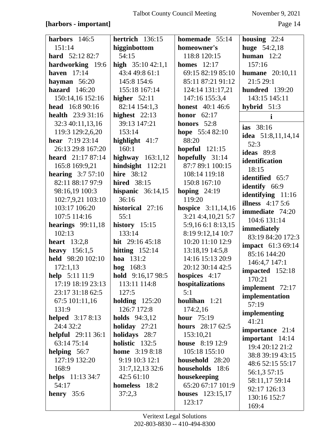## [harbors - important]

| harbors 146:5             | hertrich 136:15           | homemade 55:14              | housing $22:4$           |
|---------------------------|---------------------------|-----------------------------|--------------------------|
| 151:14                    | higginbottom              | homeowner's                 | <b>huge</b> 54:2,18      |
| <b>hard</b> $52:1282:7$   | 54:15                     | 118:8 120:15                | human $12:2$             |
| hardworking 19:6          | high $35:1042:1,1$        | <b>homes</b> 12:17          | 157:16                   |
| haven $17:14$             | 43:4 49:8 61:1            | 69:15 82:19 85:10           | <b>humane</b> $20:10,11$ |
| hayman $56:20$            | 145:8 154:6               | 85:11 87:21 91:12           | 21:5 29:1                |
| hazard $146:20$           | 155:18 167:14             | 124:14 131:17,21            | hundred 139:20           |
| 150:14,16 152:16          | higher $52:11$            | 147:16 155:3,4              | 143:15 145:11            |
| head 16:8 90:16           | 82:14 154:1,3             | <b>honest</b> 40:1 46:6     | hybrid $51:3$            |
| <b>health</b> $23:931:16$ | highest $22:13$           | honor $62:17$               | i                        |
| 32:3 40:11,13,16          | 39:13 147:21              | honors 52:8                 | ias 38:16                |
| 119:3 129:2,6,20          | 153:14                    | hope 55:4 82:10             | idea $51:8,11,14,14$     |
| <b>hear</b> $7:1923:14$   | highlight 41:7            | 88:20                       | 52:3                     |
| 26:13 29:8 167:20         | 160:1                     | hopeful $121:15$            | ideas 89:8               |
| <b>heard</b> $21:1787:14$ | highway $163:1,12$        | hopefully 31:14             | identification           |
| 165:8 169:9,21            | hindsight 112:21          | 87:7 89:1 100:15            | 18:15                    |
| <b>hearing</b> $3:757:10$ | hire 38:12                | 108:14 119:18               | identified 65:7          |
| 82:11 88:17 97:9          | <b>hired</b> 38:15        | 150:8 167:10                | identify 66:9            |
| 98:16,19 100:3            | hispanic $36:14,15$       | hoping $24:19$              | identifying 11:16        |
| 102:7,9,21 103:10         | 36:16                     | 119:20                      | illness $4:175:6$        |
| 103:17 106:20             | historical 27:16          | <b>hospice</b> $3:11,14,16$ | immediate 74:20          |
| 107:5 114:16              | 55:1                      | 3:21 4:4,10,21 5:7          | 104:6 131:14             |
| hearings $99:11,18$       | history $15:15$           | 5:9,16 6:1 8:13,15          | immediately              |
| 102:13                    | 133:14                    | 8:19 9:12,14 10:7           | 83:19 84:20 172:3        |
| heart $13:2,8$            | hit $29:1645:18$          | 10:20 11:10 12:9            | <b>impact</b> 61:3 69:14 |
| <b>heavy</b> $156:1,5$    | hitting $152:14$          | 13:18,19 14:5,8             | 85:16 144:20             |
| held 98:20 102:10         | <b>hoa</b> $131:2$        | 14:16 15:13 20:9            | 146:4,7 147:1            |
| 172:1,13                  | <b>hog</b> $168:3$        | 20:12 30:14 42:5            | impacted 152:18          |
| help 5:11 11:9            | <b>hold</b> $9:16,1798:5$ | hospices $4:17$             | 170:21                   |
| 17:19 18:19 23:13         | 113:11 114:8              | hospitalizations            | implement 72:17          |
| 23:17 31:18 62:5          | 127:5                     | 5:1                         | implementation           |
| 67:5 101:11,16            | holding $125:20$          | houlihan 1:21               | 57:19                    |
| 131:9                     | 126:7 172:8               | 174:2,16                    | implementing             |
| <b>helped</b> 3:17 8:13   | <b>holds</b> $94:3,12$    | <b>hour</b> 75:19           | 41:21                    |
| 24:4 32:2                 | holiday $27:21$           | hours 28:17 62:5            | importance 21:4          |
| <b>helpful</b> 29:11 36:1 | holidays 28:7             | 153:10,21                   | important 14:14          |
| 63:14 75:14               | holistic 132:5            | <b>house</b> 8:19 12:9      | 19:4 20:12 21:2          |
| helping $56:7$            | <b>home</b> $3:198:18$    | 105:18 155:10               | 38:8 39:19 43:15         |
| 127:19 132:20             | 9:19 10:3 12:1            | household 28:20             | 48:6 52:15 55:17         |
| 168:9                     | 31:7,12,13 32:6           | households 18:6             | 56:1,3 57:15             |
| <b>helps</b> 11:13 34:7   | 42:5 61:10                | housekeeping                | 58:11,17 59:14           |
| 54:17                     | homeless 18:2             | 65:20 67:17 101:9           | 92:17 126:13             |
| henry $35:6$              | 37:2,3                    | <b>houses</b> $123:15,17$   | 130:16 152:7             |
|                           |                           | 123:17                      | 169:4                    |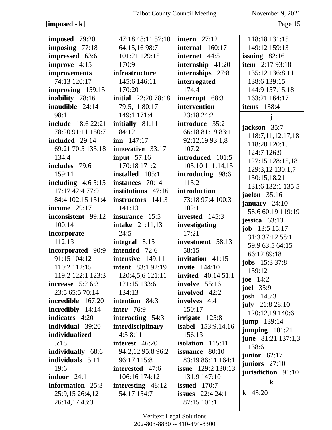## **[imposed - k]** Page 15

| imposed 79:20             | 47:18 48:11 57:10           | intern $27:12$            | 118:18 131:15             |
|---------------------------|-----------------------------|---------------------------|---------------------------|
| imposing 77:18            | 64:15,1698:7                | internal 160:17           | 149:12 159:13             |
| impressed 63:6            | 101:21 129:15               | internet 44:5             | issuing $82:16$           |
| improve 4:15              | 170:9                       | internship 41:20          | <b>item</b> 2:17 93:18    |
| improvements              | infrastructure              | internships 27:8          | 135:12 136:8,11           |
| 74:13 120:17              | 145:6 146:11                | interrogated              | 138:6 139:15              |
| improving 159:15          | 170:20                      | 174:4                     | 144:9 157:15,18           |
| inability 78:16           | <b>initial</b> 22:20 78:18  | interrupt 68:3            | 163:21 164:17             |
| inaudible 24:14           | 79:5,11 80:17               | intervention              | <b>items</b> 138:4        |
| 98:1                      | 149:1 171:4                 | 23:18 24:2                |                           |
| <b>include</b> 18:6 22:21 | initially 81:11             | introduce 35:2            | j                         |
| 78:20 91:11 150:7         | 84:12                       | 66:18 81:19 83:1          | jackson 35:7              |
| included 29:14            | $\mathbf{inn} \quad 147:17$ | 92:12,19 93:1,8           | 118:7, 11, 12, 17, 18     |
| 69:21 70:5 133:18         | innovative 33:17            | 107:2                     | 118:20 120:15             |
| 134:4                     | <b>input</b> 57:16          | introduced 101:5          | 124:7 126:9               |
| includes 79:6             | 170:18 171:2                | 105:10 111:14,15          | 127:15 128:15,18          |
| 159:11                    | installed 105:1             | introducing 98:6          | 129:3,12 130:1,7          |
| including $4:65:15$       | instances 70:14             | 113:2                     | 130:15,18,21              |
| 17:17 42:4 77:9           | institutions 47:16          | introduction              | 131:6 132:1 135:5         |
| 84:4 102:15 151:4         | instructors 141:3           | 73:18 97:4 100:3          | jaelon $35:16$            |
| income $29:17$            | 141:13                      | 102:1                     | january 24:10             |
| inconsistent 99:12        | insurance 15:5              | invested 145:3            | 58:6 60:19 119:19         |
| 100:14                    | <b>intake</b> 21:11,13      | investigating             | jessica $63:13$           |
| incorporate               | 24:5                        | 17:21                     | <b>job</b> $13:5 15:17$   |
| 112:13                    | integral 8:15               | investment 58:13          | 31:3 37:12 58:1           |
| incorporated 90:9         | intended 72:6               | 58:15                     | 59:9 63:5 64:15           |
| 91:15 104:12              | intensive 149:11            | invitation 41:15          | 66:12 89:18               |
| 110:2 112:15              | <b>intent</b> 83:1 92:19    | <b>invite</b> 144:10      | <b>jobs</b> 15:3 37:8     |
| 119:2 122:1 123:3         | 120:4,5,6 121:11            | <b>invited</b> 40:14 51:1 | 159:12                    |
| increase $5:26:3$         | 121:15 133:6                | involve $55:16$           | joe $14:2$                |
| 23:5 65:5 70:14           | 134:13                      | involved 42:2             | <b>joel</b> 35:9          |
| incredible 167:20         | <b>intention</b> 84:3       | involves 4:4              | josh $143:3$              |
| incredibly 14:14          | <b>inter</b> 76:9           | 150:17                    | july $21:828:10$          |
| indicates 4:20            | interacting 54:3            | irrigate 125:8            | 120:12,19 140:6           |
| individual 39:20          | <i>interdisciplinary</i>    | <b>isabel</b> 153:9,14,16 | <b>jump</b> $139:14$      |
| individualized            | 4:58:11                     | 156:13                    | jumping $101:21$          |
| 5:18                      | interest 46:20              | isolation $115:11$        | <b>june</b> 81:21 137:1,3 |
| individually 68:6         | 94:2,12 95:8 96:2           | <b>issuance</b> 80:10     | 138:6                     |
| individuals 5:11          | 96:17 115:8                 | 83:19 86:11 164:1         | junior $62:17$            |
| 19:6                      | interested 47:6             | <b>issue</b> 129:2 130:13 | juniors $27:10$           |
| indoor $24:1$             | 106:16 174:12               | 131:9 147:10              | jurisdiction 91:10        |
| information 25:3          | interesting $48:12$         | <b>issued</b> 170:7       | $\bf k$                   |
| 25:9,15 26:4,12           | 54:17 154:7                 | issues $22:424:1$         | <b>k</b> 43:20            |
| 26:14,1743:3              |                             | 87:15 101:1               |                           |
|                           |                             |                           |                           |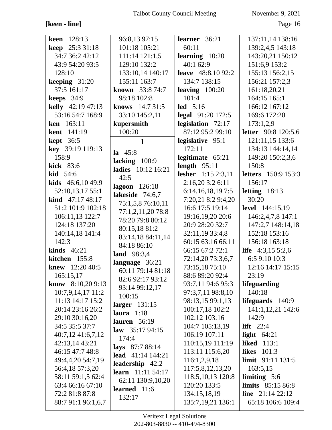# [keen - line]

November 9, 2021

Page 16

| 128:13<br>keen            | 96:8,13 97:15            | learner 36:21             | 137:11,14 138:16           |
|---------------------------|--------------------------|---------------------------|----------------------------|
| <b>keep</b> 25:3 31:18    | 101:18 105:21            | 60:11                     | 139:2,4,5 143:18           |
| 34:7 36:2 42:12           | 111:14 121:1,5           | learning $10:20$          | 143:20,21 150:12           |
| 43:9 54:20 93:5           | 129:10 132:2             | 40:1 62:9                 | 151:6,9 153:2              |
| 128:10                    | 133:10,14 140:17         | <b>leave</b> 48:8,10 92:2 | 155:13 156:2,15            |
| keeping $31:20$           | 155:11 163:7             | 134:7 138:15              | 156:21 157:2,3             |
| 37:5 161:17               | known 33:8 74:7          | leaving $100:20$          | 161:18,20,21               |
| keeps $34:9$              | 98:18 102:8              | 101:4                     | 164:15 165:1               |
| kelly 42:19 47:13         | knows 14:7 31:5          | $led$ 5:16                | 166:12 167:12              |
| 53:16 54:7 168:9          | 33:10 145:2,11           | <b>legal</b> 91:20 172:5  | 169:6 172:20               |
| ken 163:11                | kupersmith               | legislation 72:17         | 173:1,2,9                  |
| <b>kent</b> 141:19        | 100:20                   | 87:12 95:2 99:10          | <b>letter</b> 90:8 120:5,6 |
| <b>kept</b> 36:5          | 1                        | legislative 95:1          | 121:11,15 133:6            |
| key 39:19 119:13          |                          | 172:11                    | 134:13 144:14,14           |
| 158:9                     | $1a \quad 45:8$          | legitimate 65:21          | 149:20 150:2,3,6           |
| kick 83:6                 | lacking $100:9$          | length $95:11$            | 150:8                      |
| $\textbf{kid}$ 54:6       | ladies 10:12 16:21       | lesher 1:15 2:3,11        | <b>letters</b> 150:9 153:3 |
| <b>kids</b> $46:6,1049:9$ | 42:5                     | 2:16,203:26:11            | 156:17                     |
| 52:10,13,17 55:1          | lagoon 126:18            | 6:14,16,18,197:5          | letting $18:13$            |
| kind 47:17 48:17          | lakeside 74:6,7          | 7:20,21 8:2 9:4,20        | 30:20                      |
| 51:2 101:9 102:18         | 75:1,5,8 76:10,11        | 16:6 17:5 19:14           | <b>level</b> 144:15,19     |
| 106:11,13 122:7           | 77:1,2,11,20 78:8        | 19:16,19,20 20:6          | 146:2,4,7,8 147:1          |
| 124:18 137:20             | 78:20 79:8 80:12         | 20:9 28:20 32:7           | 147:2,7 148:14,18          |
| 140:14,18 141:4           | 80:15,18 81:2            | 32:11,19 33:4,8           | 152:18 153:16              |
| 142:3                     | 83:14,18 84:11,14        | 60:15 63:16 66:11         | 156:18 163:18              |
| kinds $46:21$             | 84:18 86:10              | 66:15 67:2 72:1           | life $4:3,15\,5:2,6$       |
| kitchen 155:8             | land 98:3,4              | 72:14,20 73:3,6,7         | 6:5 9:10 10:3              |
| <b>knew</b> $12:2040:5$   | language 36:21           | 73:15,18 75:10            | 12:16 14:17 15:15          |
| 165:15,17                 | 60:11 79:14 81:18        | 88:6 89:20 92:4           | 23:19                      |
| know $8:10,209:13$        | 82:6 92:17 93:12         | 93:7,11 94:6 95:3         | lifeguarding               |
| 10:7,9,14,17 11:2         | 93:14 99:12,17           | 97:3,7,11 98:8,10         | 140:18                     |
| 11:13 14:17 15:2          | 100:15                   | 98:13,15 99:1,13          | lifeguards $140:9$         |
| 20:14 23:16 26:2          | larger $131:15$          | 100:17,18 102:2           | 141:1,12,21 142:6          |
| 29:10 30:16,20            | laura $1:18$             | 102:12 103:16             | 142:9                      |
|                           | lauren $56:19$           | 104:7 105:13,19           |                            |
| 34:5 35:5 37:7            | law $35:1794:15$         | 106:19 107:11             | lift $22:4$                |
| 40:7,12 41:6,7,12         | 174:4                    |                           | light $64:21$              |
| 42:13,14 43:21            | <b>lays</b> 87:7 88:14   | 110:15,19 111:19          | <b>liked</b> 113:1         |
| 46:15 47:7 48:8           | lead $41:14$ 144:21      | 113:11 115:6,20           | <b>likes</b> 101:3         |
| 49:4,4,20 54:7,19         | <b>leadership</b> 42:2   | 116:1,2,9,18              | limit 91:11 131:5          |
| 56:4,18 57:3,20           | <b>learn</b> 11:11 54:17 | 117:5,8,12,13,20          | 163:5,15                   |
| 58:11 59:1,5 62:4         | 62:11 130:9,10,20        | 118:5, 10, 13 120:8       | limiting $5:6$             |
| 63:4 66:16 67:10          | learned 11:6             | 120:20 133:5              | limits 85:15 86:8          |
| 72:2 81:8 87:8            | 132:17                   | 134:15,18,19              | <b>line</b> $21:1422:12$   |
| 88:7 91:1 96:1,6,7        |                          | 135:7,19,21 136:1         | 65:18 106:6 109:4          |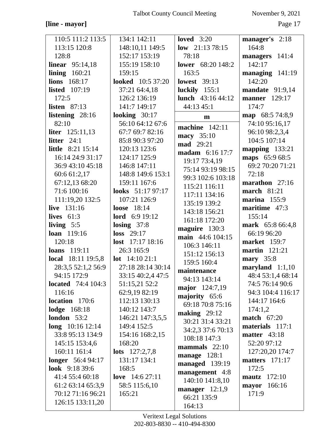## **[line - mayor]** Page 17

| 110:5 111:2 113:5         | 134:1 142:11             | loved $3:20$             | manager's 2:18       |
|---------------------------|--------------------------|--------------------------|----------------------|
| 113:15 120:8              | 148:10,11 149:5          | low $21:1378:15$         | 164:8                |
| 128:8                     | 152:17 153:19            | 78:18                    | managers 141:4       |
| <b>linear</b> 95:14,18    | 155:19 158:10            | lower 68:20 148:2        | 142:17               |
| lining $160:21$           | 159:15                   | 163:5                    | managing 141:19      |
| lions 168:17              | <b>looked</b> 10:5 37:20 | <b>lowest</b> 39:13      | 142:20               |
| <b>listed</b> 107:19      | 37:21 64:4,18            | luckily $155:1$          | mandate 91:9,14      |
| 172:5                     | 126:2 136:19             | <b>lunch</b> 43:16 44:12 | <b>manner</b> 129:17 |
| listen $87:13$            | 141:7 149:17             | 44:13 45:1               | 174:7                |
| listening 28:16           | looking $30:17$          | $\mathbf{m}$             | map 68:5 74:8,9      |
| 82:10                     | 56:10 64:12 67:6         |                          | 74:10 95:16,17       |
| <b>liter</b> $125:11,13$  | 67:7 69:7 82:16          | <b>machine</b> 142:11    | 96:10 98:2,3,4       |
| litter $24:1$             | 85:8 90:3 97:20          | macy 35:10               | 104:5 107:14         |
| <b>little</b> 8:21 15:14  | 120:13 123:6             | mad 29:21                | mapping 133:21       |
| 16:14 24:9 31:17          | 124:17 125:9             | madam 6:16 17:7          | maps 65:9 68:5       |
| 36:9 43:10 45:18          | 146:8 147:11             | 19:17 73:4,19            | 69:2 70:20 71:21     |
|                           |                          | 75:14 93:19 98:15        | 72:18                |
| 60:6 61:2,17              | 148:8 149:6 153:1        | 99:3 102:6 103:18        |                      |
| 67:12,13 68:20            | 159:11 167:6             | 115:21 116:11            | marathon 27:16       |
| 71:6 100:16               | looks $51:1797:17$       | 117:11 134:16            | march $81:21$        |
| 111:19,20 132:5           | 107:21 126:9             | 135:19 139:2             | marina $155:9$       |
| live 131:16               | <b>loose</b> 18:14       | 143:18 156:21            | maritime 47:3        |
| lives $61:3$              | <b>lord</b> 6:9 19:12    | 161:18 172:20            | 155:14               |
| living $5:5$              | losing $37:8$            | maguire 130:3            | mark 65:8 66:4,8     |
| loan 119:16               | $loss$ 29:17             | main 44:6 104:15         | 66:19 96:20          |
| 120:18                    | lost 17:17 18:16         | 106:3 146:11             | <b>market</b> 159:7  |
| <b>loans</b> 119:11       | 26:3 165:9               | 151:12 156:13            | <b>martin</b> 121:21 |
| <b>local</b> 18:11 19:5,8 | <b>lot</b> $14:1021:1$   | 159:5 160:4              | mary 35:8            |
| 28:3,5 52:1,2 56:9        | 27:18 28:14 30:14        | maintenance              | maryland $1:1,10$    |
| 94:15 172:9               | 33:15 40:2,4 47:5        | 94:13 143:14             | 48:4 53:1,4 68:14    |
| <b>located</b> 74:4 104:3 | 51:15,21 52:2            | major 124:7,19           | 74:5 76:14 90:6      |
| 116:16                    | 62:9,19 82:19            | majority 65:6            | 94:3 104:4 116:17    |
| location 170:6            | 112:13 130:13            | 69:18 70:8 75:16         | 144:17 164:6         |
| <b>lodge</b> 168:18       | 140:12 143:7             | making $29:12$           | 174:1,2              |
| london $53:2$             | 146:21 147:3,5,5         | 30:21 31:4 33:21         | <b>match</b> 67:20   |
| $long \ 10:16 \ 12:14$    | 149:4 152:5              | 34:2,3 37:6 70:13        | materials 117:1      |
| 33:8 95:13 134:9          | 154:16 168:2,15          | 108:18 147:3             | matter 43:18         |
| 145:15 153:4,6            | 168:20                   |                          | 52:20 97:12          |
| 160:11 161:4              | <b>lots</b> $127:2,7,8$  | mammals $22:10$          | 127:20,20 174:7      |
| <b>longer</b> 56:4 94:17  | 131:17 134:1             | manage $128:1$           | matters $171:17$     |
| look $9:1839:6$           | 168:5                    | managed 139:19           | 172:5                |
| 41:4 55:4 60:18           | love 14:6 27:11          | management 4:8           | <b>mautz</b> 172:10  |
| 61:2 63:14 65:3,9         | 58:5 115:6,10            | 140:10 141:8,10          | mayor 166:16         |
| 70:12 71:16 96:21         | 165:21                   | manager $12:1,9$         | 171:9                |
| 126:15 133:11,20          |                          | 66:21 135:9              |                      |
|                           |                          | 164:13                   |                      |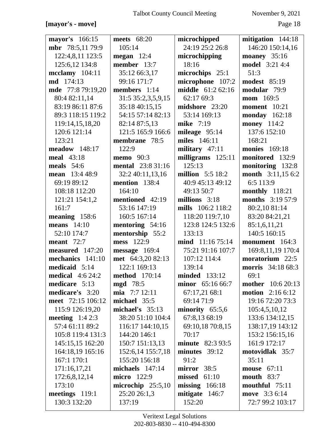## [mayor's - move]

November 9, 2021

| mayor's 166:15    | meets 68:20              | microchipped            | mitigation 144:18        |
|-------------------|--------------------------|-------------------------|--------------------------|
| mbr 78:5,1179:9   | 105:14                   | 24:19 25:2 26:8         | 146:20 150:14,16         |
| 122:4,8,11 123:5  | megan 12:4               | microchipping           | moaney $35:16$           |
| 125:6,12 134:8    | member 13:7              | 18:16                   | model 3:21 4:4           |
| $mcclamy$ 104:11  | 35:12 66:3,17            | microchips 25:1         | 51:3                     |
| <b>md</b> 174:13  | 99:16 171:7              | microphone 107:2        | <b>modest</b> 85:19      |
| mde 77:8 79:19,20 | members 1:14             | middle 61:2 62:16       | modular 79:9             |
| 80:4 82:11,14     | 31:5 35:2,3,5,9,15       | 62:17 69:3              | mom 169:5                |
| 83:19 86:11 87:6  | 35:18 40:15,15           | midshore 23:20          | <b>moment</b> 10:21      |
| 89:3 118:15 119:2 | 54:15 57:14 82:13        | 53:14 169:13            | <b>monday</b> 162:18     |
| 119:14,15,18,20   | 82:14 87:5,13            | mike 7:19               | <b>money</b> 114:2       |
| 120:6 121:14      | 121:5 165:9 166:6        | mileage $95:14$         | 137:6 152:10             |
| 123:21            | membrane 78:5            | miles 146:11            | 168:21                   |
| meadow 148:17     | 122:9                    | military $47:11$        | <b>monies</b> 169:18     |
| meal 43:18        | <b>memo</b> 90:3         | milligrams 125:11       | monitored 132:9          |
| meals $54:6$      | <b>mental</b> 23:8 31:16 | 125:13                  | monitoring 132:8         |
| mean 13:4 48:9    | 32:2 40:11,13,16         | <b>million</b> 5:5 18:2 | month 3:11,15 6:2        |
| 69:19 89:12       | mention 138:4            | 40:9 45:13 49:12        | 6:5 113:9                |
| 108:18 112:20     | 164:10                   | 49:13 50:7              | monthly $118:21$         |
| 121:21 154:1,2    | mentioned 42:19          | millions 3:18           | <b>months</b> 3:19 57:9  |
| 161:7             | 53:16 147:19             | mills 106:2 118:2       | 80:2,10 81:14            |
| meaning 158:6     | 160:5 167:14             | 118:20 119:7,10         | 83:20 84:21,21           |
| means $14:10$     | mentoring 54:16          | 123:8 124:5 132:6       | 85:1,6,11,21             |
| 52:10 174:7       | mentorship 55:2          | 133:13                  | 140:5 160:15             |
| meant $72:7$      | mess 122:9               | $mid$ 11:16 75:14       | monument 164:3           |
| measured 147:20   | message 169:4            | 75:21 91:16 107:7       | 169:8,11,19 170:4        |
| mechanics 141:10  | met 64:3,20 82:13        | 107:12 114:4            | moratorium 22:5          |
| medicaid 5:14     | 122:1 169:13             | 139:14                  | morris 34:18 68:3        |
| medical $4:624:2$ | <b>method</b> 170:14     | $minded$ 133:12         | 69:1                     |
| medicare 5:13     | <b>mgd</b> 78:5          | minor 65:16 66:7        | <b>mother</b> 10:6 20:13 |
| medicare's 3:20   | mia 7:7 12:11            | 67:17,21 68:1           | <b>motion</b> 2:16 6:12  |
| meet 72:15 106:12 | michael $35:5$           | 69:14 71:9              | 19:16 72:20 73:3         |
| 115:9 126:19,20   | michael's 35:13          | minority $65:5,6$       | 105:4,5,10,12            |
| meeting $1:42:3$  | 38:20 51:10 104:4        | 67:8,13 68:19           | 133:6 134:12,15          |
| 57:4 61:11 89:2   | 116:17 144:10,15         | 69:10,18 70:8,15        | 138:17,19 143:12         |
| 105:8 119:4 131:3 | 144:20 146:1             | 70:17                   | 153:2 156:15,16          |
| 145:15,15 162:20  | 150:7 151:13,13          | minute 82:3 93:5        | 161:9 172:17             |
| 164:18,19 165:16  | 152:6,14 155:7,18        | minutes 39:12           | motovidlak 35:7          |
| 167:1 170:1       | 155:20 156:18            | 91:2                    | 35:11                    |
| 171:16,17,21      | michaels $147:14$        | $mirror \quad 38:5$     | mouse 67:11              |
| 172:6,8,12,14     | <b>micro</b> 122:9       | missed<br>61:10         | <b>mouth</b> 83:7        |
| 173:10            | microchip $25:5,10$      | missing $166:18$        | mouthful $75:11$         |
| meetings 119:1    | 25:20 26:1,3             | mitigate 146:7          | move 3:3 6:14            |
| 130:3 132:20      | 137:19                   | 152:20                  | 72:7 99:2 103:17         |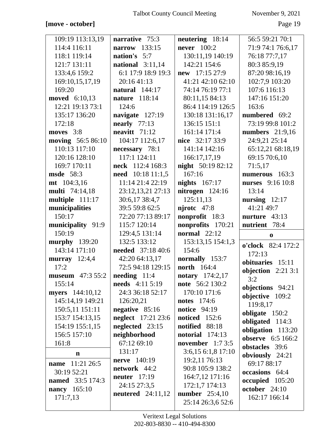## [move - october]

November 9, 2021

Page 19

| 109:19 113:13,19               | narrative 75:3                     | neutering 18:14          | 56:5 59:21 70:1          |
|--------------------------------|------------------------------------|--------------------------|--------------------------|
| 114:4 116:11                   | 133:15<br>narrow                   | <b>never</b> 100:2       | 71:9 74:1 76:6,17        |
| 118:1 119:14                   | nation's 5:7                       | 130:11,19 140:19         | 76:18 77:7,17            |
| 121:7 131:11                   | national $3:11,14$                 | 142:21 154:6             | 80:3 85:9,19             |
| 133:4,6 159:2                  | 6:1 17:9 18:9 19:3                 | new 17:15 27:9           | 87:20 98:16,19           |
| 169:10,15,17,19                | 20:16 41:13                        | 41:21 42:10 62:10        | 102:7,9 103:20           |
| 169:20                         | <b>natural</b> 144:17              | 74:14 76:19 77:1         | 107:6 116:13             |
| moved 6:10,13                  | nature 118:14                      | 80:11,15 84:13           | 147:16 151:20            |
| 12:21 19:13 73:1               | 124:6                              | 86:4 114:19 126:5        | 163:6                    |
| 135:17 136:20                  | navigate 127:19                    | 130:18 131:16,17         | numbered 69:2            |
| 172:18                         | nearly $77:13$                     | 136:15 151:1             | 73:19 99:8 101:2         |
| moves $3:8$                    | neavitt $71:12$                    | 161:14 171:4             | numbers 21:9,16          |
| <b>moving</b> 56:5 86:10       | 104:17 112:6,17                    | nice 32:17 33:9          | 24:9,21 25:14            |
| 110:13 117:10                  | necessary 78:1                     | 141:14 142:16            | 65:12,21 68:18,19        |
| 120:16 128:10                  | 117:1 124:11                       | 166:17,17,19             | 69:15 70:6,10            |
| 169:7 170:11                   | neck 112:4 168:3                   | <b>night</b> 50:19 82:12 | 71:5,17                  |
| <b>msde</b> 58:3               | need 10:18 11:1,5                  | 167:16                   | numerous 163:3           |
| $mt$ 104:3,16                  | 11:14 21:4 22:19                   | <b>nights</b> 167:17     | nurses 9:16 10:8         |
| <b>multi</b> 74:14,18          | 23:12,13,21 27:13                  | nitrogen 124:16          | 13:14                    |
| multiple 111:17                | 30:6,17 38:4,7                     | 125:11,13                | nursing $12:17$          |
| municipalities                 | 39:5 59:8 62:5                     | $njrotc$ 47:8            | 41:21 49:7               |
| 150:17                         | 72:20 77:13 89:17                  | nonprofit 18:3           | nurture 43:13            |
| municipality 91:9              | 115:7 120:14                       | nonprofits 170:21        | nutrient 78:4            |
|                                |                                    |                          |                          |
| 150:19                         | 129:4,5 131:14                     | normal $22:12$           |                          |
|                                | 132:5 133:12                       | 153:13,15 154:1,3        | $\bf{0}$                 |
| murphy 139:20<br>143:14 171:10 | <b>needed</b> 37:18 40:6           | 154:6                    | o'clock 82:4 172:2       |
|                                | 42:20 64:13,17                     | normally 153:7           | 172:13                   |
| murray 12:4,4<br>17:2          | 72:5 94:18 129:15                  | <b>north</b> 164:4       | obituaries 15:11         |
| <b>museum</b> $47:355:2$       | $\boldsymbol{\text{needing}}$ 11:4 | notary 174:2,17          | objection $2:213:1$      |
| 155:14                         | <b>needs</b> 4:11 5:19             | note 56:2 130:2          | 3:2                      |
| myers 144:10,12                | 24:3 36:18 52:17                   | 170:10 171:6             | objections 94:21         |
| 145:14,19 149:21               | 126:20,21                          | <b>notes</b> 174:6       | objective 109:2          |
| 150:5,11 151:11                | negative $85:16$                   | <b>notice</b> 94:19      | 119:8,17                 |
| 153:7 154:13,15                | <b>neglect</b> 17:21 23:6          | <b>noticed</b> 152:6     | obligate 150:2           |
| 154:19 155:1,15                | neglected 23:15                    | notified 88:18           | obligated 114:3          |
| 156:5 157:10                   | neighborhood                       | notorial $174:13$        | obligation 113:20        |
| 161:8                          | 67:12 69:10                        | november $1:73:5$        | <b>observe</b> 6:5 166:2 |
| $\mathbf n$                    | 131:17                             | 3:6,15 6:1,8 17:10       | obstacles 39:6           |
|                                | <b>nerve</b> 140:19                | 19:2,11 76:13            | obviously 24:21          |
| name 11:21 26:5                | network 44:2                       | 90:8 105:9 138:2         | 69:17 88:17              |
| 30:19 52:21                    | neuter $17:19$                     | 164:7,12 171:16          | occasions 64:4           |
| <b>named</b> 33:5 174:3        | 24:15 27:3,5                       | 172:1,7 174:13           | occupied 105:20          |
| nancy 165:10                   | neutered $24:11,12$                | <b>number</b> $25:4,10$  | october 24:10            |
| 171:7,13                       |                                    | 25:14 26:3,6 52:6        | 162:17 166:14            |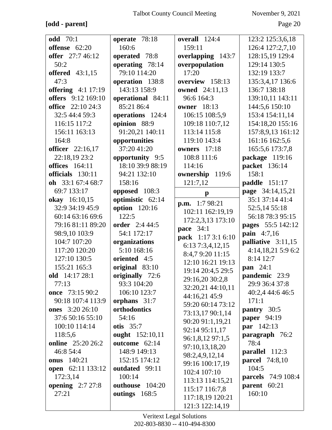## **[odd - parent]** Page 20

| <b>odd</b> 70:1          | operate 78:18     | overall 124:4          | 123:2 125:3,6,18          |
|--------------------------|-------------------|------------------------|---------------------------|
| offense 62:20            | 160:6             | 159:11                 | 126:4 127:2,7,10          |
| offer 27:7 46:12         | operated 78:8     | overlapping 143:7      | 128:15,19 129:4           |
| 50:2                     | operating 78:14   | overpopulation         | 129:14 130:5              |
| <b>offered</b> 43:1,15   | 79:10 114:20      | 17:20                  | 132:19 133:7              |
| 47:3                     | operation 138:8   | overview 158:13        | 135:3,4,17 136:6          |
| offering 4:1 17:19       | 143:13 158:9      | <b>owned</b> 24:11,13  | 136:7 138:18              |
| offers 9:12 169:10       | operational 84:11 | 96:6 164:3             | 139:10,11 143:11          |
| <b>office</b> 22:10 24:3 | 85:21 86:4        | <b>owner</b> 18:13     | 144:5,6 150:10            |
| 32:5 44:4 59:3           | operations 124:4  | 106:15 108:5,9         | 153:4 154:11,14           |
| 116:15 117:2             | opinion 88:9      | 109:18 110:7,12        | 154:18,20 155:16          |
| 156:11 163:13            | 91:20,21 140:11   | 113:14 115:8           | 157:8,9,13 161:12         |
| 164:8                    | opportunities     | 119:10 143:4           | 161:16 162:5,6            |
| officer 22:16,17         | 37:20 41:20       | <b>owners</b> 17:18    | 165:5,6 173:7,8           |
| 22:18,19 23:2            | opportunity 9:5   | 108:8 111:6            | package 119:16            |
| <b>offices</b> 164:11    | 18:10 39:9 88:19  | 114:16                 | packet 136:14             |
| officials 130:11         | 94:21 132:10      | ownership 119:6        | 158:1                     |
| oh $33:167:468:7$        | 158:16            | 121:7,12               | paddle 151:17             |
| 69:7 133:17              | opposed 108:3     | $\mathbf{p}$           | page 34:14,15,21          |
| okay 16:10,15            | optimistic 62:14  |                        | 35:1 37:14 41:4           |
| 32:9 34:19 45:9          | option 120:16     | <b>p.m.</b> $1:798:21$ | 52:5,14 55:18             |
| 60:14 63:16 69:6         | 122:5             | 102:11 162:19,19       | 56:18 78:3 95:15          |
| 79:16 81:11 89:20        | order 2:4 44:5    | 172:2,3,13 173:10      | pages 55:5 142:12         |
| 98:9,10 103:9            | 54:1 172:17       | pace 34:1              | pain 4:7,16               |
| 104:7 107:20             | organizations     | pack 1:17 3:1 6:10     | palliative 3:11,15        |
| 117:20 120:20            | 5:10 168:16       | 6:137:3,4,12,15        | 4:14,18,21 5:9 6:2        |
| 127:10 130:5             | oriented 4:5      | 8:4,7 9:20 11:15       | 8:14 12:7                 |
| 155:21 165:3             | original 83:10    | 12:10 16:21 19:13      | pan 24:1                  |
| old 14:17 28:1           | originally 72:6   | 19:14 20:4,5 29:5      | pandemic 23:9             |
| 77:13                    | 93:3 104:20       | 29:16,20 30:2,8        | 29:9 36:4 37:8            |
| once 73:15 90:2          | 106:10 123:7      | 32:20,21 44:10,11      | 40:2,4 44:6 46:5          |
| 90:18 107:4 113:9        | orphans 31:7      | 44:16,21 45:9          | 171:1                     |
| <b>ones</b> 3:20 26:10   | orthodontics      | 59:20 60:14 73:12      | pantry 30:5               |
| 37:6 50:16 55:10         | 54:16             | 73:13,17 90:1,14       | <b>paper</b> 94:19        |
| 100:10 114:14            | otis $35:7$       | 90:20 91:1,19,21       | par 142:13                |
| 118:5,6                  | ought 152:10,11   | 92:14 95:11,17         | paragraph 76:2            |
| online 25:20 26:2        | outcome 62:14     | 96:1,8,12 97:1,5       | 78:4                      |
| 46:8 54:4                | 148:9 149:13      | 97:10,13,18,20         | <b>parallel</b> 112:3     |
| <b>onus</b> 140:21       | 152:15 174:12     | 98:2,4,9,12,14         | <b>parcel</b> 74:8,10     |
| open 62:11 133:12        | outdated 99:11    | 99:16 100:17,19        | 104:5                     |
| 172:3,14                 | 100:14            | 102:4 107:10           | <b>parcels</b> 74:9 108:4 |
| opening $2:727:8$        | outhouse 104:20   | 113:13 114:15,21       | parent 60:21              |
| 27:21                    | outings 168:5     | 115:17 116:7,8         | 160:10                    |
|                          |                   | 117:18,19 120:21       |                           |
|                          |                   | 121:3 122:14,19        |                           |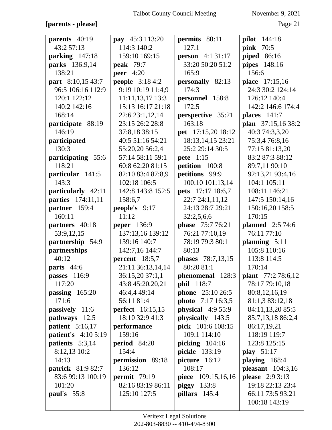## **[parents - please]** Page 21

| parents $40:19$            | pay 45:3 113:20         | permits 80:11                 | pilot 144:18                                         |
|----------------------------|-------------------------|-------------------------------|------------------------------------------------------|
| 43:2 57:13                 | 114:3 140:2             | 127:1                         | <b>pink</b> 70:5                                     |
| parking 147:18             | 159:10 169:15           | <b>person</b> 4:1 31:17       | <b>piped</b> 86:16                                   |
| parks 136:9,14             | <b>peak</b> 79:7        | 33:20 50:20 51:2              | pipes 148:16                                         |
| 138:21                     | peer $4:20$             | 165:9                         | 156:6                                                |
| part 8:10,15 43:7          | <b>people</b> 3:18 4:2  | personally 82:13              | place 17:15,16                                       |
| 96:5 106:16 112:9          | 9:19 10:19 11:4,9       | 174:3                         | 24:3 30:2 124:14                                     |
| 120:1 122:12               | 11:11,13,17 13:3        | personnel 158:8               | 126:12 140:4                                         |
| 140:2 142:16               | 15:13 16:17 21:18       | 172:5                         | 142:2 146:6 174:4                                    |
| 168:14                     | 22:6 23:1,12,14         | perspective 35:21             | places $141:7$                                       |
| participate 88:19          | 23:15 26:2 28:8         | 163:18                        | plan 37:15,16 38:2                                   |
| 146:19                     | 37:8,18 38:15           | pet 17:15,20 18:12            | 40:3 74:3,3,20                                       |
| participated               | 40:5 51:16 54:21        | 18:13,14,15 23:21             | 75:3,476:8,16                                        |
| 130:3                      | 55:20,20 56:2,4         | 25:2 29:14 30:5               | 77:15 81:13,20                                       |
| participating 55:6         | 57:14 58:11 59:1        | <b>pete</b> 1:15              | 83:2 87:3 88:12                                      |
| 118:21                     | 60:8 62:20 81:15        | petition 100:8                | 89:7,11 90:10                                        |
| particular 141:5           | 82:10 83:4 87:8,9       | petitions 99:9                | 92:13,21 93:4,16                                     |
| 143:3                      | 102:18 106:5            | 100:10 101:13,14              | 104:1 105:11                                         |
| particularly 42:11         | 142:8 143:8 152:5       | <b>pets</b> 17:17 18:6,7      | 108:11 146:21                                        |
| parties 174:11,11          | 158:6,7                 | 22:7 24:1,11,12               | 147:5 150:14,16                                      |
| partner 159:4              | people's 9:17           | 24:13 28:7 29:21              | 150:16,20 158:5                                      |
| 160:11                     | 11:12                   | 32:2,5,6,6                    | 170:15                                               |
| partners 40:18             | <b>peper</b> 136:9      | <b>phase</b> 75:7 76:21       | <b>planned</b> 2:5 74:6                              |
| 53:9,12,15                 | 137:13,16 139:12        | 76:21 77:10,19                | 76:11 77:10                                          |
|                            |                         |                               |                                                      |
| partnership 54:9           | 139:16 140:7            | 78:19 79:3 80:1               | planning $5:11$                                      |
| partnerships               | 142:7,16 144:7          | 80:13                         | 105:8 110:16                                         |
| 40:12                      | percent $18:5,7$        | <b>phases</b> 78:7,13,15      | 113:8 114:5                                          |
| parts $44:6$               | 21:11 36:13,14,14       | 80:20 81:1                    | 170:14                                               |
| passes 116:9               | 36:15,20 37:1,1         |                               | <b>phenomenal</b> $128:3$ <b>plant</b> $77:278:6,12$ |
| 117:20                     | 43:8 45:20,20,21        | <b>phil</b> 118:7             | 78:17 79:10,18                                       |
| passing $165:20$           | 46:4,4 49:14            | <b>phone</b> $25:10\,26:5$    | 80:8,12,16,19                                        |
| 171:6                      | 56:11 81:4              | <b>photo</b> $7:17 \; 16:3,5$ | 81:1,3 83:12,18                                      |
| passively 11:6             | <b>perfect</b> 16:15,15 | physical $4:955:9$            | 84:11,13,20 85:5                                     |
| pathways 12:5              | 18:10 32:9 41:3         | physically 143:5              | 85:7,13,18 86:2,4                                    |
| patient $5:16,17$          | performance             | pick 101:6 108:15             | 86:17,19,21                                          |
| <b>patient's</b> 4:10 5:19 | 159:16                  | 109:1 114:10                  | 118:19 119:7                                         |
| patients 5:3,14            | period 84:20            | picking $104:16$              | 123:8 125:15                                         |
| 8:12,13 10:2               | 154:4                   | <b>pickle</b> 133:19          | play $51:17$                                         |
| 14:13                      | permission 89:18        | picture 16:12                 | playing $168:4$                                      |
| <b>patrick</b> 81:9 82:7   | 136:12                  | 108:17                        | pleasant $104:3,16$                                  |
| 83:6 99:13 100:19          | permit $79:19$          | piece 109:15,16,16            | <b>please</b> 2:9 3:13                               |
| 101:20                     | 82:16 83:19 86:11       | $\boldsymbol{p}$ iggy 133:8   | 19:18 22:13 23:4                                     |
| paul's $55:8$              | 125:10 127:5            | pillars $145:4$               | 66:11 73:5 93:21<br>100:18 143:19                    |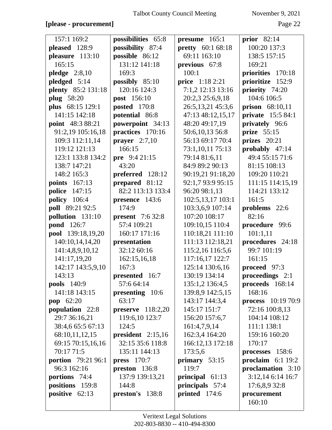## **[please - procurement]** Page 22

| 157:1 169:2               | possibilities 65:8      | presume 165:1            | prior $82:14$              |
|---------------------------|-------------------------|--------------------------|----------------------------|
| pleased 128:9             | possibility 87:4        | <b>pretty</b> 60:1 68:18 | 100:20 137:3               |
| pleasure 113:10           | possible 86:12          | 69:11 163:10             | 138:5 157:15               |
| 165:15                    | 131:12 141:18           | previous 67:8            | 169:21                     |
| pledge $2:8,10$           | 169:3                   | 100:1                    | priorities 170:18          |
| pledged 5:14              | possibly $85:10$        | price 1:18 2:21          | prioritize 152:9           |
| plenty 85:2 131:18        | 120:16 124:3            | 7:1,2 12:13 13:16        | priority 74:20             |
| <b>plug</b> 58:20         | post 156:10             | 20:2,3 25:6,9,18         | 104:6 106:5                |
| plus 68:15 129:1          | <b>posted</b> 170:8     | 26:5,13,21 45:3,6        | prison 68:10,11            |
| 141:15 142:18             | potential 86:8          | 47:13 48:12,15,17        | private 15:5 84:1          |
| point 48:3 88:21          | powerpoint 34:13        | 48:20 49:17,19           | privately 96:6             |
| 91:2,19 105:16,18         | practices 170:16        | 50:6,10,13 56:8          | prize $55:15$              |
| 109:3 112:11,14           | prayer $2:7,10$         | 56:13 69:17 70:4         | prizes 20:21               |
| 119:12 121:13             | 166:15                  | 73:1,10,11 75:13         | probably 47:14             |
| 123:1 133:8 134:2         | pre 9:4 21:15           | 79:14 81:6,11            | 49:4 55:15 71:6            |
| 138:7 147:21              | 43:20                   | 84:9 89:2 90:13          | 81:15 108:13               |
| 148:2 165:3               | preferred 128:12        | 90:19,21 91:18,20        | 109:20 110:21              |
| <b>points</b> 167:13      | prepared 81:12          | 92:1,7 93:9 95:15        | 111:15 114:15,19           |
| police 147:15             | 82:2 113:13 133:4       | 96:20 98:1,13            | 114:21 133:12              |
| <b>policy</b> 106:4       | presence 143:6          | 102:5,13,17 103:1        | 161:5                      |
| poll 89:21 92:5           | 174:9                   | 103:3,6,9 107:14         | problems 22:6              |
| pollution 131:10          | <b>present</b> 7:6 32:8 | 107:20 108:17            | 82:16                      |
| <b>pond</b> 126:7         | 57:4 109:21             | 109:10,15 110:4          | procedure 99:6             |
| pool 139:18,19,20         | 160:17 171:16           | 110:18,21 111:10         | 101:1,11                   |
| 140:10,14,14,20           | presentation            | 111:13 112:18,21         | procedures 24:18           |
| 141:4,8,9,10,12           | 32:12 60:16             | 115:2,16 116:5,6         | 99:7 101:19                |
| 141:17,19,20              | 162:15,16,18            | 117:16,17 122:7          | 161:15                     |
| 142:17 143:5,9,10         | 167:3                   | 125:14 130:6,16          | proceed 97:3               |
| 143:13                    | presented 16:7          | 130:19 134:14            | proceedings 2:1            |
| pools 140:9               | 57:6 64:14              | 135:1,2 136:4,5          | proceeds 168:14            |
| 141:18 143:15             | presenting 10:6         | 139:8,9 142:5,15         | 168:16                     |
| <b>pop</b> 62:20          | 63:17                   | 143:17 144:3,4           | <b>process</b> $10:1970:9$ |
| population 22:8           | preserve $118:2,20$     | 145:17 151:7             | 72:16 100:8,13             |
| 29:7 36:16,21             | 119:6,10 123:7          | 156:20 157:6,7           | 104:14 108:12              |
| 38:4,6 65:5 67:13         | 124:5                   | 161:4,7,9,14             | 111:1 138:1                |
| 68:10,11,12,15            | president $2:15,16$     | 162:3,4 164:20           | 159:16 160:20              |
| 69:15 70:15,16,16         | 32:15 35:6 118:8        | 166:12,13 172:18         | 170:17                     |
| 70:17 71:5                | 135:11 144:13           | 173:5,6                  | processes 158:6            |
| <b>portion</b> 79:21 96:1 | press $170:7$           | primary 53:15            | proclaim $6:1$ 19:2        |
| 96:3 162:16               | preston 136:8           | 119:7                    | proclamation 3:10          |
| portions 74:4             | 137:9 139:13,21         | principal 61:13          | 3:12,14 6:14 16:7          |
| positions 159:8           | 144:8                   | principals 57:4          | 17:6,8,9 32:8              |
| positive 62:13            | preston's 138:8         | printed $174:6$          | procurement                |
|                           |                         |                          | 160:10                     |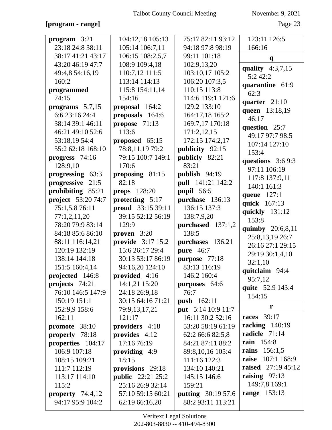# **[program - range]** Page 23

| program 3:21            | 104:12,18 105:13         | 75:17 82:11 93:12                      | 123:11 126:5              |
|-------------------------|--------------------------|----------------------------------------|---------------------------|
| 23:18 24:8 38:11        | 105:14 106:7,11          | 94:18 97:8 98:19                       | 166:16                    |
| 38:17 41:21 43:17       | 106:15 108:2,5,7         | 99:11 101:18                           | $\mathbf{q}$              |
| 43:20 46:19 47:7        | 108:9 109:4,18           | 102:9,13,20                            | quality $4:3,7,15$        |
| 49:4,8 54:16,19         | 110:7,12 111:5           | 103:10,17 105:2                        | 5:242:2                   |
| 160:2                   | 113:14 114:13            | 106:20 107:3,5                         | quarantine 61:9           |
| programmed              | 115:8 154:11,14          | 110:15 113:8                           | 62:3                      |
| 74:15                   | 154:16                   | 114:6 119:1 121:6                      | quarter 21:10             |
| programs $5:7,15$       | proposal 164:2           | 129:2 133:10                           | queen 13:18,19            |
| 6:6 23:16 24:4          | proposals 164:6          | 164:17,18 165:2                        | 46:17                     |
| 38:14 39:1 46:11        | propose 71:13            | 169:7,17 170:18                        | question 25:7             |
| 46:21 49:10 52:6        | 113:6                    | 171:2,12,15                            | 49:17 97:7 98:5           |
| 53:18,19 54:4           | proposed 65:15           | 172:15 174:2,17                        | 107:14 127:10             |
| 55:2 62:18 168:10       | 78:8,11,19 79:2          | publicity 92:15                        | 153:4                     |
| progress 74:16          | 79:15 100:7 149:1        | publicly 82:21                         | questions $3:69:3$        |
| 128:9,10                | 170:6                    | 83:21                                  | 97:11 106:19              |
| progressing 63:3        | proposing 81:15          | publish 94:19                          | 117:8 137:9,11            |
| progressive 21:5        | 82:18                    | pull 141:21 142:2                      | 140:1 161:3               |
| prohibiting 85:21       | props $128:20$           | pupil 56:5                             | queue 127:1               |
| project 53:20 74:7      | protecting 5:17          | purchase 136:13                        | quick 167:13              |
| 75:1,5,8 76:11          | proud 33:15 39:11        | 136:15 137:3                           | quickly 131:12            |
| 77:1,2,11,20            | 39:15 52:12 56:19        | 138:7,9,20                             | 153:8                     |
| 78:20 79:9 83:14        | 129:9                    | purchased 137:1,2                      | quimby 20:6,8,11          |
| 84:18 85:6 86:10        | proven $3:20$            | 138:5                                  | 25:8,13,19 26:7           |
| 88:11 116:14,21         | provide 3:17 15:2        | purchases 136:21                       | 26:16 27:1 29:15          |
| 120:19 132:19           | 15:6 26:17 29:4          | <b>pure</b> 46:7                       | 29:19 30:1,4,10           |
| 138:14 144:18           | 30:13 53:17 86:19        | purpose 77:18                          | 32:1,10                   |
| 151:5 160:4,14          | 94:16,20 124:10          | 83:13 116:19                           | quitclaim 94:4            |
| projected 146:8         | provided 4:16            | 146:2 160:4                            | 95:7,12                   |
| projects $74:21$        | 14:1,21 15:20            | purposes 64:6                          | quite 52:9 143:4          |
| 76:10 146:5 147:9       | 24:18 26:9,18            | 76:7                                   | 154:15                    |
| 150:19 151:1            | 30:15 64:16 71:21        | <b>push</b> 162:11                     | r                         |
| 152:9,9 158:6<br>162:11 | 79:9,13,17,21<br>121:17  | put 5:14 10:9 11:7<br>16:11 30:2 52:16 | <b>races</b> 39:17        |
| promote 38:10           | providers 4:18           | 53:20 58:19 61:19                      | racking $140:19$          |
| properly 78:18          | provides 4:12            | 62:2 66:6 82:5,8                       | radicle 71:14             |
| properties 104:17       | 17:16 76:19              | 84:21 87:11 88:2                       | <b>rain</b> 154:8         |
| 106:9 107:18            | providing $4:9$          | 89:8,10,16 105:4                       | rains 156:1,5             |
| 108:15 109:21           | 18:15                    | 111:16 122:3                           | <b>raise</b> 107:1 168:9  |
| 111:7 112:19            | provisions 29:18         | 134:10 140:21                          | <b>raised</b> 27:19 45:12 |
| 113:17 114:10           | <b>public</b> 22:21 25:2 | 145:15 146:6                           | raising 97:13             |
| 115:2                   | 25:16 26:9 32:14         | 159:21                                 | 149:7,8 169:1             |
| property $74:4,12$      | 57:10 59:15 60:21        | <b>putting</b> 30:19 57:6              | <b>range</b> 153:13       |
| 94:17 95:9 104:2        | 62:19 66:16,20           | 88:2 93:11 113:21                      |                           |
|                         |                          |                                        |                           |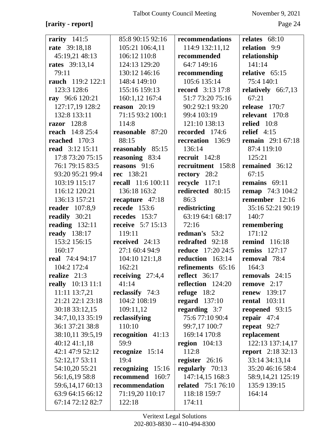## **[rarity - report]** Page 24

| rarity $141:5$         | 85:8 90:15 92:16          | recommendations           | relates $68:10$          |
|------------------------|---------------------------|---------------------------|--------------------------|
| rate 39:18,18          | 105:21 106:4,11           | 114:9 132:11,12           | relation 9:9             |
| 45:19,21 48:13         | 106:12 110:8              | recommended               | relationship             |
| <b>rates</b> 39:13,14  | 124:13 129:20             | 64:7 149:16               | 141:14                   |
| 79:11                  | 130:12 146:16             | recommending              | relative 65:15           |
| rauch 119:2 122:1      | 148:4 149:10              | 105:6 135:14              | 75:4 140:1               |
| 123:3 128:6            | 155:16 159:13             | <b>record</b> 3:13 17:8   | relatively 66:7,13       |
| ray 96:6 120:21        | 160:1,12 167:4            | 51:7 73:20 75:16          | 67:21                    |
| 127:17,19 128:2        | reason $20:19$            | 90:2 92:1 93:20           | release $170:7$          |
| 132:8 133:11           | 71:15 93:2 100:1          | 99:4 103:19               | relevant 170:8           |
| razor 128:8            | 114:8                     | 121:10 138:13             | relied 10:8              |
| <b>reach</b> 14:8 25:4 | reasonable 87:20          | recorded 174:6            | relief $4:15$            |
| reached 170:3          | 88:15                     | recreation 136:9          | <b>remain</b> 29:1 67:18 |
| <b>read</b> 3:12 15:11 | reasonably 85:15          | 136:14                    | 87:4 119:10              |
| 17:8 73:20 75:15       | reasoning 83:4            | recruit 142:8             | 125:21                   |
| 76:1 79:15 83:5        | reasons $91:6$            | recruitment 158:8         | remained 36:12           |
| 93:20 95:21 99:4       | rec 138:21                | rectory 28:2              | 67:15                    |
| 103:19 115:17          | <b>recall</b> 11:6 100:11 | recycle 117:1             | remains $69:11$          |
| 116:12 120:21          | 136:18 163:2              | redirected 80:15          | <b>remap</b> 74:3 104:2  |
| 136:13 157:21          | recapture 47:18           | 86:3                      | remember 12:16           |
| <b>reader</b> 107:8,9  | <b>recede</b> 153:6       | redistricting             | 35:16 52:21 90:19        |
| readily 30:21          | recedes 153:7             | 63:19 64:1 68:17          | 140:7                    |
| reading $132:11$       | <b>receive</b> 5:7 15:13  | 72:16                     | remembering              |
| ready 138:17           | 119:11                    | redman's 53:2             | 171:12                   |
| 153:2 156:15           | received 24:13            | redrafted 92:18           | <b>remind</b> 116:18     |
| 160:17                 | 27:1 60:4 94:9            | <b>reduce</b> 17:20 24:5  | <b>remiss</b> 127:17     |
| real 74:4 94:17        | 104:10121:1,8             | reduction 163:14          | removal 78:4             |
| 104:2 172:4            | 162:21                    | refinements 65:16         | 164:3                    |
| realize 21:3           | receiving 27:4,4          | reflect $36:17$           | removals 24:15           |
| really 10:13 11:1      | 41:14                     | reflection 124:20         | remove $2:17$            |
| 11:11 13:7,21          | reclassify 74:3           | refuge $18:2$             | <b>renew</b> 139:17      |
| 21:21 22:1 23:18       | 104:2 108:19              | regard $137:10$           | <b>rental</b> 103:11     |
| 30:18 33:12,15         | 109:11,12                 | regarding 3:7             | reopened 93:15           |
| 34:7,10,13 35:19       | reclassifying             | 75:677:1090:4             | repair $47:4$            |
| 36:1 37:21 38:8        | 110:10                    | 99:7,17 100:7             | repeat $92:7$            |
| 38:10,11 39:5,19       | recognition 41:13         | 169:14 170:8              | replacement              |
| $40:12\;41:1,18$       | 59:9                      | region $104:13$           | 122:13 137:14,17         |
| 42:1 47:9 52:12        | recognize 15:14           | 112:8                     | <b>report</b> 2:18 32:13 |
| 52:12,17 53:11         | 19:4                      | register $26:16$          | 33:14 34:13,14           |
| 54:10,20 55:21         | recognizing 15:16         | regularly 70:13           | 35:20 46:16 58:4         |
| 56:1,6,19 58:8         | recommend 160:7           | 147:14,15 168:3           | 58:9,14,21 125:19        |
| 59:6,14,17 60:13       | recommendation            | <b>related</b> 75:1 76:10 | 135:9 139:15             |
| 63:9 64:15 66:12       | 71:19,20 110:17           | 118:18 159:7              | 164:14                   |
| 67:14 72:12 82:7       | 122:18                    | 174:11                    |                          |
|                        |                           |                           |                          |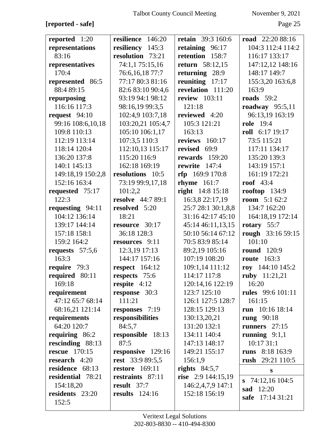## **[reported - safe]** Page 25

| reported 1:20        | resilience 146:20        | <b>retain</b> 39:3 160:6 | road 22:20 88:16         |
|----------------------|--------------------------|--------------------------|--------------------------|
| representations      | resiliency<br>145:3      | retaining 96:17          | 104:3 112:4 114:2        |
| 83:16                | resolution 73:21         | retention 158:7          | 116:17 133:17            |
| representatives      | 74:1,1 75:15,16          | <b>return</b> 58:12,15   | 147:12,12 148:16         |
| 170:4                | 76:6,16,18 77:7          | returning 28:9           | 148:17 149:7             |
| represented 86:5     | 77:17 80:3 81:16         | reuniting $17:17$        | 155:3,20 163:6,8         |
| 88:4 89:15           | 82:6 83:10 90:4,6        | revelation 111:20        | 163:9                    |
| repurposing          | 93:19 94:1 98:12         | <b>review</b> 103:11     | roads $59:2$             |
| 116:16 117:3         | 98:16,19 99:3,5          | 121:18                   | roadway $95:5,11$        |
| request $94:10$      | 102:4,9 103:7,18         | reviewed 4:20            | 96:13,19 163:19          |
| 99:16 108:6,10,18    | 103:20,21 105:4,7        | 105:3 121:21             | <b>role</b> 19:4         |
| 109:8 110:13         | 105:10 106:1,17          | 163:13                   | roll 6:17 19:17          |
| 112:19 113:14        | 107:3,5 110:3            | reviews 160:17           | 73:5 115:21              |
| 118:14 120:4         | 112:10,13 115:17         | revised 69:9             | 117:11 134:17            |
| 136:20 137:8         | 115:20 116:9             | rewards $159:20$         | 135:20 139:3             |
| 140:1 145:13         | 162:18 169:19            | rewrite $147:4$          | 143:19 157:1             |
| 149:18,19 150:2,8    | resolutions 10:5         | $rfp$ 169:9 170:8        | 161:19 172:21            |
| 152:16 163:4         | 73:19 99:9,17,18         | <b>rhyme</b> 161:7       | roof $43:4$              |
| requested 75:17      | 101:2,2                  | <b>right</b> 14:8 15:18  | rooftop $134:9$          |
| 122:3                | <b>resolve</b> 44:7 89:1 | 16:3,8 22:17,19          | <b>room</b> $5:162:2$    |
| requesting 94:11     | resolved 5:20            | 25:7 28:1 30:1,8,8       | 134:7 162:20             |
| 104:12 136:14        | 18:21                    | 31:16 42:17 45:10        | 164:18,19 172:14         |
| 139:17 144:14        | resource 30:17           | 45:14 46:11,13,15        | rotary $55:7$            |
| 157:18 158:1         | 36:18 128:3              | 50:10 56:14 67:12        | rough 33:16 59:15        |
| 159:2 164:2          | resources 9:11           | 70:5 83:9 85:14          | 101:10                   |
| requests $57:5,6$    | 12:3,19 17:13            | 89:2,19 105:16           | <b>round</b> 120:9       |
| 163:3                | 144:17 157:16            | 107:19 108:20            | <b>route</b> 163:3       |
| require 79:3         | respect $164:12$         | 109:1,14 111:12          | roy $144:10145:2$        |
| required 80:11       | respects 75:6            | 114:17 117:8             | ruby 11:21,21            |
| 169:18               | respite $4:12$           | 120:14,16 122:19         | 16:20                    |
| requirement          | response 30:3            | 123:7 125:10             | <b>rules</b> 99:6 101:11 |
| 47:12 65:7 68:14     | 111:21                   | 126:1 127:5 128:7        | 161:15                   |
| 68:16,21 121:14      | responses 7:19           | 128:15 129:13            | run $10:16$ 18:14        |
| requirements         | responsibilities         | 130:13,20,21             | rung $90:18$             |
| 64:20 120:7          | 84:5,7                   | 131:20 132:1             | runners $27:15$          |
| requiring 86:2       | responsible 18:13        | 134:11 140:4             | running $9:1,1$          |
| rescinding 88:13     | 87:5                     | 147:13 148:17            | 10:17 31:1               |
| <b>rescue</b> 170:15 | responsive 129:16        | 149:21 155:17            | runs 8:18 163:9          |
| research 4:20        | <b>rest</b> 33:9 89:5,5  | 156:1,9                  | rush 29:21 110:5         |
| residence 68:13      | <b>restore</b> 169:11    | rights $84:5,7$          | S                        |
| residential 78:21    | restraints 87:11         | rise $2:9$ 144:15,19     | 74:12,16 104:5<br>S      |
| 154:18,20            | result 37:7              | 146:2,4,7,9 147:1        | sad 12:20                |
| residents 23:20      | results $124:16$         | 152:18 156:19            | safe 17:14 31:21         |
| 152:5                |                          |                          |                          |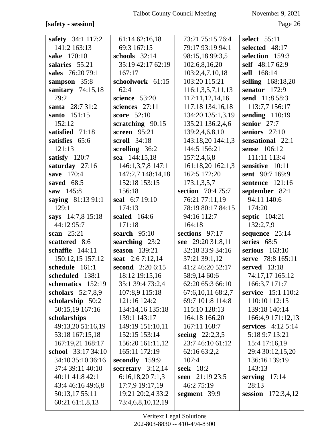**[safety - session]** Page 26

| safety 34:1 117:2                    | 61:14 62:16,18                    | 73:21 75:15 76:4                      | select 55:11                          |
|--------------------------------------|-----------------------------------|---------------------------------------|---------------------------------------|
| 141:2 163:13                         | 69:3 167:15                       | 79:17 93:19 94:1                      | selected 48:17                        |
| sake 170:10                          | schools $32:14$                   | 98:15,18 99:3,5                       | selection 159:3                       |
| salaries 55:21                       | 35:19 42:17 62:19                 | 102:6,8,16,20                         | self 48:17 62:9                       |
| sales 76:20 79:1                     | 167:17                            | 103:2,4,7,10,18                       | sell 168:14                           |
| sampson 35:8                         | schoolwork 61:15                  | 103:20 115:21                         | selling 168:18,20                     |
| sanitary $74:15,18$                  | 62:4                              | 116:1,3,5,7,11,13                     | senator $172:9$                       |
| 79:2                                 | science $53:20$                   | 117:11,12,14,16                       | send 11:8 58:3                        |
| santa 28:7 31:2                      | sciences 27:11                    | 117:18 134:16,18                      | 113:7,7 156:17                        |
| santo 151:15                         | score 52:10                       | 134:20 135:1,3,19                     | sending $110:19$                      |
| 152:12                               | scratching 90:15                  | 135:21 136:2,4,6                      | senior $27:7$                         |
| satisfied 71:18                      | screen $95:21$                    | 139:2,4,6,8,10                        | seniors $27:10$                       |
| satisfies 65:6                       | <b>scroll</b> 34:18               | 143:18,20 144:1,3                     | sensational 22:1                      |
| 121:13                               | scrolling 36:2                    | 144:5 156:21                          | sense 106:12                          |
| satisfy $120:7$                      | sea 144:15,18                     | 157:2,4,6,8                           | 111:11 113:4                          |
| saturday 27:16                       | 146:1,3,7,8 147:1                 | 161:18,20 162:1,3                     | sensitive 10:11                       |
| save 170:4                           | 147:2,7 148:14,18                 | 162:5 172:20                          | sent 90:7 169:9                       |
| saved 68:5                           | 152:18 153:15                     | 173:1,3,5,7                           | sentence 121:16                       |
| saw 145:8                            | 156:18                            | section 70:4 75:7                     | september 82:1                        |
| saying 81:13 91:1                    | seal 6:7 19:10                    | 76:21 77:11,19                        | 94:11 140:6                           |
| 129:1                                | 174:13                            | 78:19 80:17 84:15                     | 174:20                                |
| says 14:7,8 15:18                    | sealed 164:6                      | 94:16 112:7                           | septic 104:21                         |
| 44:12 95:7                           | 171:18                            | 164:18                                | 132:2,7,9                             |
| scan $25:21$                         | search $95:10$                    | sections 97:17                        | sequence 25:14                        |
| scattered 8:6                        | searching 23:2                    | see 29:20 31:8,11                     | series 68:5                           |
| schaffle 144:11                      | season 139:21                     | 32:18 33:9 34:16                      | serious $163:10$                      |
| 150:12,15 157:12                     | seat 2:67:12,14                   | 37:21 39:1,12                         | serve 78:8 165:11                     |
| schedule 161:1                       | second 2:20 6:15                  | 41:2 46:20 52:17                      | served 13:18                          |
| scheduled 138:1                      | 18:12 19:15,16                    | 58:9,14 60:6                          | 74:17,17 165:12                       |
| schematics 152:19                    | 35:1 39:4 73:2,4                  | 62:20 65:3 66:10                      | 166:3,7 171:7                         |
| scholars $52:7,8,9$                  | 107:8,9 115:18                    | 67:6,10,11 68:2,7                     | service 15:1 110:2                    |
| scholarship 50:2                     | 121:16 124:2                      | 69:7 101:8 114:8                      | 110:10 112:15                         |
| 50:15,19 167:16                      | 134:14,16 135:18                  | 115:10 128:13                         | 139:18 140:14                         |
| scholarships                         | 139:1 143:17                      | 164:18 166:20                         | 166:4,9 171:12,13                     |
| 49:13,20 51:16,19<br>53:18 167:15,18 | 149:19 151:10,11<br>152:15 153:14 | 167:11 168:7                          | services $4:125:14$<br>5:18 9:7 13:21 |
| 167:19,21 168:17                     | 156:20 161:11,12                  | seeing $22:2,3,5$<br>23:7 46:10 61:12 | 15:4 17:16,19                         |
| school 33:17 34:10                   | 165:11 172:19                     | 62:16 63:2,2                          | 29:4 30:12,15,20                      |
| 34:10 35:10 36:16                    | secondly 159:9                    | 107:4                                 | 136:16 139:19                         |
| 37:4 39:11 40:10                     | secretary $3:12,14$               | <b>seek</b> 18:2                      | 143:13                                |
| 40:11 41:8 42:1                      | 6:16,18,207:1,3                   | seen 21:19 23:5                       | serving $17:14$                       |
| 43:4 46:16 49:6,8                    | 17:7,9 19:17,19                   | 46:2 75:19                            | 28:13                                 |
| 50:13,17 55:11                       | 19:21 20:2,4 33:2                 | segment 39:9                          | session 172:3,4,12                    |
| 60:21 61:1,8,13                      | 73:4,6,8,10,12,19                 |                                       |                                       |
|                                      |                                   |                                       |                                       |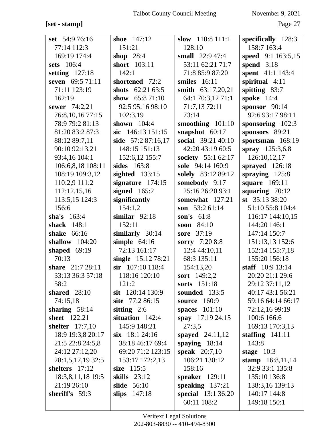# $[set - stamp] % \begin{minipage}[b]{0.5\linewidth} \centering \centerline{\includegraphics[width=0.5\linewidth]{images/0.5in1.jpg} \centerline{\includegraphics[width=0.5\linewidth]{images/0.5in1.jpg} \centerline{\includegraphics[width=0.5\linewidth]{images/0.5in1.jpg} \centerline{\includegraphics[width=0.5\linewidth]{images/0.5in1.jpg} \centerline{\includegraphics[width=0.5\linewidth]{images/0.5in1.jpg} \centerline{\includegraphics[width=0.5\linewidth]{images/0.5in1.jpg} \centerline{\includegraphics[width=0.5\linewidth]{images/0.5in1.jpg} \centerline{\includegraphics[width=0.5\linewidth]{images/0.5in1.jpg} \centerline{\$

November 9, 2021

Page 27

|                   | shoe 147:12         |                        |                                     |
|-------------------|---------------------|------------------------|-------------------------------------|
| set 54:9 76:16    |                     | slow 110:8 111:1       | specifically $128:3$<br>158:7 163:4 |
| 77:14 112:3       | 151:21              | 128:10                 |                                     |
| 169:19 174:4      | shop $28:4$         | small $22:947:4$       | speed $9:1163:5,15$                 |
| sets 106:4        | short 103:11        | 53:11 62:21 71:7       | spend $3:18$                        |
| setting $127:18$  | 142:1               | 71:8 85:9 87:20        | spent 41:1 143:4                    |
| seven 69:5 71:11  | shortened 72:2      | smiles $16:11$         | spiritual 4:11                      |
| 71:11 123:19      | shots $62:2163:5$   | smith $63:17,20,21$    | spitting 83:7                       |
| 162:19            | show $65:871:10$    | 64:1 70:3,12 71:1      | <b>spoke</b> 14:4                   |
| sewer 74:2,21     | 92:5 95:16 98:10    | 71:7,13 72:11          | sponsor $90:14$                     |
| 76:8,10,16 77:15  | 102:3,19            | 73:14                  | 92:6 93:17 98:11                    |
| 78:9 79:2 81:13   | shown $104:4$       | smoothing 101:10       | sponsoring 102:3                    |
| 81:20 83:2 87:3   | sic 146:13 151:15   | snapshot $60:17$       | sponsors 89:21                      |
| 88:12 89:7,11     | side 57:2 87:16,17  | social 39:21 40:10     | sportsman 168:19                    |
| 90:10 92:13,21    | 148:15 151:13       | 42:20 43:19 60:5       | spray 125:3,6,8                     |
| 93:4,16 104:1     | 152:6,12 155:7      | society 55:1 62:17     | 126:10,12,17                        |
| 106:6,8,18 108:11 | sides 163:8         | sole 94:14 160:9       | sprayed 126:18                      |
| 108:19 109:3,12   | sighted $133:15$    | solely 83:12 89:12     | spraying $125:8$                    |
| 110:2,9 111:2     | signature $174:15$  | somebody 9:17          | <b>square</b> 169:11                |
| 112:12,15,16      | signed $165:2$      | 25:16 26:20 93:1       | squaring $70:12$                    |
| 113:5,15 124:3    | significantly       | somewhat 127:21        | st $35:133:20$                      |
| 156:6             | 154:1,2             | son $53:261:14$        | 51:10 55:8 104:4                    |
| sha's $163:4$     | similar $92:18$     | son's $61:8$           | 116:17 144:10,15                    |
| shack 148:1       | 152:11              | soon $84:10$           | 144:20 146:1                        |
| shake 66:16       | similarly 30:14     | sore 37:19             | 147:14 150:7                        |
| shallow 104:20    | simple $64:16$      | sorry 7:20 8:8         | 151:13,13 152:6                     |
| shaped $69:19$    | 72:13 161:17        | 12:4 44:10,11          | 152:14 155:7,18                     |
| 70:13             | single 15:12 78:21  | 68:3 135:11            | 155:20 156:18                       |
| share 21:7 28:11  | $\sin$ 107:10 118:4 | 154:13,20              | staff $10:9 13:14$                  |
| 33:13 36:3 57:18  | 118:16 120:10       | sort 149:2,2           | 20:20 21:1 29:6                     |
| 58:2              | 121:2               | sorts 151:18           | 29:12 37:11,12                      |
| shared $28:10$    | sit $120:14$ 130:9  | sounded 133:5          | 40:17 43:1 56:21                    |
| 74:15,18          | site 77:2 86:15     | <b>source</b> 160:9    | 59:16 64:14 66:17                   |
| sharing $58:14$   | sitting $2:6$       | spaces 101:10          | 72:12,16 99:19                      |
| sheet 122:21      | situation 142:4     | spay $17:19\,24:15$    | 100:6 166:6                         |
| shelter $17:7,10$ | 145:9 148:21        | 27:3,5                 | 169:13 170:3,13                     |
| 18:9 19:3,8 20:17 | $\sin 18:124:16$    | spayed $24:11,12$      | staffing $141:11$                   |
| 21:5 22:8 24:5,8  | 38:18 46:17 69:4    | spaying $18:14$        | 143:8                               |
| 24:12 27:12,20    | 69:20 71:2 123:15   | <b>speak</b> $20:7,10$ | stage $10:3$                        |
| 28:1,5,17,19 32:5 | 153:17 172:2,13     | 106:21 130:12          | stamp 16:8,11,14                    |
| shelters 17:12    | size 115:5          | 158:16                 | 32:9 33:1 135:8                     |
| 18:3,8,11,18 19:5 | skills 23:12        | speaker $129:11$       | 135:10 136:8                        |
| 21:19 26:10       | <b>slide</b> 56:10  | speaking $137:21$      | 138:3,16 139:13                     |
| sheriff's 59:3    | slips $147:18$      | special 13:1 36:20     | 140:17 144:8                        |
|                   |                     | 60:11 108:2            | 149:18 150:1                        |
|                   |                     |                        |                                     |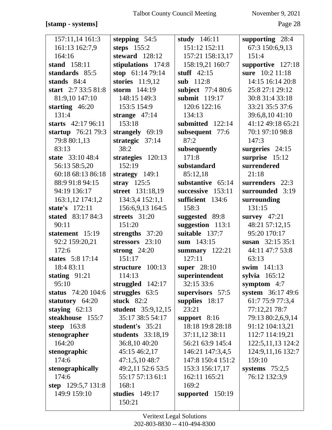#### **[stamp - systems]** Page 28

| 157:11,14 161:3     | stepping 54:5      | study 146:11      | supporting 28:4      |
|---------------------|--------------------|-------------------|----------------------|
| 161:13 162:7,9      | steps $155:2$      | 151:12 152:11     | 67:3 150:6,9,13      |
| 164:16              | steward 128:12     | 157:21 158:13,17  | 151:4                |
| stand 158:11        | stipulations 174:8 | 158:19,21 160:7   | supportive 127:18    |
| standards 85:5      | stop $61:1479:14$  | stuff $42:15$     | sure 10:2 11:18      |
| stands $84:4$       | stories $11:9,12$  | sub 112:8         | 14:15 16:14 20:8     |
| start 2:7 33:5 81:8 | storm 144:19       | subject 77:4 80:6 | 25:8 27:1 29:12      |
| 81:9,10 147:10      | 148:15 149:3       | submit 119:17     | 30:8 31:4 33:18      |
| starting $46:20$    | 153:5 154:9        | 120:6 122:16      | 33:21 35:5 37:6      |
| 131:4               | strange $47:14$    | 134:13            | 39:6,8,10 41:10      |
| starts $42:1796:11$ | 153:18             | submitted 122:14  | 41:12 49:18 65:21    |
| startup 76:21 79:3  | strangely 69:19    | subsequent 77:6   | 70:1 97:10 98:8      |
| 79:8 80:1,13        | strategic 37:14    | 87:2              | 147:3                |
| 83:13               | 38:2               | subsequently      | surgeries $24:15$    |
| state 33:10 48:4    | strategies 120:13  | 171:8             | surprise 15:12       |
| 56:13 58:5,20       | 152:19             | substandard       | surrendered          |
| 60:18 68:13 86:18   | strategy $149:1$   | 85:12,18          | 21:18                |
| 88:9 91:8 94:15     | stray $125:5$      | substantive 65:14 | surrenders 22:3      |
| 94:19 136:17        | street 131:18,19   | successive 153:11 | surrounded 3:19      |
| 163:1,12 174:1,2    | 134:3,4 152:1,1    | sufficient 134:6  | surrounding          |
| state's 172:11      | 156:6,9,13 164:5   | 158:3             | 131:15               |
| stated 83:17 84:3   | streets 31:20      | suggested 89:8    | survey $47:21$       |
| 90:11               | 151:20             | suggestion 113:1  | 48:21 57:12,15       |
| statement 15:19     | strengths 37:20    | suitable 137:7    | 95:20 170:17         |
| 92:2 159:20,21      | stressors 23:10    | sum 143:15        | susan $32:1535:1$    |
| 172:6               | strong $24:20$     | summary $122:21$  | 44:11 47:7 53:8      |
| states 5:8 17:14    | 151:17             | 127:11            | 63:13                |
| 18:4 83:11          | structure 100:13   | super $28:10$     | swim 141:13          |
| stating $91:21$     | 114:13             | superintendent    | sylvia $165:12$      |
| 95:10               | struggled $142:17$ | 32:15 33:6        | symptom $4:7$        |
| status 74:20 104:6  | struggles $63:5$   | supervisors 57:5  | system 36:17 49:6    |
| statutory 64:20     | stuck $82:2$       | supplies 18:17    | 61:7 75:9 77:3,4     |
| staying $62:13$     | student 35:9,12,15 | 23:21             | 77:12,21 78:7        |
| steakhouse 155:7    | 35:17 38:5 54:17   | support $8:16$    | 79:13 80:2,6,9,14    |
| steep $163:8$       | student's 35:21    | 18:18 19:8 28:18  | 91:12 104:13,21      |
| stenographer        | students 33:18,19  | 37:11,12 38:11    | 112:7 114:19,21      |
| 164:20              | 36:8,10 40:20      | 56:21 63:9 145:4  | 122:5, 11, 13 124: 2 |
| stenographic        | 45:15 46:2,17      | 146:21 147:3,4,5  | 124:9,11,16 132:7    |
| 174:6               | 47:1,5,1048:7      | 147:8 150:4 151:2 | 159:10               |
| stenographically    | 49:2,11 52:6 53:5  | 153:3 156:17,17   | systems $75:2,5$     |
| 174:6               | 55:17 57:13 61:1   | 162:11 165:21     | 76:12 132:3,9        |
| step 129:5,7 131:8  | 168:1              | 169:2             |                      |
| 149:9 159:10        | studies 149:17     | supported 150:19  |                      |
|                     | 150:21             |                   |                      |
|                     |                    |                   |                      |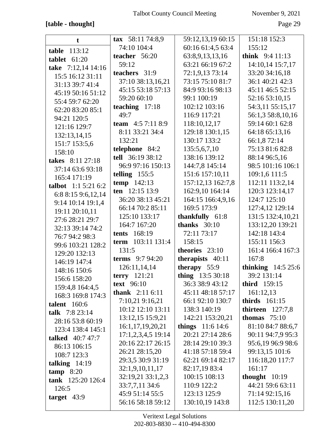## [table - thought]

November 9, 2021

Page 29

| t                       | tax $58:1174:8,9$       | 59:12,13,19 60:15         | 151:18 152:3        |
|-------------------------|-------------------------|---------------------------|---------------------|
| table 113:12            | 74:10 104:4             | 60:16 61:4,5 63:4         | 155:12              |
| tablet $61:20$          | teacher 56:20           | 63:8,9,13,13,16           | think 9:4 11:13     |
| take 7:12,14 14:16      | 59:12                   | 63:21 66:19 67:2          | 14:10,14 15:7,17    |
| 15:5 16:12 31:11        | teachers 31:9           | 72:1,9,13 73:14           | 33:20 34:16,18      |
| 31:13 39:7 41:4         | 37:10 38:13,16,21       | 73:15 75:10 81:7          | 36:1 40:21 42:3     |
| 45:19 50:16 51:12       | 45:15 53:18 57:13       | 84:9 93:16 98:13          | 45:11 46:5 52:15    |
| 55:4 59:7 62:20         | 59:20 60:10             | 99:1 100:19               | 52:16 53:10,15      |
| 62:20 83:20 85:1        | teaching $17:18$        | 102:12 103:16             | 54:3,11 55:15,17    |
| 94:21 120:5             | 49:7                    | 116:9 117:21              | 56:1,3 58:8,10,16   |
| 121:16 129:7            | team $4:57:118:9$       | 118:10,12,17              | 59:14 60:1 62:8     |
| 132:13,14,15            | 8:11 33:21 34:4         | 129:18 130:1,15           | 64:18 65:13,16      |
| 151:7 153:5,6           | 132:21                  | 130:17 133:2              | 66:1,8 72:14        |
| 158:10                  | telephone 84:2          | 135:5,6,7,10              | 75:13 81:6 82:8     |
| takes 8:11 27:18        | tell 36:19 38:12        | 138:16 139:12             | 88:14 96:5,16       |
| 37:14 63:6 93:18        | 96:9 97:16 150:13       | 144:7,8 145:14            | 98:5 101:16 106:1   |
| 165:4 171:19            | telling $155:5$         | 151:6 157:10,11           | 109:1,6 111:5       |
| talbot 1:1 5:21 6:2     | temp 142:13             | 157:12,13 162:7,8         | 112:11 113:2,14     |
| 6:8 8:15 9:6,12,14      | ten 12:15 13:9          | 162:9,10 164:14           | 120:3 123:14,17     |
| 9:14 10:14 19:1,4       | 36:20 38:13 45:21       | 164:15 166:4,9,16         | 124:7 125:10        |
| 19:11 20:10,11          | 66:14 70:2 85:11        | 169:5 173:9               | 127:4,12 129:14     |
| 27:6 28:21 29:7         | 125:10 133:17           | thankfully 61:8           | 131:5 132:4,10,21   |
| 32:13 39:14 74:2        | 164:7 167:20            | thanks $30:10$            | 133:12,20 139:21    |
| 76:7 94:2 98:3          | <b>tents</b> 168:19     | 72:11 73:17               | 142:18 143:4        |
| 99:6 103:21 128:2       | term 103:11 131:4       | 158:15                    | 155:11 156:3        |
| 129:20 132:13           | 131:5                   | theories 23:10            | 161:4 166:4 167:3   |
| 146:19 147:4            | <b>terms</b> 9:7 94:20  | therapists 40:11          | 167:8               |
| 148:16 150:6            | 126:11,14,14            | therapy 55:9              | thinking $14:525:6$ |
| 156:6 158:20            | terry $121:21$          | thing $13:530:18$         | 39:2 131:14         |
| 159:4,8 164:4,5         | <b>text</b> 96:10       | 36:3 38:9 43:12           | third 159:15        |
| 168:3 169:8 174:3       | <b>thank</b> $2:116:11$ | 45:11 48:18 57:17         | 161:12,13           |
| <b>talent</b> 160:6     | 7:10,21 9:16,21         | 66:1 92:10 130:7          | thirds $161:15$     |
| talk $7:823:14$         | 10:12 12:10 13:11       | 138:3 140:19              | thirteen $127:7,8$  |
| 28:16 53:8 60:19        | 13:12,15 15:9,21        | 142:21 153:20,21          | thomas $75:10$      |
| 123:4 138:4 145:1       | 16:1,17,19,20,21        | <b>things</b> $11:6$ 14:6 | 81:10 84:7 88:6,7   |
| <b>talked</b> 40:7 47:7 | 17:1,2,3,4,5 19:14      | 20:21 27:14 28:6          | 90:11 94:7,9 95:3   |
| 86:13 106:15            | 20:16 22:17 26:15       | 28:14 29:10 39:3          | 95:6,19 96:9 98:6   |
| 108:7 123:3             | 26:21 28:15,20          | 41:18 57:18 59:4          | 99:13,15 101:6      |
| talking $14:19$         | 29:3,5 30:9 31:19       | 62:21 69:14 82:17         | 116:18,20 117:7     |
| tamp 8:20               | 32:1,9,10,11,17         | 82:17,19 83:4             | 161:17              |
| tank 125:20 126:4       | 32:19,21 33:1,2,3       | 100:15 108:13             | thought $10:19$     |
| 126:5                   | 33:7,7,11 34:6          | 110:9 122:2               | 44:21 59:6 63:11    |
| target $43:9$           | 45:9 51:14 55:5         | 123:13 125:9              | 71:14 92:15,16      |
|                         | 56:16 58:18 59:12       | 130:10,19 143:8           | 112:5 130:11,20     |
|                         |                         |                           |                     |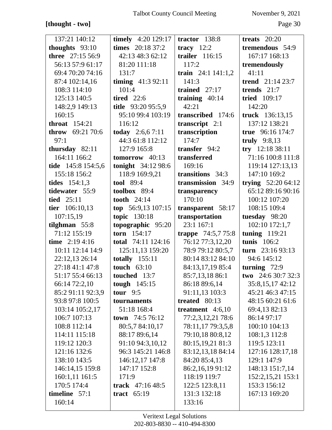## **[thought - two]** Page 30

| 137:21 140:12           | timely 4:20 129:17  | tractor $138:8$     | treats $20:20$            |
|-------------------------|---------------------|---------------------|---------------------------|
| thoughts 93:10          | times 20:18 37:2    | tracy $12:2$        | tremendous 54:9           |
| <b>three</b> 27:15 56:9 | 42:13 48:3 62:12    | trailer 116:15      | 167:17 168:13             |
| 56:13 57:9 61:17        | 81:20 111:18        | 117:2               | tremendously              |
| 69:4 70:20 74:16        | 131:7               | train $24:1141:1,2$ | 41:11                     |
| 87:4 102:14,16          | timing $41:392:11$  | 141:3               | trend 21:14 23:7          |
| 108:3 114:10            | 101:4               | trained $27:17$     | trends $21:7$             |
| 125:13 140:5            | <b>tired</b> 22:6   | training $40:14$    | <b>tried</b> 109:17       |
| 148:2,9 149:13          | title 93:20 95:5,9  | 42:21               | 142:20                    |
| 160:15                  | 95:10 99:4 103:19   | transcribed 174:6   | truck 136:13,15           |
| throat $154:21$         | 116:12              | transcript $2:1$    | 137:12 138:21             |
| throw 69:21 70:6        | today $2:6,67:11$   | transcription       | true 96:16 174:7          |
| 97:1                    | 44:3 61:8 112:12    | 174:7               | truly $9:8,13$            |
| thursday $82:11$        | 127:9 165:8         | transfer 94:2       | try 12:18 38:11           |
| 164:11 166:2            | tomorrow $40:13$    | transferred         | 71:16 100:8 111:8         |
| tide 145:8 154:5,6      | tonight 34:12 98:6  | 169:16              | 119:14 127:13,13          |
| 155:18 156:2            | 118:9 169:9,21      | transitions 34:3    | 147:10 169:2              |
| <b>tides</b> $154:1,3$  | <b>tool</b> 89:4    | transmission 34:9   | trying $52:2064:12$       |
| tidewater 55:9          | toolbox $89:4$      | transparency        | 65:12 89:16 90:16         |
| tied $25:11$            | tooth 24:14         | 170:10              | 100:12 107:20             |
| tier 106:10,13          | top $56:9,13107:15$ | transparent 58:17   | 108:15 109:4              |
| 107:15,19               | topic 130:18        | transportation      | tuesday 98:20             |
| tilghman $55:8$         | topographic 95:20   | 23:1 167:1          | 102:10 172:1,7            |
| 71:12 155:19            | torn $154:17$       | trappe 74:5,7 75:8  | tuning $119:21$           |
| time $2:194:16$         | total 74:11 124:16  | 76:12 77:3,12,20    | tunis 106:2               |
| 10:11 12:14 14:9        | 125:11,13 159:20    | 78:9 79:12 80:5,7   | turn 23:16 93:13          |
| 22:12,13 26:14          | totally $155:11$    | 80:14 83:12 84:10   | 94:6 145:12               |
| 27:18 41:1 47:8         | touch $63:10$       | 84:13,17,19 85:4    | turning $72:9$            |
| 51:17 55:4 66:13        | touched $13:7$      | 85:7,13,18 86:1     | <b>two</b> 24:6 30:7 32:3 |
| 66:14 72:2,10           | tough $145:15$      | 86:18 89:6,14       | 35:8,15,17 42:12          |
| 85:2 91:11 92:3,9       | tour $9:5$          | 91:11,13 103:3      | 45:21 46:3 47:15          |
| 93:8 97:8 100:5         | tournaments         | treated 80:13       | 48:15 60:21 61:6          |
| 103:14 105:2,17         | 51:18 168:4         | treatment $4:6,10$  | 69:4,13 82:13             |
| 106:7 107:13            | town 74:5 76:12     | 77:2,3,12,21 78:6   | 86:14 97:17               |
| 108:8 112:14            | 80:5,7 84:10,17     | 78:11,17 79:3,5,8   | 100:10 104:13             |
| 114:11 115:18           | 88:17 89:6,14       | 79:10,18 80:8,12    | 108:1,3 112:8             |
| 119:12 120:3            | 91:10 94:3,10,12    | 80:15,19,21 81:3    | 119:5 123:11              |
| 121:16 132:6            | 96:3 145:21 146:8   | 83:12,13,18 84:14   | 127:16 128:17,18          |
| 138:10 143:5            | 146:12,17 147:8     | 84:20 85:4,13       | 129:1 147:9               |
| 146:14,15 159:8         | 147:17 152:8        | 86:2,16,19 91:12    | 148:13 151:7,14           |
| 160:1,11 161:5          | 171:9               | 118:19 119:7        | 152:2,15,21 153:1         |
| 170:5 174:4             | track $47:1648:5$   | 122:5 123:8,11      | 153:3 156:12              |
| timeline 57:1           | tract $65:19$       | 131:3 132:18        | 167:13 169:20             |
| 160:14                  |                     | 133:16              |                           |
|                         |                     |                     |                           |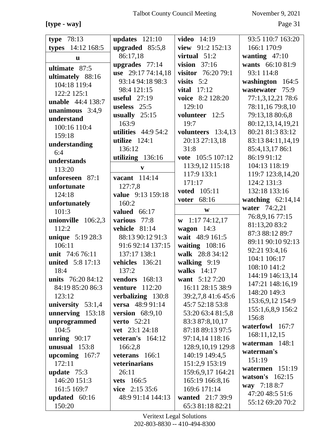**[type - way]** Page 31

| 78:13<br>type             | updates $121:10$      | <b>video</b> 14:19                   | 93:5 110:7 163:20   |
|---------------------------|-----------------------|--------------------------------------|---------------------|
| 14:12 168:5               | upgraded $85:5,8$     | view 91:2 152:13                     | 166:1 170:9         |
| types                     | 86:17,18              | virtual $51:2$                       | wanting $47:10$     |
| $\mathbf{u}$              | upgrades $77:14$      | vision $37:16$                       | wants 66:10 81:9    |
| ultimate 87:5             | use 29:17 74:14,18    | visitor 76:20 79:1                   | 93:1 114:8          |
| ultimately 88:16          | 93:14 94:18 98:3      | visits $5:2$                         |                     |
| 104:18 119:4              |                       |                                      | washington 164:5    |
| 122:2 125:1               | 98:4 121:15           | vital $17:12$                        | wastewater 75:9     |
| unable 44:4 138:7         | useful $27:19$        | voice 8:2 128:20                     | 77:1,3,12,21 78:6   |
| unanimous $3:4,9$         | useless $25:5$        | 129:10                               | 78:11,16 79:8,10    |
| understand                | usually $25:15$       | volunteer 12:5                       | 79:13,18 80:6,8     |
| 100:16 110:4              | 163:9                 | 19:7                                 | 80:12,13,14,19,21   |
| 159:18                    | utilities $44:954:2$  | volunteers 13:4,13                   | 80:21 81:3 83:12    |
| understanding             | utilize $124:1$       | 20:13 27:13,18                       | 83:13 84:11,14,19   |
| 6:4                       | 136:12                | 31:8                                 | 85:4,13,17 86:1     |
| understands               | utilizing 136:16      | vote 105:5 107:12                    | 86:19 91:12         |
| 113:20                    | V                     | 113:9,12 115:18                      | 104:13 118:19       |
| unforeseen 87:1           | vacant 114:14         | 117:9 133:1                          | 119:7 123:8,14,20   |
| unfortunate               | 127:7,8               | 171:17                               | 124:2 131:3         |
| 124:18                    | value 9:13 159:18     | <b>voted</b> 105:11                  | 132:18 133:16       |
| unfortunately             | 160:2                 | 68:16<br>voter                       | watching $62:14,14$ |
| 101:3                     | valued $66:17$        | W                                    | water 74:2,21       |
| unionville 106:2,3        | various 77:8          | 1:1774:12,17<br>W                    | 76:8,9,16 77:15     |
| 112:2                     | vehicle 81:14         | wagon $14:3$                         | 81:13,20 83:2       |
| <b>unique</b> 5:19 28:3   | 88:13 90:12 91:3      | wait 48:9 161:5                      | 87:3 88:12 89:7     |
| 106:11                    | 91:6 92:14 137:15     | waiting $108:16$                     | 89:11 90:10 92:13   |
| unit 74:6 76:11           | 137:17 138:1          | walk 28:8 34:12                      | 92:21 93:4,16       |
| <b>united</b> 5:8 17:13   | vehicles 136:21       | walking 9:19                         | 104:1 106:17        |
| 18:4                      | 137:2                 | walks $14:17$                        | 108:10 141:2        |
| units 76:20 84:12         | <b>vendors</b> 168:13 | want 5:12 7:20                       | 144:19 146:13,14    |
| 84:19 85:20 86:3          | venture<br>112:20     | 16:11 28:15 38:9                     | 147:21 148:16,19    |
| 123:12                    | verbalizing 130:8     | 39:2,7,8 41:6 45:6                   | 148:20 149:3        |
| university $53:1,4$       | versa 48:9 91:14      | 45:7 52:18 53:8                      | 153:6,9,12 154:9    |
|                           |                       | 53:20 63:4 81:5,8                    | 155:1,6,8,9 156:2   |
|                           |                       |                                      |                     |
| unnerving 153:18          | version $68:9,10$     |                                      | 156:8               |
| unprogrammed              | <b>verto</b> 52:21    | 83:3 87:8,10,17                      | waterfowl 167:7     |
| 104:5                     | vet 23:1 24:18        | 87:18 89:13 97:5                     | 168:11,12,15        |
| unring $90:17$            | veteran's $164:12$    | 97:14,14 118:16                      | waterman $148:1$    |
| unusual $153:8$           | 166:2,8               | 128:9,10,19 129:8                    | waterman's          |
| upcoming $167:7$          | veterans 166:1        | 140:19 149:4,5                       | 151:19              |
| 172:11                    | veterinarians         | 151:2,9 153:19                       | watermen $151:19$   |
| update $75:3$             | 26:11                 | 159:6,9,17 164:21                    | watson's $162:15$   |
| 146:20 151:3              | <b>vets</b> 166:5     | 165:19 166:8,16                      | way 7:18 8:7        |
| 161:5 169:7               | vice $2:15\,35:6$     | 169:6 171:14                         | 47:20 48:5 51:6     |
| updated $60:16$<br>150:20 | 48:9 91:14 144:13     | wanted 21:7 39:9<br>65:3 81:18 82:21 | 55:12 69:20 70:2    |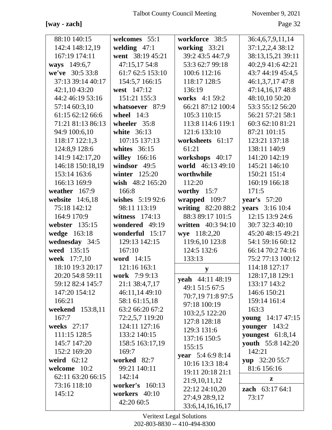## **[way - zach]** Page 32

| 88:10 140:15<br>workforce 38:5<br>36:4,6,7,9,11,14<br>142:4 148:12,19<br>welding $47:1$<br>working 33:21<br>37:1,2,2,4 38:12<br>167:19 174:11<br>went 38:19 45:21<br>39:2 43:5 44:7,9<br>38:13,15,21 39:11<br>53:3 62:7 99:18<br>40:2,9 41:6 42:21<br>ways 149:6,7<br>47:15,17 54:8<br>we've 30:5 33:8<br>61:7 62:5 153:10<br>100:6 112:16<br>43:7 44:19 45:4,5<br>37:13 39:14 40:17<br>154:5,7 166:15<br>118:17 128:5<br>46:1,3,7,17 47:8<br>42:1,1043:20<br>west 147:12<br>136:19<br>47:14,16,17 48:8<br>44:2 46:19 53:16<br>48:10,10 50:20<br>151:21 155:3<br>works 4:1 59:2<br>53:3 55:12 56:20<br>57:14 60:3,10<br>whatsoever 87:9<br>66:21 87:12 100:4<br>61:15 62:12 66:6<br>105:3 110:15<br>56:21 57:21 58:1<br>wheel $14:3$<br>71:21 81:13 86:13<br>113:8 114:6 119:1<br>60:3 62:10 81:21<br>wheeler 35:8<br>94:9 100:6,10<br>121:6 133:10<br>white 36:13<br>87:21 101:15<br>118:17 122:1,3<br>107:15 137:13<br>123:21 137:18<br>worksheets 61:17<br>124:8,9 128:6<br>whites $36:15$<br>61:21<br>138:11 140:9<br>141:20 142:19<br>141:9 142:17,20<br>willey 166:16<br>workshops 40:17<br>146:18 150:18,19<br>world 46:13 49:10<br>windsor $49:5$<br>145:21 146:10<br>153:14 163:6<br>150:21 151:4<br>winter $125:20$<br>worthwhile<br>166:13 169:9<br>wish 48:2 165:20<br>160:19 166:18<br>112:20<br>weather $167:9$<br>166:8<br>worthy $15:7$<br>171:5<br>website 14:6,18<br>wishes 5:19 92:6<br>wrapped 109:7<br>year's 57:20<br>writing 82:20 88:2<br>75:18 142:12<br>98:11 113:19<br><b>years</b> 3:16 10:4<br>88:3 89:17 101:5<br>12:15 13:9 24:6<br>164:9 170:9<br>witness $174:13$<br>webster 135:15<br>wondered 49:19<br>written 40:3 94:10<br>30:7 32:3 40:10<br>wye 118:2,20<br>wedge 163:18<br>wonderful 15:17<br>45:20 48:15 49:21<br>wednesday 34:5<br>54:1 59:16 60:12<br>129:13 142:15<br>119:6,10 123:8<br>weed 135:15<br>124:5 132:6<br>167:10<br>66:14 70:2 74:16<br>week 17:7,10<br>word 14:15<br>133:13<br>75:2 77:13 100:12<br>18:10 19:3 20:17<br>121:16 163:1<br>114:18 127:17<br>y<br>20:20 54:8 59:11<br>work 7:9 9:13<br>128:17,18 129:1<br>yeah 44:11 48:19<br>59:12 82:4 145:7<br>133:17 143:2<br>21:1 38:4,7,17<br>49:1 51:5 67:5<br>46:11,14 49:10<br>146:6 150:21<br>147:20 154:12<br>70:7,19 71:8 97:5<br>58:1 61:15,18<br>159:14 161:4<br>166:21<br>97:18 100:19<br>63:2 66:20 67:2<br>weekend 153:8,11<br>163:3<br>103:2,5 122:20<br>72:2,5,7 119:20<br>167:7<br><b>young</b> 14:17 47:15<br>127:8 128:18<br>weeks 27:17<br>124:11 127:16<br>younger $143:2$<br>129:3 131:6<br>111:15 128:5<br>133:2 140:15<br>youngest $61:8,14$<br>137:16 150:5<br>145:7 147:20<br>youth 55:8 142:20<br>158:5 163:17,19<br>155:15<br>142:21<br>152:2 169:20<br>169:7<br>year 5:4 6:9 8:14<br>weird $62:12$<br>worked 82:7<br>yup 32:20 55:7<br>10:16 13:3 18:4<br>welcome 10:2<br>81:6 156:16<br>99:21 140:11<br>19:11 20:18 21:1<br>62:11 63:20 66:15<br>142:14<br>z<br>21:9,10,11,12<br>worker's 160:13<br>73:16 118:10<br>22:12 24:10,20<br><b>zach</b> $63:1764:1$<br>workers 40:10<br>145:12<br>27:4,9 28:9,12<br>73:17<br>42:20 60:5 |               |                      |  |
|-------------------------------------------------------------------------------------------------------------------------------------------------------------------------------------------------------------------------------------------------------------------------------------------------------------------------------------------------------------------------------------------------------------------------------------------------------------------------------------------------------------------------------------------------------------------------------------------------------------------------------------------------------------------------------------------------------------------------------------------------------------------------------------------------------------------------------------------------------------------------------------------------------------------------------------------------------------------------------------------------------------------------------------------------------------------------------------------------------------------------------------------------------------------------------------------------------------------------------------------------------------------------------------------------------------------------------------------------------------------------------------------------------------------------------------------------------------------------------------------------------------------------------------------------------------------------------------------------------------------------------------------------------------------------------------------------------------------------------------------------------------------------------------------------------------------------------------------------------------------------------------------------------------------------------------------------------------------------------------------------------------------------------------------------------------------------------------------------------------------------------------------------------------------------------------------------------------------------------------------------------------------------------------------------------------------------------------------------------------------------------------------------------------------------------------------------------------------------------------------------------------------------------------------------------------------------------------------------------------------------------------------------------------------------------------------------------------------------------------------------------------------------------------------------------------------------------------------------------------------------------------------------------------------------------------------------------------------------------------------------------------------------------------------------------------------------|---------------|----------------------|--|
|                                                                                                                                                                                                                                                                                                                                                                                                                                                                                                                                                                                                                                                                                                                                                                                                                                                                                                                                                                                                                                                                                                                                                                                                                                                                                                                                                                                                                                                                                                                                                                                                                                                                                                                                                                                                                                                                                                                                                                                                                                                                                                                                                                                                                                                                                                                                                                                                                                                                                                                                                                                                                                                                                                                                                                                                                                                                                                                                                                                                                                                                         | welcomes 55:1 |                      |  |
|                                                                                                                                                                                                                                                                                                                                                                                                                                                                                                                                                                                                                                                                                                                                                                                                                                                                                                                                                                                                                                                                                                                                                                                                                                                                                                                                                                                                                                                                                                                                                                                                                                                                                                                                                                                                                                                                                                                                                                                                                                                                                                                                                                                                                                                                                                                                                                                                                                                                                                                                                                                                                                                                                                                                                                                                                                                                                                                                                                                                                                                                         |               |                      |  |
|                                                                                                                                                                                                                                                                                                                                                                                                                                                                                                                                                                                                                                                                                                                                                                                                                                                                                                                                                                                                                                                                                                                                                                                                                                                                                                                                                                                                                                                                                                                                                                                                                                                                                                                                                                                                                                                                                                                                                                                                                                                                                                                                                                                                                                                                                                                                                                                                                                                                                                                                                                                                                                                                                                                                                                                                                                                                                                                                                                                                                                                                         |               |                      |  |
|                                                                                                                                                                                                                                                                                                                                                                                                                                                                                                                                                                                                                                                                                                                                                                                                                                                                                                                                                                                                                                                                                                                                                                                                                                                                                                                                                                                                                                                                                                                                                                                                                                                                                                                                                                                                                                                                                                                                                                                                                                                                                                                                                                                                                                                                                                                                                                                                                                                                                                                                                                                                                                                                                                                                                                                                                                                                                                                                                                                                                                                                         |               |                      |  |
|                                                                                                                                                                                                                                                                                                                                                                                                                                                                                                                                                                                                                                                                                                                                                                                                                                                                                                                                                                                                                                                                                                                                                                                                                                                                                                                                                                                                                                                                                                                                                                                                                                                                                                                                                                                                                                                                                                                                                                                                                                                                                                                                                                                                                                                                                                                                                                                                                                                                                                                                                                                                                                                                                                                                                                                                                                                                                                                                                                                                                                                                         |               |                      |  |
|                                                                                                                                                                                                                                                                                                                                                                                                                                                                                                                                                                                                                                                                                                                                                                                                                                                                                                                                                                                                                                                                                                                                                                                                                                                                                                                                                                                                                                                                                                                                                                                                                                                                                                                                                                                                                                                                                                                                                                                                                                                                                                                                                                                                                                                                                                                                                                                                                                                                                                                                                                                                                                                                                                                                                                                                                                                                                                                                                                                                                                                                         |               |                      |  |
|                                                                                                                                                                                                                                                                                                                                                                                                                                                                                                                                                                                                                                                                                                                                                                                                                                                                                                                                                                                                                                                                                                                                                                                                                                                                                                                                                                                                                                                                                                                                                                                                                                                                                                                                                                                                                                                                                                                                                                                                                                                                                                                                                                                                                                                                                                                                                                                                                                                                                                                                                                                                                                                                                                                                                                                                                                                                                                                                                                                                                                                                         |               |                      |  |
|                                                                                                                                                                                                                                                                                                                                                                                                                                                                                                                                                                                                                                                                                                                                                                                                                                                                                                                                                                                                                                                                                                                                                                                                                                                                                                                                                                                                                                                                                                                                                                                                                                                                                                                                                                                                                                                                                                                                                                                                                                                                                                                                                                                                                                                                                                                                                                                                                                                                                                                                                                                                                                                                                                                                                                                                                                                                                                                                                                                                                                                                         |               |                      |  |
|                                                                                                                                                                                                                                                                                                                                                                                                                                                                                                                                                                                                                                                                                                                                                                                                                                                                                                                                                                                                                                                                                                                                                                                                                                                                                                                                                                                                                                                                                                                                                                                                                                                                                                                                                                                                                                                                                                                                                                                                                                                                                                                                                                                                                                                                                                                                                                                                                                                                                                                                                                                                                                                                                                                                                                                                                                                                                                                                                                                                                                                                         |               |                      |  |
|                                                                                                                                                                                                                                                                                                                                                                                                                                                                                                                                                                                                                                                                                                                                                                                                                                                                                                                                                                                                                                                                                                                                                                                                                                                                                                                                                                                                                                                                                                                                                                                                                                                                                                                                                                                                                                                                                                                                                                                                                                                                                                                                                                                                                                                                                                                                                                                                                                                                                                                                                                                                                                                                                                                                                                                                                                                                                                                                                                                                                                                                         |               |                      |  |
|                                                                                                                                                                                                                                                                                                                                                                                                                                                                                                                                                                                                                                                                                                                                                                                                                                                                                                                                                                                                                                                                                                                                                                                                                                                                                                                                                                                                                                                                                                                                                                                                                                                                                                                                                                                                                                                                                                                                                                                                                                                                                                                                                                                                                                                                                                                                                                                                                                                                                                                                                                                                                                                                                                                                                                                                                                                                                                                                                                                                                                                                         |               |                      |  |
|                                                                                                                                                                                                                                                                                                                                                                                                                                                                                                                                                                                                                                                                                                                                                                                                                                                                                                                                                                                                                                                                                                                                                                                                                                                                                                                                                                                                                                                                                                                                                                                                                                                                                                                                                                                                                                                                                                                                                                                                                                                                                                                                                                                                                                                                                                                                                                                                                                                                                                                                                                                                                                                                                                                                                                                                                                                                                                                                                                                                                                                                         |               |                      |  |
|                                                                                                                                                                                                                                                                                                                                                                                                                                                                                                                                                                                                                                                                                                                                                                                                                                                                                                                                                                                                                                                                                                                                                                                                                                                                                                                                                                                                                                                                                                                                                                                                                                                                                                                                                                                                                                                                                                                                                                                                                                                                                                                                                                                                                                                                                                                                                                                                                                                                                                                                                                                                                                                                                                                                                                                                                                                                                                                                                                                                                                                                         |               |                      |  |
|                                                                                                                                                                                                                                                                                                                                                                                                                                                                                                                                                                                                                                                                                                                                                                                                                                                                                                                                                                                                                                                                                                                                                                                                                                                                                                                                                                                                                                                                                                                                                                                                                                                                                                                                                                                                                                                                                                                                                                                                                                                                                                                                                                                                                                                                                                                                                                                                                                                                                                                                                                                                                                                                                                                                                                                                                                                                                                                                                                                                                                                                         |               |                      |  |
|                                                                                                                                                                                                                                                                                                                                                                                                                                                                                                                                                                                                                                                                                                                                                                                                                                                                                                                                                                                                                                                                                                                                                                                                                                                                                                                                                                                                                                                                                                                                                                                                                                                                                                                                                                                                                                                                                                                                                                                                                                                                                                                                                                                                                                                                                                                                                                                                                                                                                                                                                                                                                                                                                                                                                                                                                                                                                                                                                                                                                                                                         |               |                      |  |
|                                                                                                                                                                                                                                                                                                                                                                                                                                                                                                                                                                                                                                                                                                                                                                                                                                                                                                                                                                                                                                                                                                                                                                                                                                                                                                                                                                                                                                                                                                                                                                                                                                                                                                                                                                                                                                                                                                                                                                                                                                                                                                                                                                                                                                                                                                                                                                                                                                                                                                                                                                                                                                                                                                                                                                                                                                                                                                                                                                                                                                                                         |               |                      |  |
|                                                                                                                                                                                                                                                                                                                                                                                                                                                                                                                                                                                                                                                                                                                                                                                                                                                                                                                                                                                                                                                                                                                                                                                                                                                                                                                                                                                                                                                                                                                                                                                                                                                                                                                                                                                                                                                                                                                                                                                                                                                                                                                                                                                                                                                                                                                                                                                                                                                                                                                                                                                                                                                                                                                                                                                                                                                                                                                                                                                                                                                                         |               |                      |  |
|                                                                                                                                                                                                                                                                                                                                                                                                                                                                                                                                                                                                                                                                                                                                                                                                                                                                                                                                                                                                                                                                                                                                                                                                                                                                                                                                                                                                                                                                                                                                                                                                                                                                                                                                                                                                                                                                                                                                                                                                                                                                                                                                                                                                                                                                                                                                                                                                                                                                                                                                                                                                                                                                                                                                                                                                                                                                                                                                                                                                                                                                         |               |                      |  |
|                                                                                                                                                                                                                                                                                                                                                                                                                                                                                                                                                                                                                                                                                                                                                                                                                                                                                                                                                                                                                                                                                                                                                                                                                                                                                                                                                                                                                                                                                                                                                                                                                                                                                                                                                                                                                                                                                                                                                                                                                                                                                                                                                                                                                                                                                                                                                                                                                                                                                                                                                                                                                                                                                                                                                                                                                                                                                                                                                                                                                                                                         |               |                      |  |
|                                                                                                                                                                                                                                                                                                                                                                                                                                                                                                                                                                                                                                                                                                                                                                                                                                                                                                                                                                                                                                                                                                                                                                                                                                                                                                                                                                                                                                                                                                                                                                                                                                                                                                                                                                                                                                                                                                                                                                                                                                                                                                                                                                                                                                                                                                                                                                                                                                                                                                                                                                                                                                                                                                                                                                                                                                                                                                                                                                                                                                                                         |               |                      |  |
|                                                                                                                                                                                                                                                                                                                                                                                                                                                                                                                                                                                                                                                                                                                                                                                                                                                                                                                                                                                                                                                                                                                                                                                                                                                                                                                                                                                                                                                                                                                                                                                                                                                                                                                                                                                                                                                                                                                                                                                                                                                                                                                                                                                                                                                                                                                                                                                                                                                                                                                                                                                                                                                                                                                                                                                                                                                                                                                                                                                                                                                                         |               |                      |  |
|                                                                                                                                                                                                                                                                                                                                                                                                                                                                                                                                                                                                                                                                                                                                                                                                                                                                                                                                                                                                                                                                                                                                                                                                                                                                                                                                                                                                                                                                                                                                                                                                                                                                                                                                                                                                                                                                                                                                                                                                                                                                                                                                                                                                                                                                                                                                                                                                                                                                                                                                                                                                                                                                                                                                                                                                                                                                                                                                                                                                                                                                         |               |                      |  |
|                                                                                                                                                                                                                                                                                                                                                                                                                                                                                                                                                                                                                                                                                                                                                                                                                                                                                                                                                                                                                                                                                                                                                                                                                                                                                                                                                                                                                                                                                                                                                                                                                                                                                                                                                                                                                                                                                                                                                                                                                                                                                                                                                                                                                                                                                                                                                                                                                                                                                                                                                                                                                                                                                                                                                                                                                                                                                                                                                                                                                                                                         |               |                      |  |
|                                                                                                                                                                                                                                                                                                                                                                                                                                                                                                                                                                                                                                                                                                                                                                                                                                                                                                                                                                                                                                                                                                                                                                                                                                                                                                                                                                                                                                                                                                                                                                                                                                                                                                                                                                                                                                                                                                                                                                                                                                                                                                                                                                                                                                                                                                                                                                                                                                                                                                                                                                                                                                                                                                                                                                                                                                                                                                                                                                                                                                                                         |               |                      |  |
|                                                                                                                                                                                                                                                                                                                                                                                                                                                                                                                                                                                                                                                                                                                                                                                                                                                                                                                                                                                                                                                                                                                                                                                                                                                                                                                                                                                                                                                                                                                                                                                                                                                                                                                                                                                                                                                                                                                                                                                                                                                                                                                                                                                                                                                                                                                                                                                                                                                                                                                                                                                                                                                                                                                                                                                                                                                                                                                                                                                                                                                                         |               |                      |  |
|                                                                                                                                                                                                                                                                                                                                                                                                                                                                                                                                                                                                                                                                                                                                                                                                                                                                                                                                                                                                                                                                                                                                                                                                                                                                                                                                                                                                                                                                                                                                                                                                                                                                                                                                                                                                                                                                                                                                                                                                                                                                                                                                                                                                                                                                                                                                                                                                                                                                                                                                                                                                                                                                                                                                                                                                                                                                                                                                                                                                                                                                         |               |                      |  |
|                                                                                                                                                                                                                                                                                                                                                                                                                                                                                                                                                                                                                                                                                                                                                                                                                                                                                                                                                                                                                                                                                                                                                                                                                                                                                                                                                                                                                                                                                                                                                                                                                                                                                                                                                                                                                                                                                                                                                                                                                                                                                                                                                                                                                                                                                                                                                                                                                                                                                                                                                                                                                                                                                                                                                                                                                                                                                                                                                                                                                                                                         |               |                      |  |
|                                                                                                                                                                                                                                                                                                                                                                                                                                                                                                                                                                                                                                                                                                                                                                                                                                                                                                                                                                                                                                                                                                                                                                                                                                                                                                                                                                                                                                                                                                                                                                                                                                                                                                                                                                                                                                                                                                                                                                                                                                                                                                                                                                                                                                                                                                                                                                                                                                                                                                                                                                                                                                                                                                                                                                                                                                                                                                                                                                                                                                                                         |               |                      |  |
|                                                                                                                                                                                                                                                                                                                                                                                                                                                                                                                                                                                                                                                                                                                                                                                                                                                                                                                                                                                                                                                                                                                                                                                                                                                                                                                                                                                                                                                                                                                                                                                                                                                                                                                                                                                                                                                                                                                                                                                                                                                                                                                                                                                                                                                                                                                                                                                                                                                                                                                                                                                                                                                                                                                                                                                                                                                                                                                                                                                                                                                                         |               |                      |  |
|                                                                                                                                                                                                                                                                                                                                                                                                                                                                                                                                                                                                                                                                                                                                                                                                                                                                                                                                                                                                                                                                                                                                                                                                                                                                                                                                                                                                                                                                                                                                                                                                                                                                                                                                                                                                                                                                                                                                                                                                                                                                                                                                                                                                                                                                                                                                                                                                                                                                                                                                                                                                                                                                                                                                                                                                                                                                                                                                                                                                                                                                         |               |                      |  |
|                                                                                                                                                                                                                                                                                                                                                                                                                                                                                                                                                                                                                                                                                                                                                                                                                                                                                                                                                                                                                                                                                                                                                                                                                                                                                                                                                                                                                                                                                                                                                                                                                                                                                                                                                                                                                                                                                                                                                                                                                                                                                                                                                                                                                                                                                                                                                                                                                                                                                                                                                                                                                                                                                                                                                                                                                                                                                                                                                                                                                                                                         |               |                      |  |
|                                                                                                                                                                                                                                                                                                                                                                                                                                                                                                                                                                                                                                                                                                                                                                                                                                                                                                                                                                                                                                                                                                                                                                                                                                                                                                                                                                                                                                                                                                                                                                                                                                                                                                                                                                                                                                                                                                                                                                                                                                                                                                                                                                                                                                                                                                                                                                                                                                                                                                                                                                                                                                                                                                                                                                                                                                                                                                                                                                                                                                                                         |               |                      |  |
|                                                                                                                                                                                                                                                                                                                                                                                                                                                                                                                                                                                                                                                                                                                                                                                                                                                                                                                                                                                                                                                                                                                                                                                                                                                                                                                                                                                                                                                                                                                                                                                                                                                                                                                                                                                                                                                                                                                                                                                                                                                                                                                                                                                                                                                                                                                                                                                                                                                                                                                                                                                                                                                                                                                                                                                                                                                                                                                                                                                                                                                                         |               |                      |  |
|                                                                                                                                                                                                                                                                                                                                                                                                                                                                                                                                                                                                                                                                                                                                                                                                                                                                                                                                                                                                                                                                                                                                                                                                                                                                                                                                                                                                                                                                                                                                                                                                                                                                                                                                                                                                                                                                                                                                                                                                                                                                                                                                                                                                                                                                                                                                                                                                                                                                                                                                                                                                                                                                                                                                                                                                                                                                                                                                                                                                                                                                         |               |                      |  |
|                                                                                                                                                                                                                                                                                                                                                                                                                                                                                                                                                                                                                                                                                                                                                                                                                                                                                                                                                                                                                                                                                                                                                                                                                                                                                                                                                                                                                                                                                                                                                                                                                                                                                                                                                                                                                                                                                                                                                                                                                                                                                                                                                                                                                                                                                                                                                                                                                                                                                                                                                                                                                                                                                                                                                                                                                                                                                                                                                                                                                                                                         |               |                      |  |
|                                                                                                                                                                                                                                                                                                                                                                                                                                                                                                                                                                                                                                                                                                                                                                                                                                                                                                                                                                                                                                                                                                                                                                                                                                                                                                                                                                                                                                                                                                                                                                                                                                                                                                                                                                                                                                                                                                                                                                                                                                                                                                                                                                                                                                                                                                                                                                                                                                                                                                                                                                                                                                                                                                                                                                                                                                                                                                                                                                                                                                                                         |               |                      |  |
|                                                                                                                                                                                                                                                                                                                                                                                                                                                                                                                                                                                                                                                                                                                                                                                                                                                                                                                                                                                                                                                                                                                                                                                                                                                                                                                                                                                                                                                                                                                                                                                                                                                                                                                                                                                                                                                                                                                                                                                                                                                                                                                                                                                                                                                                                                                                                                                                                                                                                                                                                                                                                                                                                                                                                                                                                                                                                                                                                                                                                                                                         |               |                      |  |
|                                                                                                                                                                                                                                                                                                                                                                                                                                                                                                                                                                                                                                                                                                                                                                                                                                                                                                                                                                                                                                                                                                                                                                                                                                                                                                                                                                                                                                                                                                                                                                                                                                                                                                                                                                                                                                                                                                                                                                                                                                                                                                                                                                                                                                                                                                                                                                                                                                                                                                                                                                                                                                                                                                                                                                                                                                                                                                                                                                                                                                                                         |               |                      |  |
|                                                                                                                                                                                                                                                                                                                                                                                                                                                                                                                                                                                                                                                                                                                                                                                                                                                                                                                                                                                                                                                                                                                                                                                                                                                                                                                                                                                                                                                                                                                                                                                                                                                                                                                                                                                                                                                                                                                                                                                                                                                                                                                                                                                                                                                                                                                                                                                                                                                                                                                                                                                                                                                                                                                                                                                                                                                                                                                                                                                                                                                                         |               |                      |  |
|                                                                                                                                                                                                                                                                                                                                                                                                                                                                                                                                                                                                                                                                                                                                                                                                                                                                                                                                                                                                                                                                                                                                                                                                                                                                                                                                                                                                                                                                                                                                                                                                                                                                                                                                                                                                                                                                                                                                                                                                                                                                                                                                                                                                                                                                                                                                                                                                                                                                                                                                                                                                                                                                                                                                                                                                                                                                                                                                                                                                                                                                         |               |                      |  |
|                                                                                                                                                                                                                                                                                                                                                                                                                                                                                                                                                                                                                                                                                                                                                                                                                                                                                                                                                                                                                                                                                                                                                                                                                                                                                                                                                                                                                                                                                                                                                                                                                                                                                                                                                                                                                                                                                                                                                                                                                                                                                                                                                                                                                                                                                                                                                                                                                                                                                                                                                                                                                                                                                                                                                                                                                                                                                                                                                                                                                                                                         |               |                      |  |
|                                                                                                                                                                                                                                                                                                                                                                                                                                                                                                                                                                                                                                                                                                                                                                                                                                                                                                                                                                                                                                                                                                                                                                                                                                                                                                                                                                                                                                                                                                                                                                                                                                                                                                                                                                                                                                                                                                                                                                                                                                                                                                                                                                                                                                                                                                                                                                                                                                                                                                                                                                                                                                                                                                                                                                                                                                                                                                                                                                                                                                                                         |               |                      |  |
|                                                                                                                                                                                                                                                                                                                                                                                                                                                                                                                                                                                                                                                                                                                                                                                                                                                                                                                                                                                                                                                                                                                                                                                                                                                                                                                                                                                                                                                                                                                                                                                                                                                                                                                                                                                                                                                                                                                                                                                                                                                                                                                                                                                                                                                                                                                                                                                                                                                                                                                                                                                                                                                                                                                                                                                                                                                                                                                                                                                                                                                                         |               |                      |  |
|                                                                                                                                                                                                                                                                                                                                                                                                                                                                                                                                                                                                                                                                                                                                                                                                                                                                                                                                                                                                                                                                                                                                                                                                                                                                                                                                                                                                                                                                                                                                                                                                                                                                                                                                                                                                                                                                                                                                                                                                                                                                                                                                                                                                                                                                                                                                                                                                                                                                                                                                                                                                                                                                                                                                                                                                                                                                                                                                                                                                                                                                         |               | 33:6, 14, 16, 16, 17 |  |